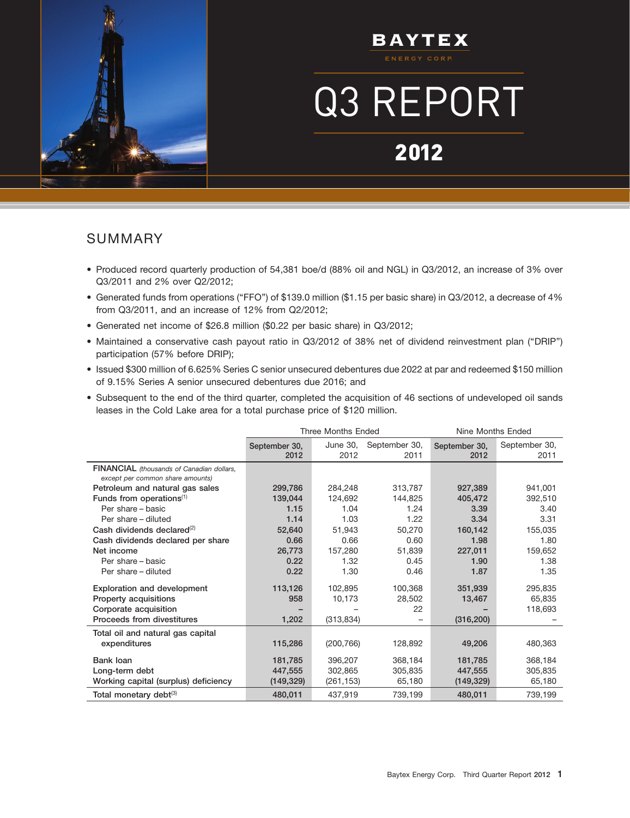# Q3 REPORT

BAYTEX

## 2012

**13NOV2012120851**

### SUMMARY

- Produced record quarterly production of 54,381 boe/d (88% oil and NGL) in Q3/2012, an increase of 3% over Q3/2011 and 2% over Q2/2012;
- Generated funds from operations (''FFO'') of \$139.0 million (\$1.15 per basic share) in Q3/2012, a decrease of 4% from Q3/2011, and an increase of 12% from Q2/2012;
- Generated net income of \$26.8 million (\$0.22 per basic share) in Q3/2012;
- Maintained a conservative cash payout ratio in Q3/2012 of 38% net of dividend reinvestment plan (''DRIP'') participation (57% before DRIP);
- Issued \$300 million of 6.625% Series C senior unsecured debentures due 2022 at par and redeemed \$150 million of 9.15% Series A senior unsecured debentures due 2016; and
- Subsequent to the end of the third quarter, completed the acquisition of 46 sections of undeveloped oil sands leases in the Cold Lake area for a total purchase price of \$120 million.

|                                                                               | <b>Three Months Ended</b> | Nine Months Ended |                       |                       |                       |
|-------------------------------------------------------------------------------|---------------------------|-------------------|-----------------------|-----------------------|-----------------------|
|                                                                               | September 30,<br>2012     | June 30,<br>2012  | September 30,<br>2011 | September 30,<br>2012 | September 30,<br>2011 |
| FINANCIAL (thousands of Canadian dollars,<br>except per common share amounts) |                           |                   |                       |                       |                       |
| Petroleum and natural gas sales                                               | 299,786                   | 284,248           | 313,787               | 927,389               | 941,001               |
| Funds from operations $(1)$                                                   | 139,044                   | 124.692           | 144,825               | 405,472               | 392,510               |
| Per share - basic                                                             | 1.15                      | 1.04              | 1.24                  | 3.39                  | 3.40                  |
| Per share - diluted                                                           | 1.14                      | 1.03              | 1.22                  | 3.34                  | 3.31                  |
| Cash dividends declared <sup>(2)</sup>                                        | 52,640                    | 51,943            | 50,270                | 160,142               | 155,035               |
| Cash dividends declared per share                                             | 0.66                      | 0.66              | 0.60                  | 1.98                  | 1.80                  |
| Net income                                                                    | 26,773                    | 157,280           | 51,839                | 227,011               | 159,652               |
| Per share – basic                                                             | 0.22                      | 1.32              | 0.45                  | 1.90                  | 1.38                  |
| Per share – diluted                                                           | 0.22                      | 1.30              | 0.46                  | 1.87                  | 1.35                  |
| <b>Exploration and development</b>                                            | 113,126                   | 102,895           | 100,368               | 351,939               | 295,835               |
| Property acquisitions                                                         | 958                       | 10,173            | 28,502                | 13,467                | 65,835                |
| Corporate acquisition                                                         |                           |                   | 22                    |                       | 118,693               |
| Proceeds from divestitures                                                    | 1,202                     | (313, 834)        |                       | (316, 200)            |                       |
| Total oil and natural gas capital                                             |                           |                   |                       |                       |                       |
| expenditures                                                                  | 115,286                   | (200, 766)        | 128,892               | 49,206                | 480,363               |
| Bank loan                                                                     | 181,785                   | 396,207           | 368,184               | 181,785               | 368,184               |
| Long-term debt                                                                | 447,555                   | 302.865           | 305,835               | 447,555               | 305,835               |
| Working capital (surplus) deficiency                                          | (149, 329)                | (261, 153)        | 65,180                | (149, 329)            | 65,180                |
| Total monetary debt <sup>(3)</sup>                                            | 480,011                   | 437,919           | 739,199               | 480,011               | 739,199               |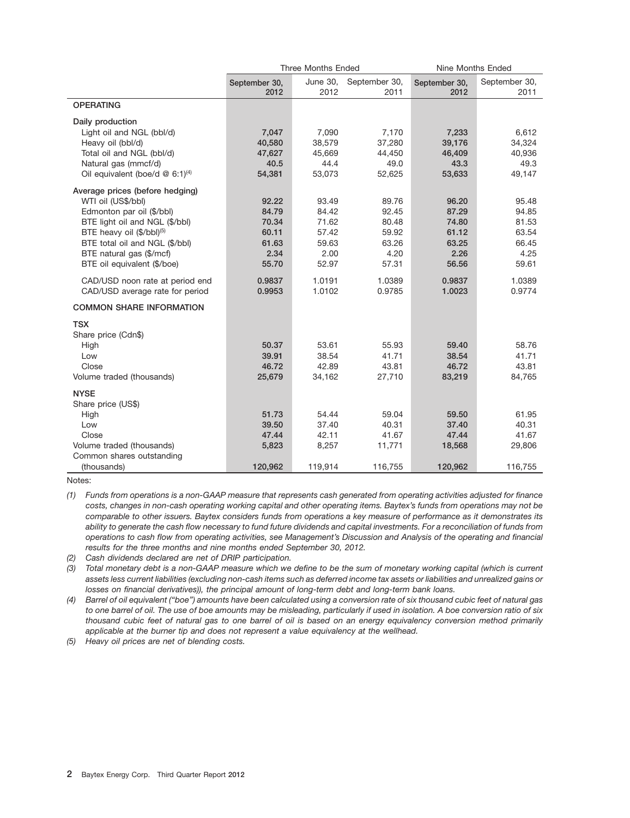|                                                                                                                                                                                                                                                | Three Months Ended<br>Nine Months Ended                    |                                                            |                                                            |                                                            |                                                            |  |  |  |
|------------------------------------------------------------------------------------------------------------------------------------------------------------------------------------------------------------------------------------------------|------------------------------------------------------------|------------------------------------------------------------|------------------------------------------------------------|------------------------------------------------------------|------------------------------------------------------------|--|--|--|
|                                                                                                                                                                                                                                                | September 30,<br>2012                                      | <b>June 30,</b><br>2012                                    | September 30,<br>2011                                      | September 30,<br>2012                                      | September 30,<br>2011                                      |  |  |  |
| <b>OPERATING</b>                                                                                                                                                                                                                               |                                                            |                                                            |                                                            |                                                            |                                                            |  |  |  |
| Daily production<br>Light oil and NGL (bbl/d)<br>Heavy oil (bbl/d)<br>Total oil and NGL (bbl/d)<br>Natural gas (mmcf/d)<br>Oil equivalent (boe/d $@$ 6:1) <sup>(4)</sup>                                                                       | 7,047<br>40,580<br>47,627<br>40.5<br>54,381                | 7,090<br>38,579<br>45,669<br>44.4<br>53,073                | 7,170<br>37,280<br>44,450<br>49.0<br>52,625                | 7,233<br>39,176<br>46,409<br>43.3<br>53,633                | 6,612<br>34,324<br>40,936<br>49.3<br>49,147                |  |  |  |
| Average prices (before hedging)<br>WTI oil (US\$/bbl)<br>Edmonton par oil (\$/bbl)<br>BTE light oil and NGL (\$/bbl)<br>BTE heavy oil (\$/bbl)(5)<br>BTE total oil and NGL (\$/bbl)<br>BTE natural gas (\$/mcf)<br>BTE oil equivalent (\$/boe) | 92.22<br>84.79<br>70.34<br>60.11<br>61.63<br>2.34<br>55.70 | 93.49<br>84.42<br>71.62<br>57.42<br>59.63<br>2.00<br>52.97 | 89.76<br>92.45<br>80.48<br>59.92<br>63.26<br>4.20<br>57.31 | 96.20<br>87.29<br>74.80<br>61.12<br>63.25<br>2.26<br>56.56 | 95.48<br>94.85<br>81.53<br>63.54<br>66.45<br>4.25<br>59.61 |  |  |  |
| CAD/USD noon rate at period end<br>CAD/USD average rate for period                                                                                                                                                                             | 0.9837<br>0.9953                                           | 1.0191<br>1.0102                                           | 1.0389<br>0.9785                                           | 0.9837<br>1.0023                                           | 1.0389<br>0.9774                                           |  |  |  |
| <b>COMMON SHARE INFORMATION</b>                                                                                                                                                                                                                |                                                            |                                                            |                                                            |                                                            |                                                            |  |  |  |
| <b>TSX</b><br>Share price (Cdn\$)<br>High<br>Low<br>Close<br>Volume traded (thousands)                                                                                                                                                         | 50.37<br>39.91<br>46.72<br>25,679                          | 53.61<br>38.54<br>42.89<br>34,162                          | 55.93<br>41.71<br>43.81<br>27,710                          | 59.40<br>38.54<br>46.72<br>83,219                          | 58.76<br>41.71<br>43.81<br>84,765                          |  |  |  |
| <b>NYSE</b><br>Share price (US\$)<br>High<br>Low<br>Close<br>Volume traded (thousands)<br>Common shares outstanding                                                                                                                            | 51.73<br>39.50<br>47.44<br>5,823                           | 54.44<br>37.40<br>42.11<br>8,257                           | 59.04<br>40.31<br>41.67<br>11,771                          | 59.50<br>37.40<br>47.44<br>18,568                          | 61.95<br>40.31<br>41.67<br>29,806                          |  |  |  |
| (thousands)                                                                                                                                                                                                                                    | 120,962                                                    | 119,914                                                    | 116,755                                                    | 120,962                                                    | 116,755                                                    |  |  |  |

Notes:

*(1) Funds from operations is a non-GAAP measure that represents cash generated from operating activities adjusted for finance costs, changes in non-cash operating working capital and other operating items. Baytex's funds from operations may not be comparable to other issuers. Baytex considers funds from operations a key measure of performance as it demonstrates its ability to generate the cash flow necessary to fund future dividends and capital investments. For a reconciliation of funds from operations to cash flow from operating activities, see Management's Discussion and Analysis of the operating and financial results for the three months and nine months ended September 30, 2012.*

*(2) Cash dividends declared are net of DRIP participation.*

*(3) Total monetary debt is a non-GAAP measure which we define to be the sum of monetary working capital (which is current assets less current liabilities (excluding non-cash items such as deferred income tax assets or liabilities and unrealized gains or losses on financial derivatives)), the principal amount of long-term debt and long-term bank loans.*

*(4) Barrel of oil equivalent (''boe'') amounts have been calculated using a conversion rate of six thousand cubic feet of natural gas to one barrel of oil. The use of boe amounts may be misleading, particularly if used in isolation. A boe conversion ratio of six thousand cubic feet of natural gas to one barrel of oil is based on an energy equivalency conversion method primarily applicable at the burner tip and does not represent a value equivalency at the wellhead.*

*(5) Heavy oil prices are net of blending costs.*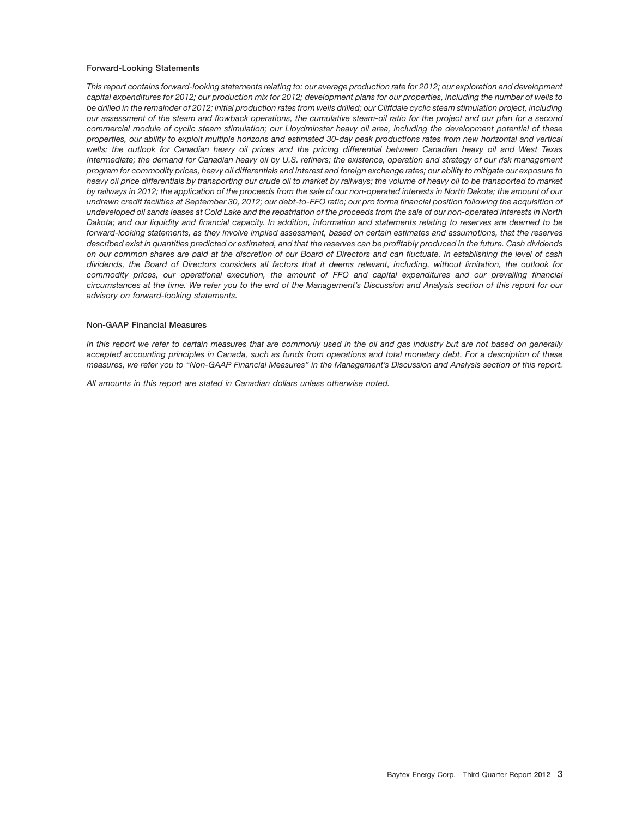#### **Forward-Looking Statements**

*This report contains forward-looking statements relating to: our average production rate for 2012; our exploration and development capital expenditures for 2012; our production mix for 2012; development plans for our properties, including the number of wells to be drilled in the remainder of 2012; initial production rates from wells drilled; our Cliffdale cyclic steam stimulation project, including our assessment of the steam and flowback operations, the cumulative steam-oil ratio for the project and our plan for a second commercial module of cyclic steam stimulation; our Lloydminster heavy oil area, including the development potential of these properties, our ability to exploit multiple horizons and estimated 30-day peak productions rates from new horizontal and vertical wells; the outlook for Canadian heavy oil prices and the pricing differential between Canadian heavy oil and West Texas Intermediate; the demand for Canadian heavy oil by U.S. refiners; the existence, operation and strategy of our risk management program for commodity prices, heavy oil differentials and interest and foreign exchange rates; our ability to mitigate our exposure to heavy oil price differentials by transporting our crude oil to market by railways; the volume of heavy oil to be transported to market by railways in 2012; the application of the proceeds from the sale of our non-operated interests in North Dakota; the amount of our undrawn credit facilities at September 30, 2012; our debt-to-FFO ratio; our pro forma financial position following the acquisition of undeveloped oil sands leases at Cold Lake and the repatriation of the proceeds from the sale of our non-operated interests in North Dakota; and our liquidity and financial capacity. In addition, information and statements relating to reserves are deemed to be forward-looking statements, as they involve implied assessment, based on certain estimates and assumptions, that the reserves described exist in quantities predicted or estimated, and that the reserves can be profitably produced in the future. Cash dividends on our common shares are paid at the discretion of our Board of Directors and can fluctuate. In establishing the level of cash dividends, the Board of Directors considers all factors that it deems relevant, including, without limitation, the outlook for commodity prices, our operational execution, the amount of FFO and capital expenditures and our prevailing financial circumstances at the time. We refer you to the end of the Management's Discussion and Analysis section of this report for our advisory on forward-looking statements.*

#### **Non-GAAP Financial Measures**

*In this report we refer to certain measures that are commonly used in the oil and gas industry but are not based on generally accepted accounting principles in Canada, such as funds from operations and total monetary debt. For a description of these measures, we refer you to ''Non-GAAP Financial Measures'' in the Management's Discussion and Analysis section of this report.*

*All amounts in this report are stated in Canadian dollars unless otherwise noted.*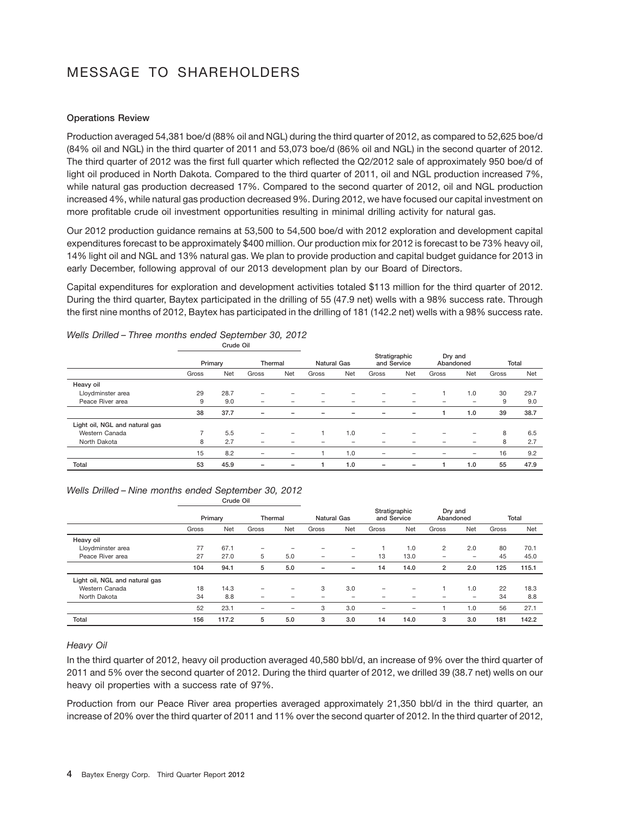## MESSAGE TO SHAREHOLDERS

#### **Operations Review**

Production averaged 54,381 boe/d (88% oil and NGL) during the third quarter of 2012, as compared to 52,625 boe/d (84% oil and NGL) in the third quarter of 2011 and 53,073 boe/d (86% oil and NGL) in the second quarter of 2012. The third quarter of 2012 was the first full quarter which reflected the Q2/2012 sale of approximately 950 boe/d of light oil produced in North Dakota. Compared to the third quarter of 2011, oil and NGL production increased 7%, while natural gas production decreased 17%. Compared to the second quarter of 2012, oil and NGL production increased 4%, while natural gas production decreased 9%. During 2012, we have focused our capital investment on more profitable crude oil investment opportunities resulting in minimal drilling activity for natural gas.

Our 2012 production guidance remains at 53,500 to 54,500 boe/d with 2012 exploration and development capital expenditures forecast to be approximately \$400 million. Our production mix for 2012 is forecast to be 73% heavy oil, 14% light oil and NGL and 13% natural gas. We plan to provide production and capital budget guidance for 2013 in early December, following approval of our 2013 development plan by our Board of Directors.

Capital expenditures for exploration and development activities totaled \$113 million for the third quarter of 2012. During the third quarter, Baytex participated in the drilling of 55 (47.9 net) wells with a 98% success rate. Through the first nine months of 2012, Baytex has participated in the drilling of 181 (142.2 net) wells with a 98% success rate.

|       |      |                          | Thermal           |       | <b>Natural Gas</b> |                          | Stratigraphic<br>and Service |       | Dry and<br>Abandoned     |       | Total |
|-------|------|--------------------------|-------------------|-------|--------------------|--------------------------|------------------------------|-------|--------------------------|-------|-------|
| Gross | Net  | Gross                    | Net               | Gross | Net                | Gross                    | Net                          | Gross | Net                      | Gross | Net   |
|       |      |                          |                   |       |                    |                          |                              |       |                          |       |       |
| 29    | 28.7 | $\overline{\phantom{0}}$ | -                 |       |                    |                          | $\overline{\phantom{0}}$     |       | 1.0                      | 30    | 29.7  |
| 9     | 9.0  | $\overline{\phantom{0}}$ |                   |       |                    |                          |                              |       | $\overline{\phantom{0}}$ | 9     | 9.0   |
| 38    | 37.7 | $\overline{\phantom{0}}$ | -                 |       |                    |                          | $\overline{\phantom{0}}$     |       | 1.0                      | 39    | 38.7  |
|       |      |                          |                   |       |                    |                          |                              |       |                          |       |       |
|       | 5.5  | $\overline{\phantom{0}}$ | $\qquad \qquad$   |       | 1.0                | $\overline{\phantom{0}}$ |                              |       | -                        | 8     | 6.5   |
| 8     | 2.7  | $\overline{\phantom{0}}$ | -                 |       |                    |                          |                              |       | -                        | 8     | 2.7   |
| 15    | 8.2  | $\overline{\phantom{m}}$ | -                 |       | 1.0                |                          |                              |       | -                        | 16    | 9.2   |
| 53    | 45.9 | $\overline{\phantom{a}}$ | $\qquad \qquad -$ |       | 1.0                | $\overline{\phantom{a}}$ | $\qquad \qquad -$            |       | 1.0                      | 55    | 47.9  |
|       |      | Primary                  |                   |       |                    |                          |                              |       |                          |       |       |

#### *Wells Drilled – Three months ended September 30, 2012*

**Crude Oil**

**Crude Oil**

#### *Wells Drilled – Nine months ended September 30, 2012*

|                                |       | Primary | Thermal                  |                          | <b>Natural Gas</b>           |     |                              | Stratigraphic<br>and Service | Dry and<br>Abandoned |                          |       | Total |
|--------------------------------|-------|---------|--------------------------|--------------------------|------------------------------|-----|------------------------------|------------------------------|----------------------|--------------------------|-------|-------|
|                                | Gross | Net     | Gross                    | Net                      | Gross                        | Net | Gross                        | Net                          | Gross                | Net                      | Gross | Net   |
| Heavy oil                      |       |         |                          |                          |                              |     |                              |                              |                      |                          |       |       |
| Lloydminster area              | 77    | 67.1    | $\qquad \qquad$          |                          |                              | -   |                              | 1.0                          | 2                    | 2.0                      | 80    | 70.1  |
| Peace River area               | 27    | 27.0    | 5                        | 5.0                      | $\qquad \qquad \blacksquare$ | -   | 13                           | 13.0                         | $\qquad \qquad$      | $\overline{\phantom{0}}$ | 45    | 45.0  |
|                                | 104   | 94.1    | 5                        | 5.0                      | $\overline{\phantom{a}}$     | -   | 14                           | 14.0                         | $\overline{2}$       | 2.0                      | 125   | 115.1 |
| Light oil, NGL and natural gas |       |         |                          |                          |                              |     |                              |                              |                      |                          |       |       |
| Western Canada                 | 18    | 14.3    | $\overline{\phantom{0}}$ | $\overline{\phantom{0}}$ | 3                            | 3.0 |                              | $\overline{\phantom{0}}$     |                      | 1.0                      | 22    | 18.3  |
| North Dakota                   | 34    | 8.8     | $\overline{\phantom{m}}$ | -                        |                              |     |                              |                              |                      | $\overline{\phantom{0}}$ | 34    | 8.8   |
|                                | 52    | 23.1    | $\overline{\phantom{0}}$ | $\overline{\phantom{0}}$ | 3                            | 3.0 | $\qquad \qquad \blacksquare$ | $\overline{\phantom{0}}$     |                      | 1.0                      | 56    | 27.1  |
| Total                          | 156   | 117.2   | 5                        | 5.0                      | 3                            | 3.0 | 14                           | 14.0                         | 3                    | 3.0                      | 181   | 142.2 |

#### *Heavy Oil*

In the third quarter of 2012, heavy oil production averaged 40,580 bbl/d, an increase of 9% over the third quarter of 2011 and 5% over the second quarter of 2012. During the third quarter of 2012, we drilled 39 (38.7 net) wells on our heavy oil properties with a success rate of 97%.

Production from our Peace River area properties averaged approximately 21,350 bbl/d in the third quarter, an increase of 20% over the third quarter of 2011 and 11% over the second quarter of 2012. In the third quarter of 2012,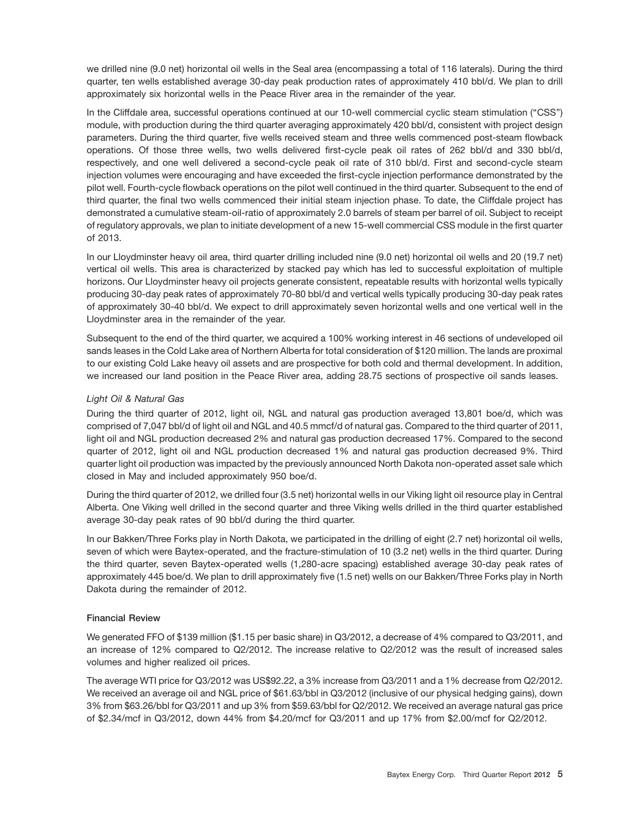we drilled nine (9.0 net) horizontal oil wells in the Seal area (encompassing a total of 116 laterals). During the third quarter, ten wells established average 30-day peak production rates of approximately 410 bbl/d. We plan to drill approximately six horizontal wells in the Peace River area in the remainder of the year.

In the Cliffdale area, successful operations continued at our 10-well commercial cyclic steam stimulation (''CSS'') module, with production during the third quarter averaging approximately 420 bbl/d, consistent with project design parameters. During the third quarter, five wells received steam and three wells commenced post-steam flowback operations. Of those three wells, two wells delivered first-cycle peak oil rates of 262 bbl/d and 330 bbl/d, respectively, and one well delivered a second-cycle peak oil rate of 310 bbl/d. First and second-cycle steam injection volumes were encouraging and have exceeded the first-cycle injection performance demonstrated by the pilot well. Fourth-cycle flowback operations on the pilot well continued in the third quarter. Subsequent to the end of third quarter, the final two wells commenced their initial steam injection phase. To date, the Cliffdale project has demonstrated a cumulative steam-oil-ratio of approximately 2.0 barrels of steam per barrel of oil. Subject to receipt of regulatory approvals, we plan to initiate development of a new 15-well commercial CSS module in the first quarter of 2013.

In our Lloydminster heavy oil area, third quarter drilling included nine (9.0 net) horizontal oil wells and 20 (19.7 net) vertical oil wells. This area is characterized by stacked pay which has led to successful exploitation of multiple horizons. Our Lloydminster heavy oil projects generate consistent, repeatable results with horizontal wells typically producing 30-day peak rates of approximately 70-80 bbl/d and vertical wells typically producing 30-day peak rates of approximately 30-40 bbl/d. We expect to drill approximately seven horizontal wells and one vertical well in the Lloydminster area in the remainder of the year.

Subsequent to the end of the third quarter, we acquired a 100% working interest in 46 sections of undeveloped oil sands leases in the Cold Lake area of Northern Alberta for total consideration of \$120 million. The lands are proximal to our existing Cold Lake heavy oil assets and are prospective for both cold and thermal development. In addition, we increased our land position in the Peace River area, adding 28.75 sections of prospective oil sands leases.

#### *Light Oil & Natural Gas*

During the third quarter of 2012, light oil, NGL and natural gas production averaged 13,801 boe/d, which was comprised of 7,047 bbl/d of light oil and NGL and 40.5 mmcf/d of natural gas. Compared to the third quarter of 2011, light oil and NGL production decreased 2% and natural gas production decreased 17%. Compared to the second quarter of 2012, light oil and NGL production decreased 1% and natural gas production decreased 9%. Third quarter light oil production was impacted by the previously announced North Dakota non-operated asset sale which closed in May and included approximately 950 boe/d.

During the third quarter of 2012, we drilled four (3.5 net) horizontal wells in our Viking light oil resource play in Central Alberta. One Viking well drilled in the second quarter and three Viking wells drilled in the third quarter established average 30-day peak rates of 90 bbl/d during the third quarter.

In our Bakken/Three Forks play in North Dakota, we participated in the drilling of eight (2.7 net) horizontal oil wells, seven of which were Baytex-operated, and the fracture-stimulation of 10 (3.2 net) wells in the third quarter. During the third quarter, seven Baytex-operated wells (1,280-acre spacing) established average 30-day peak rates of approximately 445 boe/d. We plan to drill approximately five (1.5 net) wells on our Bakken/Three Forks play in North Dakota during the remainder of 2012.

#### **Financial Review**

We generated FFO of \$139 million (\$1.15 per basic share) in Q3/2012, a decrease of 4% compared to Q3/2011, and an increase of 12% compared to Q2/2012. The increase relative to Q2/2012 was the result of increased sales volumes and higher realized oil prices.

The average WTI price for Q3/2012 was US\$92.22, a 3% increase from Q3/2011 and a 1% decrease from Q2/2012. We received an average oil and NGL price of \$61.63/bbl in Q3/2012 (inclusive of our physical hedging gains), down 3% from \$63.26/bbl for Q3/2011 and up 3% from \$59.63/bbl for Q2/2012. We received an average natural gas price of \$2.34/mcf in Q3/2012, down 44% from \$4.20/mcf for Q3/2011 and up 17% from \$2.00/mcf for Q2/2012.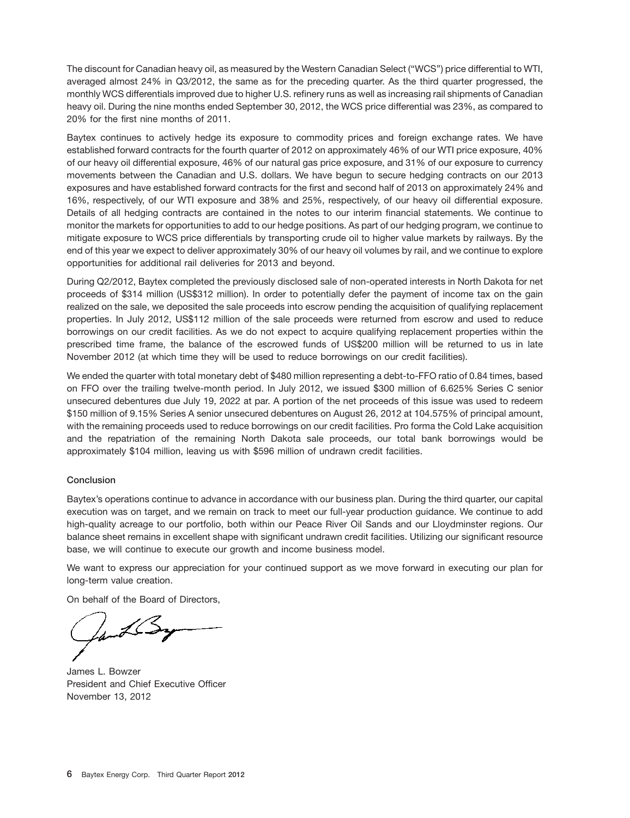The discount for Canadian heavy oil, as measured by the Western Canadian Select (''WCS'') price differential to WTI, averaged almost 24% in Q3/2012, the same as for the preceding quarter. As the third quarter progressed, the monthly WCS differentials improved due to higher U.S. refinery runs as well as increasing rail shipments of Canadian heavy oil. During the nine months ended September 30, 2012, the WCS price differential was 23%, as compared to 20% for the first nine months of 2011.

Baytex continues to actively hedge its exposure to commodity prices and foreign exchange rates. We have established forward contracts for the fourth quarter of 2012 on approximately 46% of our WTI price exposure, 40% of our heavy oil differential exposure, 46% of our natural gas price exposure, and 31% of our exposure to currency movements between the Canadian and U.S. dollars. We have begun to secure hedging contracts on our 2013 exposures and have established forward contracts for the first and second half of 2013 on approximately 24% and 16%, respectively, of our WTI exposure and 38% and 25%, respectively, of our heavy oil differential exposure. Details of all hedging contracts are contained in the notes to our interim financial statements. We continue to monitor the markets for opportunities to add to our hedge positions. As part of our hedging program, we continue to mitigate exposure to WCS price differentials by transporting crude oil to higher value markets by railways. By the end of this year we expect to deliver approximately 30% of our heavy oil volumes by rail, and we continue to explore opportunities for additional rail deliveries for 2013 and beyond.

During Q2/2012, Baytex completed the previously disclosed sale of non-operated interests in North Dakota for net proceeds of \$314 million (US\$312 million). In order to potentially defer the payment of income tax on the gain realized on the sale, we deposited the sale proceeds into escrow pending the acquisition of qualifying replacement properties. In July 2012, US\$112 million of the sale proceeds were returned from escrow and used to reduce borrowings on our credit facilities. As we do not expect to acquire qualifying replacement properties within the prescribed time frame, the balance of the escrowed funds of US\$200 million will be returned to us in late November 2012 (at which time they will be used to reduce borrowings on our credit facilities).

We ended the quarter with total monetary debt of \$480 million representing a debt-to-FFO ratio of 0.84 times, based on FFO over the trailing twelve-month period. In July 2012, we issued \$300 million of 6.625% Series C senior unsecured debentures due July 19, 2022 at par. A portion of the net proceeds of this issue was used to redeem \$150 million of 9.15% Series A senior unsecured debentures on August 26, 2012 at 104.575% of principal amount, with the remaining proceeds used to reduce borrowings on our credit facilities. Pro forma the Cold Lake acquisition and the repatriation of the remaining North Dakota sale proceeds, our total bank borrowings would be approximately \$104 million, leaving us with \$596 million of undrawn credit facilities.

#### **Conclusion**

Baytex's operations continue to advance in accordance with our business plan. During the third quarter, our capital execution was on target, and we remain on track to meet our full-year production guidance. We continue to add high-quality acreage to our portfolio, both within our Peace River Oil Sands and our Lloydminster regions. Our balance sheet remains in excellent shape with significant undrawn credit facilities. Utilizing our significant resource base, we will continue to execute our growth and income business model.

We want to express our appreciation for your continued support as we move forward in executing our plan for long-term value creation.

On behalf of the Board of Directors,

Land By

James L. Bowzer President and Chief Executive Officer November 13, 2012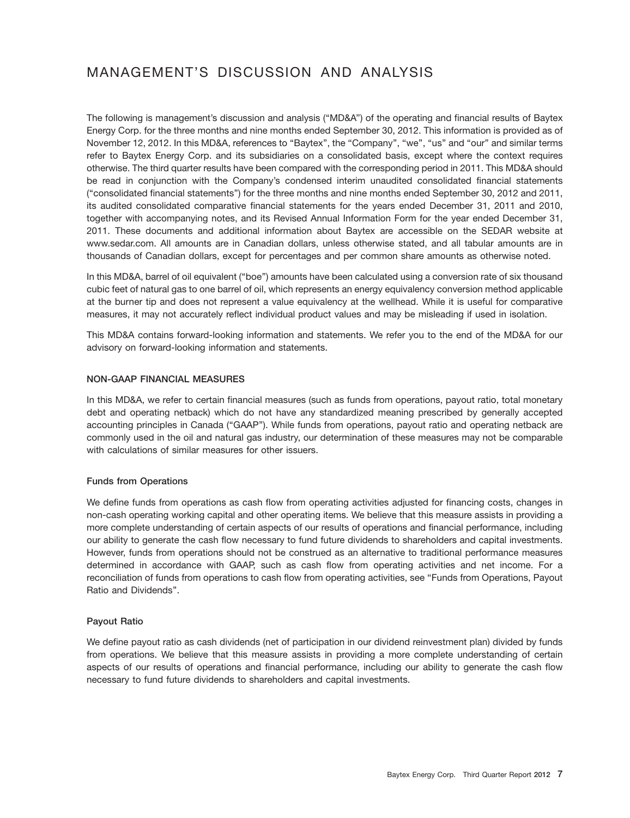## MANAGEMENT'S DISCUSSION AND ANALYSIS

The following is management's discussion and analysis (''MD&A'') of the operating and financial results of Baytex Energy Corp. for the three months and nine months ended September 30, 2012. This information is provided as of November 12, 2012. In this MD&A, references to "Baytex", the "Company", "we", "us" and "our" and similar terms refer to Baytex Energy Corp. and its subsidiaries on a consolidated basis, except where the context requires otherwise. The third quarter results have been compared with the corresponding period in 2011. This MD&A should be read in conjunction with the Company's condensed interim unaudited consolidated financial statements (''consolidated financial statements'') for the three months and nine months ended September 30, 2012 and 2011, its audited consolidated comparative financial statements for the years ended December 31, 2011 and 2010, together with accompanying notes, and its Revised Annual Information Form for the year ended December 31, 2011. These documents and additional information about Baytex are accessible on the SEDAR website at www.sedar.com. All amounts are in Canadian dollars, unless otherwise stated, and all tabular amounts are in thousands of Canadian dollars, except for percentages and per common share amounts as otherwise noted.

In this MD&A, barrel of oil equivalent (''boe'') amounts have been calculated using a conversion rate of six thousand cubic feet of natural gas to one barrel of oil, which represents an energy equivalency conversion method applicable at the burner tip and does not represent a value equivalency at the wellhead. While it is useful for comparative measures, it may not accurately reflect individual product values and may be misleading if used in isolation.

This MD&A contains forward-looking information and statements. We refer you to the end of the MD&A for our advisory on forward-looking information and statements.

#### **NON-GAAP FINANCIAL MEASURES**

In this MD&A, we refer to certain financial measures (such as funds from operations, payout ratio, total monetary debt and operating netback) which do not have any standardized meaning prescribed by generally accepted accounting principles in Canada (''GAAP''). While funds from operations, payout ratio and operating netback are commonly used in the oil and natural gas industry, our determination of these measures may not be comparable with calculations of similar measures for other issuers.

#### **Funds from Operations**

We define funds from operations as cash flow from operating activities adjusted for financing costs, changes in non-cash operating working capital and other operating items. We believe that this measure assists in providing a more complete understanding of certain aspects of our results of operations and financial performance, including our ability to generate the cash flow necessary to fund future dividends to shareholders and capital investments. However, funds from operations should not be construed as an alternative to traditional performance measures determined in accordance with GAAP, such as cash flow from operating activities and net income. For a reconciliation of funds from operations to cash flow from operating activities, see ''Funds from Operations, Payout Ratio and Dividends''.

#### **Payout Ratio**

We define payout ratio as cash dividends (net of participation in our dividend reinvestment plan) divided by funds from operations. We believe that this measure assists in providing a more complete understanding of certain aspects of our results of operations and financial performance, including our ability to generate the cash flow necessary to fund future dividends to shareholders and capital investments.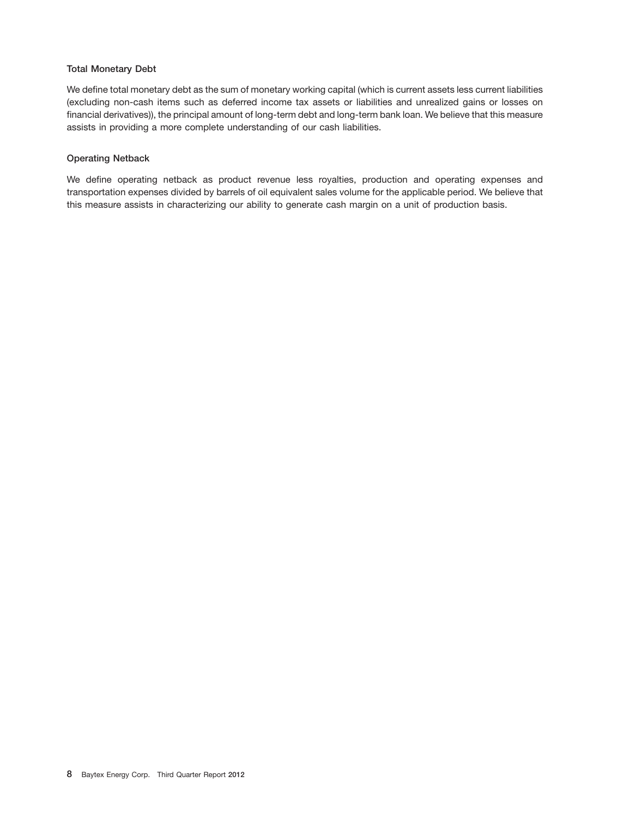#### **Total Monetary Debt**

We define total monetary debt as the sum of monetary working capital (which is current assets less current liabilities (excluding non-cash items such as deferred income tax assets or liabilities and unrealized gains or losses on financial derivatives)), the principal amount of long-term debt and long-term bank loan. We believe that this measure assists in providing a more complete understanding of our cash liabilities.

#### **Operating Netback**

We define operating netback as product revenue less royalties, production and operating expenses and transportation expenses divided by barrels of oil equivalent sales volume for the applicable period. We believe that this measure assists in characterizing our ability to generate cash margin on a unit of production basis.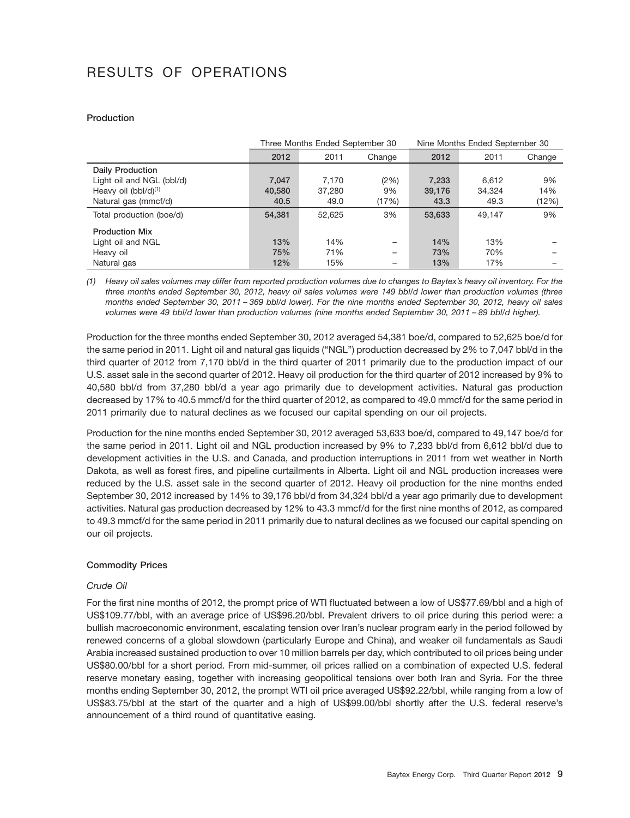## RESULTS OF OPERATIONS

#### **Production**

|                           |        | Three Months Ended September 30 |        | Nine Months Ended September 30 |        |        |  |  |
|---------------------------|--------|---------------------------------|--------|--------------------------------|--------|--------|--|--|
|                           | 2012   | 2011                            | Change | 2012                           | 2011   | Change |  |  |
| Daily Production          |        |                                 |        |                                |        |        |  |  |
| Light oil and NGL (bbl/d) | 7,047  | 7.170                           | (2%)   | 7,233                          | 6.612  | 9%     |  |  |
| Heavy oil $(bbI/d)^{(1)}$ | 40,580 | 37.280                          | 9%     | 39,176                         | 34.324 | 14%    |  |  |
| Natural gas (mmcf/d)      | 40.5   | 49.0                            | (17%)  | 43.3                           | 49.3   | (12%)  |  |  |
| Total production (boe/d)  | 54.381 | 52.625                          | 3%     | 53,633                         | 49.147 | 9%     |  |  |
| <b>Production Mix</b>     |        |                                 |        |                                |        |        |  |  |
| Light oil and NGL         | 13%    | 14%                             | -      | 14%                            | 13%    |        |  |  |
| Heavy oil                 | 75%    | 71%                             | -      | 73%                            | 70%    |        |  |  |
| Natural gas               | 12%    | 15%                             |        | 13%                            | 17%    |        |  |  |

*(1) Heavy oil sales volumes may differ from reported production volumes due to changes to Baytex's heavy oil inventory. For the three months ended September 30, 2012, heavy oil sales volumes were 149 bbl/d lower than production volumes (three months ended September 30, 2011 – 369 bbl/d lower). For the nine months ended September 30, 2012, heavy oil sales volumes were 49 bbl/d lower than production volumes (nine months ended September 30, 2011 – 89 bbl/d higher).*

Production for the three months ended September 30, 2012 averaged 54,381 boe/d, compared to 52,625 boe/d for the same period in 2011. Light oil and natural gas liquids (''NGL'') production decreased by 2% to 7,047 bbl/d in the third quarter of 2012 from 7,170 bbl/d in the third quarter of 2011 primarily due to the production impact of our U.S. asset sale in the second quarter of 2012. Heavy oil production for the third quarter of 2012 increased by 9% to 40,580 bbl/d from 37,280 bbl/d a year ago primarily due to development activities. Natural gas production decreased by 17% to 40.5 mmcf/d for the third quarter of 2012, as compared to 49.0 mmcf/d for the same period in 2011 primarily due to natural declines as we focused our capital spending on our oil projects.

Production for the nine months ended September 30, 2012 averaged 53,633 boe/d, compared to 49,147 boe/d for the same period in 2011. Light oil and NGL production increased by 9% to 7,233 bbl/d from 6,612 bbl/d due to development activities in the U.S. and Canada, and production interruptions in 2011 from wet weather in North Dakota, as well as forest fires, and pipeline curtailments in Alberta. Light oil and NGL production increases were reduced by the U.S. asset sale in the second quarter of 2012. Heavy oil production for the nine months ended September 30, 2012 increased by 14% to 39,176 bbl/d from 34,324 bbl/d a year ago primarily due to development activities. Natural gas production decreased by 12% to 43.3 mmcf/d for the first nine months of 2012, as compared to 49.3 mmcf/d for the same period in 2011 primarily due to natural declines as we focused our capital spending on our oil projects.

#### **Commodity Prices**

#### *Crude Oil*

For the first nine months of 2012, the prompt price of WTI fluctuated between a low of US\$77.69/bbl and a high of US\$109.77/bbl, with an average price of US\$96.20/bbl. Prevalent drivers to oil price during this period were: a bullish macroeconomic environment, escalating tension over Iran's nuclear program early in the period followed by renewed concerns of a global slowdown (particularly Europe and China), and weaker oil fundamentals as Saudi Arabia increased sustained production to over 10 million barrels per day, which contributed to oil prices being under US\$80.00/bbl for a short period. From mid-summer, oil prices rallied on a combination of expected U.S. federal reserve monetary easing, together with increasing geopolitical tensions over both Iran and Syria. For the three months ending September 30, 2012, the prompt WTI oil price averaged US\$92.22/bbl, while ranging from a low of US\$83.75/bbl at the start of the quarter and a high of US\$99.00/bbl shortly after the U.S. federal reserve's announcement of a third round of quantitative easing.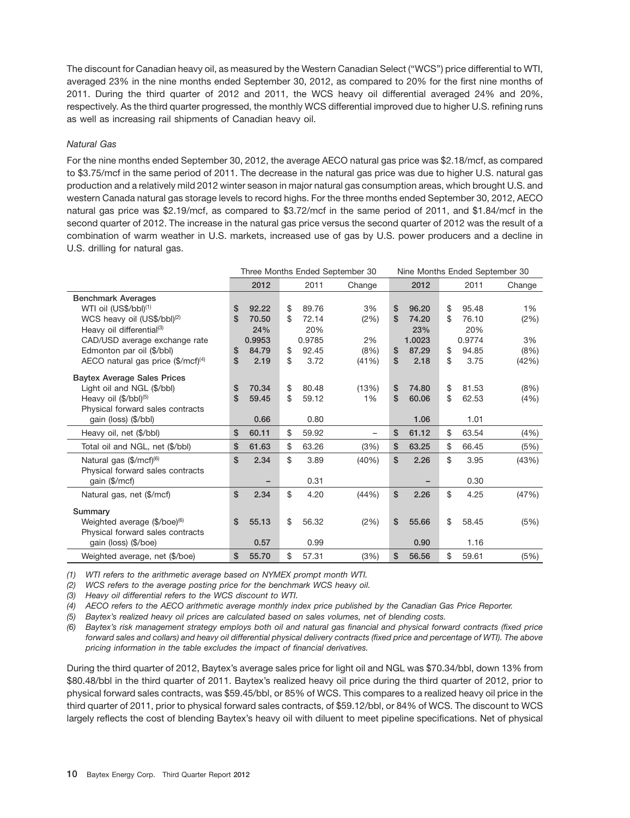The discount for Canadian heavy oil, as measured by the Western Canadian Select (''WCS'') price differential to WTI, averaged 23% in the nine months ended September 30, 2012, as compared to 20% for the first nine months of 2011. During the third quarter of 2012 and 2011, the WCS heavy oil differential averaged 24% and 20%, respectively. As the third quarter progressed, the monthly WCS differential improved due to higher U.S. refining runs as well as increasing rail shipments of Canadian heavy oil.

#### *Natural Gas*

For the nine months ended September 30, 2012, the average AECO natural gas price was \$2.18/mcf, as compared to \$3.75/mcf in the same period of 2011. The decrease in the natural gas price was due to higher U.S. natural gas production and a relatively mild 2012 winter season in major natural gas consumption areas, which brought U.S. and western Canada natural gas storage levels to record highs. For the three months ended September 30, 2012, AECO natural gas price was \$2.19/mcf, as compared to \$3.72/mcf in the same period of 2011, and \$1.84/mcf in the second quarter of 2012. The increase in the natural gas price versus the second quarter of 2012 was the result of a combination of warm weather in U.S. markets, increased use of gas by U.S. power producers and a decline in U.S. drilling for natural gas.

|                                                |                        |        |    |        | Three Months Ended September 30 |          | Nine Months Ended September 30 |          |        |        |  |
|------------------------------------------------|------------------------|--------|----|--------|---------------------------------|----------|--------------------------------|----------|--------|--------|--|
|                                                | 2012<br>2011<br>Change |        |    |        |                                 | 2012     |                                |          | 2011   | Change |  |
| <b>Benchmark Averages</b>                      |                        |        |    |        |                                 |          |                                |          |        |        |  |
| WTI oil (US\$/bbl) <sup>(1)</sup>              | \$                     | 92.22  | \$ | 89.76  | 3%                              | \$       | 96.20                          | \$       | 95.48  | 1%     |  |
| WCS heavy oil (US\$/bbl) <sup>(2)</sup>        | \$                     | 70.50  | \$ | 72.14  | (2%)                            | \$       | 74.20                          | \$       | 76.10  | (2%)   |  |
| Heavy oil differential <sup>(3)</sup>          |                        | 24%    |    | 20%    |                                 |          | 23%                            |          | 20%    |        |  |
| CAD/USD average exchange rate                  |                        | 0.9953 |    | 0.9785 | 2%                              |          | 1.0023                         |          | 0.9774 | 3%     |  |
| Edmonton par oil (\$/bbl)                      | \$                     | 84.79  | \$ | 92.45  | (8%)                            | \$       | 87.29                          | \$       | 94.85  | (8%)   |  |
| AECO natural gas price $(\frac{5}{mcf})^{(4)}$ | \$                     | 2.19   | \$ | 3.72   | (41%)                           | \$       | 2.18                           | \$       | 3.75   | (42%)  |  |
|                                                |                        |        |    |        |                                 |          |                                |          |        |        |  |
| <b>Baytex Average Sales Prices</b>             |                        | 70.34  | \$ | 80.48  |                                 |          | 74.80                          |          | 81.53  |        |  |
| Light oil and NGL (\$/bbl)                     | \$<br>\$               | 59.45  | \$ | 59.12  | (13%)<br>1%                     | \$<br>\$ | 60.06                          | \$<br>\$ | 62.53  | (8%)   |  |
| Heavy oil (\$/bbl) <sup>(5)</sup>              |                        |        |    |        |                                 |          |                                |          |        | (4%)   |  |
| Physical forward sales contracts               |                        |        |    | 0.80   |                                 |          | 1.06                           |          | 1.01   |        |  |
| gain (loss) (\$/bbl)                           |                        | 0.66   |    |        |                                 |          |                                |          |        |        |  |
| Heavy oil, net (\$/bbl)                        | \$                     | 60.11  | \$ | 59.92  | $\overline{\phantom{0}}$        | \$       | 61.12                          | \$       | 63.54  | (4%)   |  |
| Total oil and NGL, net (\$/bbl)                | \$                     | 61.63  | \$ | 63.26  | (3%)                            | \$       | 63.25                          | \$       | 66.45  | (5%)   |  |
| Natural gas $(\frac{5}{mc}f)^{(6)}$            | $\mathsf{\$}$          | 2.34   | \$ | 3.89   | (40%)                           | \$       | 2.26                           | \$       | 3.95   | (43%)  |  |
| Physical forward sales contracts               |                        |        |    |        |                                 |          |                                |          |        |        |  |
| gain (\$/mcf)                                  |                        |        |    | 0.31   |                                 |          |                                |          | 0.30   |        |  |
| Natural gas, net (\$/mcf)                      | \$                     | 2.34   | \$ | 4.20   | (44%)                           | \$       | 2.26                           | \$       | 4.25   | (47%)  |  |
| Summary                                        |                        |        |    |        |                                 |          |                                |          |        |        |  |
| Weighted average (\$/boe) <sup>(6)</sup>       | \$                     | 55.13  | \$ | 56.32  | (2%)                            | \$       | 55.66                          | \$       | 58.45  | (5%)   |  |
| Physical forward sales contracts               |                        |        |    |        |                                 |          |                                |          |        |        |  |
| gain (loss) (\$/boe)                           |                        | 0.57   |    | 0.99   |                                 |          | 0.90                           |          | 1.16   |        |  |
|                                                |                        |        |    |        |                                 |          |                                |          |        |        |  |
| Weighted average, net (\$/boe)                 | \$                     | 55.70  | \$ | 57.31  | (3%)                            | \$       | 56.56                          | \$       | 59.61  | (5%)   |  |

*(1) WTI refers to the arithmetic average based on NYMEX prompt month WTI.*

*(2) WCS refers to the average posting price for the benchmark WCS heavy oil.*

*(3) Heavy oil differential refers to the WCS discount to WTI.*

*(4) AECO refers to the AECO arithmetic average monthly index price published by the Canadian Gas Price Reporter.*

*(5) Baytex's realized heavy oil prices are calculated based on sales volumes, net of blending costs.*

*(6) Baytex's risk management strategy employs both oil and natural gas financial and physical forward contracts (fixed price forward sales and collars) and heavy oil differential physical delivery contracts (fixed price and percentage of WTI). The above pricing information in the table excludes the impact of financial derivatives.*

During the third quarter of 2012, Baytex's average sales price for light oil and NGL was \$70.34/bbl, down 13% from \$80.48/bbl in the third quarter of 2011. Baytex's realized heavy oil price during the third quarter of 2012, prior to physical forward sales contracts, was \$59.45/bbl, or 85% of WCS. This compares to a realized heavy oil price in the third quarter of 2011, prior to physical forward sales contracts, of \$59.12/bbl, or 84% of WCS. The discount to WCS largely reflects the cost of blending Baytex's heavy oil with diluent to meet pipeline specifications. Net of physical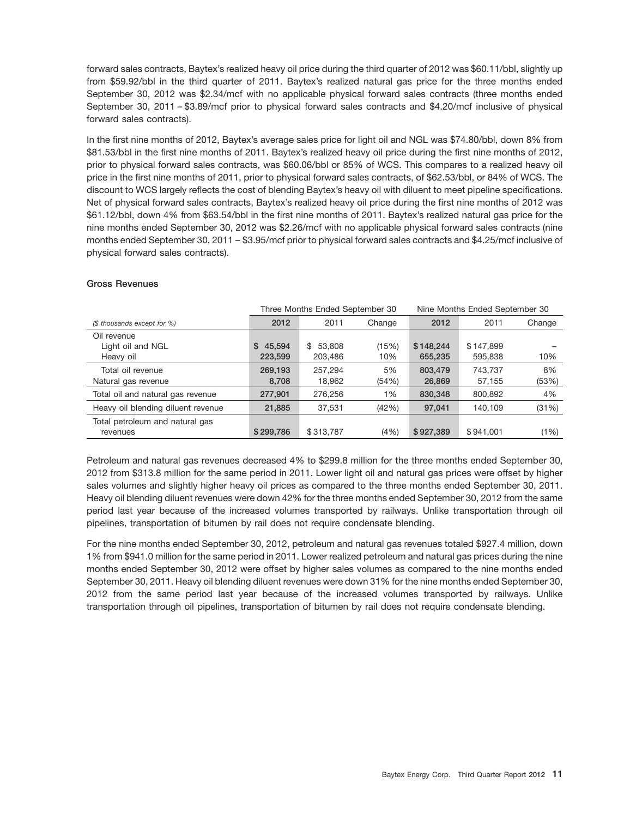forward sales contracts, Baytex's realized heavy oil price during the third quarter of 2012 was \$60.11/bbl, slightly up from \$59.92/bbl in the third quarter of 2011. Baytex's realized natural gas price for the three months ended September 30, 2012 was \$2.34/mcf with no applicable physical forward sales contracts (three months ended September 30, 2011 – \$3.89/mcf prior to physical forward sales contracts and \$4.20/mcf inclusive of physical forward sales contracts).

In the first nine months of 2012, Baytex's average sales price for light oil and NGL was \$74.80/bbl, down 8% from \$81.53/bbl in the first nine months of 2011. Baytex's realized heavy oil price during the first nine months of 2012, prior to physical forward sales contracts, was \$60.06/bbl or 85% of WCS. This compares to a realized heavy oil price in the first nine months of 2011, prior to physical forward sales contracts, of \$62.53/bbl, or 84% of WCS. The discount to WCS largely reflects the cost of blending Baytex's heavy oil with diluent to meet pipeline specifications. Net of physical forward sales contracts, Baytex's realized heavy oil price during the first nine months of 2012 was \$61.12/bbl, down 4% from \$63.54/bbl in the first nine months of 2011. Baytex's realized natural gas price for the nine months ended September 30, 2012 was \$2.26/mcf with no applicable physical forward sales contracts (nine months ended September 30, 2011 – \$3.95/mcf prior to physical forward sales contracts and \$4.25/mcf inclusive of physical forward sales contracts).

#### **Gross Revenues**

|                                    |           | Three Months Ended September 30 |        | Nine Months Ended September 30 |           |        |  |  |
|------------------------------------|-----------|---------------------------------|--------|--------------------------------|-----------|--------|--|--|
| (\$ thousands except for %)        | 2012      | 2011                            | Change | 2012                           | 2011      | Change |  |  |
| Oil revenue                        |           |                                 |        |                                |           |        |  |  |
| Light oil and NGL                  | \$45.594  | \$53.808                        | (15%)  | \$148,244                      | \$147.899 |        |  |  |
| Heavy oil                          | 223,599   | 203,486                         | 10%    | 655,235                        | 595.838   | 10%    |  |  |
| Total oil revenue                  | 269.193   | 257.294                         | 5%     | 803,479                        | 743.737   | 8%     |  |  |
| Natural gas revenue                | 8,708     | 18,962                          | (54%)  | 26,869                         | 57,155    | (53%)  |  |  |
| Total oil and natural gas revenue  | 277,901   | 276.256                         | 1%     | 830,348                        | 800.892   | 4%     |  |  |
| Heavy oil blending diluent revenue | 21,885    | 37,531                          | (42%)  | 97,041                         | 140.109   | (31%)  |  |  |
| Total petroleum and natural gas    |           |                                 |        |                                |           |        |  |  |
| revenues                           | \$299,786 | \$313,787                       | (4% )  | \$927,389                      | \$941,001 | (1%)   |  |  |

Petroleum and natural gas revenues decreased 4% to \$299.8 million for the three months ended September 30, 2012 from \$313.8 million for the same period in 2011. Lower light oil and natural gas prices were offset by higher sales volumes and slightly higher heavy oil prices as compared to the three months ended September 30, 2011. Heavy oil blending diluent revenues were down 42% for the three months ended September 30, 2012 from the same period last year because of the increased volumes transported by railways. Unlike transportation through oil pipelines, transportation of bitumen by rail does not require condensate blending.

For the nine months ended September 30, 2012, petroleum and natural gas revenues totaled \$927.4 million, down 1% from \$941.0 million for the same period in 2011. Lower realized petroleum and natural gas prices during the nine months ended September 30, 2012 were offset by higher sales volumes as compared to the nine months ended September 30, 2011. Heavy oil blending diluent revenues were down 31% for the nine months ended September 30, 2012 from the same period last year because of the increased volumes transported by railways. Unlike transportation through oil pipelines, transportation of bitumen by rail does not require condensate blending.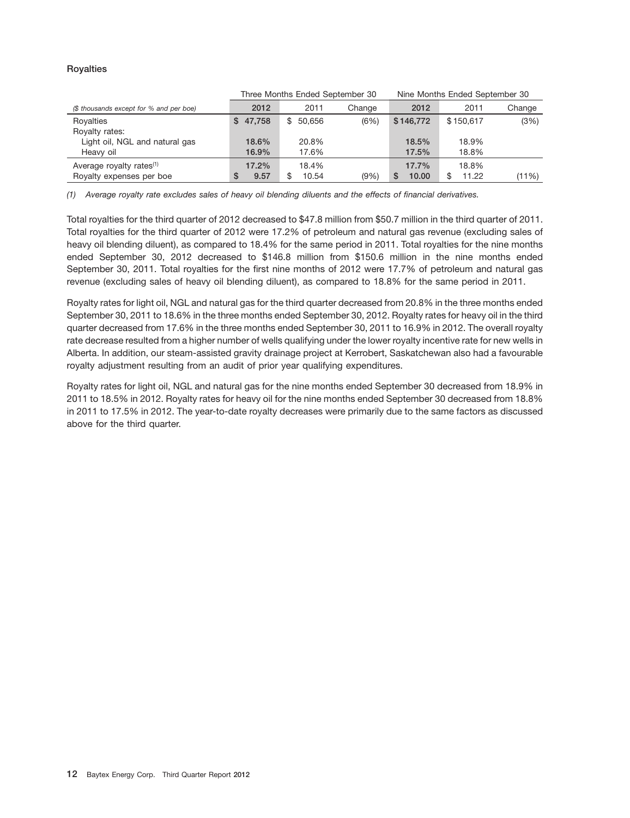#### **Royalties**

|                                         |              | Three Months Ended September 30 |        | Nine Months Ended September 30 |           |        |  |  |
|-----------------------------------------|--------------|---------------------------------|--------|--------------------------------|-----------|--------|--|--|
| (\$ thousands except for % and per boe) | 2012         | 2011                            | Change | 2012                           | 2011      | Change |  |  |
| Royalties                               | 47,758<br>S. | \$50.656                        | (6%)   | \$146.772                      | \$150,617 | (3%)   |  |  |
| Royalty rates:                          |              |                                 |        |                                |           |        |  |  |
| Light oil, NGL and natural gas          | 18.6%        | 20.8%                           |        | 18.5%                          | 18.9%     |        |  |  |
| Heavy oil                               | 16.9%        | 17.6%                           |        | 17.5%                          | 18.8%     |        |  |  |
| Average royalty rates <sup>(1)</sup>    | 17.2%        | 18.4%                           |        | 17.7%                          | 18.8%     |        |  |  |
| Royalty expenses per boe                | 9.57<br>S    | 10.54                           | (9% )  | 10.00<br>S                     | 11.22     | (11%)  |  |  |

*(1) Average royalty rate excludes sales of heavy oil blending diluents and the effects of financial derivatives.*

Total royalties for the third quarter of 2012 decreased to \$47.8 million from \$50.7 million in the third quarter of 2011. Total royalties for the third quarter of 2012 were 17.2% of petroleum and natural gas revenue (excluding sales of heavy oil blending diluent), as compared to 18.4% for the same period in 2011. Total royalties for the nine months ended September 30, 2012 decreased to \$146.8 million from \$150.6 million in the nine months ended September 30, 2011. Total royalties for the first nine months of 2012 were 17.7% of petroleum and natural gas revenue (excluding sales of heavy oil blending diluent), as compared to 18.8% for the same period in 2011.

Royalty rates for light oil, NGL and natural gas for the third quarter decreased from 20.8% in the three months ended September 30, 2011 to 18.6% in the three months ended September 30, 2012. Royalty rates for heavy oil in the third quarter decreased from 17.6% in the three months ended September 30, 2011 to 16.9% in 2012. The overall royalty rate decrease resulted from a higher number of wells qualifying under the lower royalty incentive rate for new wells in Alberta. In addition, our steam-assisted gravity drainage project at Kerrobert, Saskatchewan also had a favourable royalty adjustment resulting from an audit of prior year qualifying expenditures.

Royalty rates for light oil, NGL and natural gas for the nine months ended September 30 decreased from 18.9% in 2011 to 18.5% in 2012. Royalty rates for heavy oil for the nine months ended September 30 decreased from 18.8% in 2011 to 17.5% in 2012. The year-to-date royalty decreases were primarily due to the same factors as discussed above for the third quarter.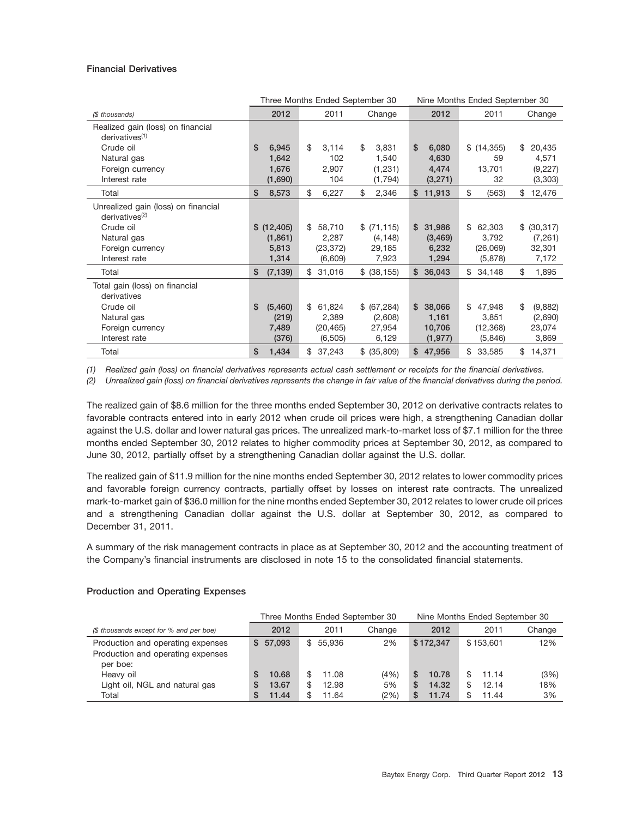#### **Financial Derivatives**

|                                                                   |                | Three Months Ended September 30 |                 | Nine Months Ended September 30 |              |               |  |
|-------------------------------------------------------------------|----------------|---------------------------------|-----------------|--------------------------------|--------------|---------------|--|
| (\$ thousands)                                                    | 2012           | 2011                            | Change          | 2012                           | 2011         | Change        |  |
| Realized gain (loss) on financial<br>derivatives <sup>(1)</sup>   |                |                                 |                 |                                |              |               |  |
| Crude oil                                                         | \$<br>6,945    | \$<br>3,114                     | \$<br>3,831     | \$<br>6,080                    | \$(14,355)   | 20,435<br>\$  |  |
| Natural gas                                                       | 1,642          | 102                             | 1,540           | 4,630                          | 59           | 4,571         |  |
| Foreign currency                                                  | 1,676          | 2,907                           | (1,231)         | 4,474                          | 13,701       | (9,227)       |  |
| Interest rate                                                     | (1,690)        | 104                             | (1,794)         | (3,271)                        | 32           | (3,303)       |  |
| Total                                                             | \$<br>8,573    | \$<br>6,227                     | \$<br>2,346     | 11,913<br>\$                   | \$<br>(563)  | 12,476<br>\$  |  |
| Unrealized gain (loss) on financial<br>derivatives <sup>(2)</sup> |                |                                 |                 |                                |              |               |  |
| Crude oil                                                         | \$(12, 405)    | \$58,710                        | $$$ (71,115)    | \$31,986                       | \$<br>62,303 | \$ (30, 317)  |  |
| Natural gas                                                       | (1,861)        | 2,287                           | (4, 148)        | (3, 469)                       | 3,792        | (7, 261)      |  |
| Foreign currency                                                  | 5,813          | (23, 372)                       | 29,185          | 6,232                          | (26,069)     | 32,301        |  |
| Interest rate                                                     | 1,314          | (6,609)                         | 7,923           | 1,294                          | (5,878)      | 7,172         |  |
| Total                                                             | \$<br>(7, 139) | 31,016<br>\$                    | \$ (38, 155)    | \$36,043                       | \$<br>34,148 | \$<br>1,895   |  |
| Total gain (loss) on financial<br>derivatives                     |                |                                 |                 |                                |              |               |  |
| Crude oil                                                         | \$<br>(5,460)  | 61,824<br>\$                    | (67, 284)<br>\$ | 38,066<br>\$                   | 47,948<br>\$ | \$<br>(9,882) |  |
| Natural gas                                                       | (219)          | 2,389                           | (2,608)         | 1,161                          | 3,851        | (2,690)       |  |
| Foreign currency                                                  | 7,489          | (20, 465)                       | 27,954          | 10,706                         | (12, 368)    | 23,074        |  |
| Interest rate                                                     | (376)          | (6, 505)                        | 6,129           | (1, 977)                       | (5,846)      | 3,869         |  |
| Total                                                             | \$<br>1,434    | \$37,243                        | \$ (35,809)     | \$47,956                       | \$<br>33,585 | \$<br>14,371  |  |

*(1) Realized gain (loss) on financial derivatives represents actual cash settlement or receipts for the financial derivatives.*

*(2) Unrealized gain (loss) on financial derivatives represents the change in fair value of the financial derivatives during the period.*

The realized gain of \$8.6 million for the three months ended September 30, 2012 on derivative contracts relates to favorable contracts entered into in early 2012 when crude oil prices were high, a strengthening Canadian dollar against the U.S. dollar and lower natural gas prices. The unrealized mark-to-market loss of \$7.1 million for the three months ended September 30, 2012 relates to higher commodity prices at September 30, 2012, as compared to June 30, 2012, partially offset by a strengthening Canadian dollar against the U.S. dollar.

The realized gain of \$11.9 million for the nine months ended September 30, 2012 relates to lower commodity prices and favorable foreign currency contracts, partially offset by losses on interest rate contracts. The unrealized mark-to-market gain of \$36.0 million for the nine months ended September 30, 2012 relates to lower crude oil prices and a strengthening Canadian dollar against the U.S. dollar at September 30, 2012, as compared to December 31, 2011.

A summary of the risk management contracts in place as at September 30, 2012 and the accounting treatment of the Company's financial instruments are disclosed in note 15 to the consolidated financial statements.

#### **Production and Operating Expenses**

|                                         |            | Three Months Ended September 30 |        | Nine Months Ended September 30 |             |        |  |  |
|-----------------------------------------|------------|---------------------------------|--------|--------------------------------|-------------|--------|--|--|
| (\$ thousands except for % and per boe) | 2012       | 2011                            | Change | 2012                           | 2011        | Change |  |  |
| Production and operating expenses       | \$57.093   | \$55.936                        | 2%     | \$172,347                      | \$153,601   | 12%    |  |  |
| Production and operating expenses       |            |                                 |        |                                |             |        |  |  |
| per boe:                                |            |                                 |        |                                |             |        |  |  |
| Heavy oil                               | 10.68      | 11.08                           | (4% )  | 10.78<br>S                     | 11.14       | (3%)   |  |  |
| Light oil, NGL and natural gas          | 13.67<br>S | 12.98<br>\$                     | 5%     | 14.32<br>S                     | \$<br>12.14 | 18%    |  |  |
| Total                                   | 11.44<br>S | 11.64<br>\$                     | (2%)   | 11.74<br>S                     | \$<br>11.44 | 3%     |  |  |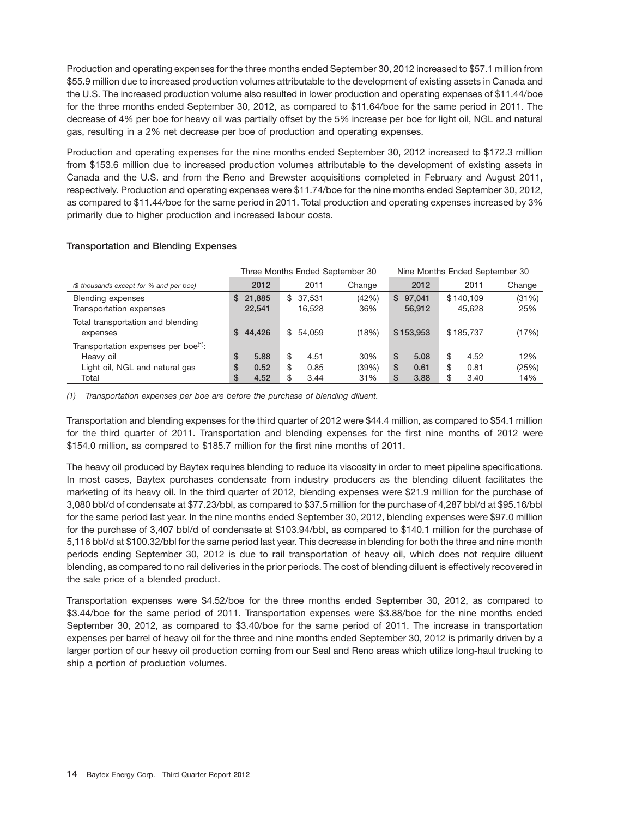Production and operating expenses for the three months ended September 30, 2012 increased to \$57.1 million from \$55.9 million due to increased production volumes attributable to the development of existing assets in Canada and the U.S. The increased production volume also resulted in lower production and operating expenses of \$11.44/boe for the three months ended September 30, 2012, as compared to \$11.64/boe for the same period in 2011. The decrease of 4% per boe for heavy oil was partially offset by the 5% increase per boe for light oil, NGL and natural gas, resulting in a 2% net decrease per boe of production and operating expenses.

Production and operating expenses for the nine months ended September 30, 2012 increased to \$172.3 million from \$153.6 million due to increased production volumes attributable to the development of existing assets in Canada and the U.S. and from the Reno and Brewster acquisitions completed in February and August 2011, respectively. Production and operating expenses were \$11.74/boe for the nine months ended September 30, 2012, as compared to \$11.44/boe for the same period in 2011. Total production and operating expenses increased by 3% primarily due to higher production and increased labour costs.

|                                                  |              | Three Months Ended September 30 |        | Nine Months Ended September 30 |            |        |  |  |
|--------------------------------------------------|--------------|---------------------------------|--------|--------------------------------|------------|--------|--|--|
| (\$ thousands except for % and per boe)          | 2012         | 2011                            | Change | 2012                           | 2011       | Change |  |  |
| <b>Blending expenses</b>                         | 21.885<br>S. | 37.531<br>\$                    | (42%)  | 97.041<br>S.                   | \$140.109  | (31%)  |  |  |
| Transportation expenses                          | 22.541       | 16.528                          | 36%    | 56,912                         | 45.628     | 25%    |  |  |
| Total transportation and blending                |              |                                 |        |                                |            |        |  |  |
| expenses                                         | 44.426<br>S. | \$54.059                        | (18%)  | \$153,953                      | \$185,737  | (17%)  |  |  |
| Transportation expenses per boe <sup>(1)</sup> : |              |                                 |        |                                |            |        |  |  |
| Heavy oil                                        | \$<br>5.88   | \$<br>4.51                      | 30%    | \$<br>5.08                     | \$<br>4.52 | 12%    |  |  |
| Light oil, NGL and natural gas                   | S<br>0.52    | 0.85<br>S                       | (39%)  | \$<br>0.61                     | \$<br>0.81 | (25%)  |  |  |
| Total                                            | S<br>4.52    | 3.44<br>S                       | 31%    | \$<br>3.88                     | \$<br>3.40 | 14%    |  |  |

#### **Transportation and Blending Expenses**

*(1) Transportation expenses per boe are before the purchase of blending diluent.*

Transportation and blending expenses for the third quarter of 2012 were \$44.4 million, as compared to \$54.1 million for the third quarter of 2011. Transportation and blending expenses for the first nine months of 2012 were \$154.0 million, as compared to \$185.7 million for the first nine months of 2011.

The heavy oil produced by Baytex requires blending to reduce its viscosity in order to meet pipeline specifications. In most cases, Baytex purchases condensate from industry producers as the blending diluent facilitates the marketing of its heavy oil. In the third quarter of 2012, blending expenses were \$21.9 million for the purchase of 3,080 bbl/d of condensate at \$77.23/bbl, as compared to \$37.5 million for the purchase of 4,287 bbl/d at \$95.16/bbl for the same period last year. In the nine months ended September 30, 2012, blending expenses were \$97.0 million for the purchase of 3,407 bbl/d of condensate at \$103.94/bbl, as compared to \$140.1 million for the purchase of 5,116 bbl/d at \$100.32/bbl for the same period last year. This decrease in blending for both the three and nine month periods ending September 30, 2012 is due to rail transportation of heavy oil, which does not require diluent blending, as compared to no rail deliveries in the prior periods. The cost of blending diluent is effectively recovered in the sale price of a blended product.

Transportation expenses were \$4.52/boe for the three months ended September 30, 2012, as compared to \$3.44/boe for the same period of 2011. Transportation expenses were \$3.88/boe for the nine months ended September 30, 2012, as compared to \$3.40/boe for the same period of 2011. The increase in transportation expenses per barrel of heavy oil for the three and nine months ended September 30, 2012 is primarily driven by a larger portion of our heavy oil production coming from our Seal and Reno areas which utilize long-haul trucking to ship a portion of production volumes.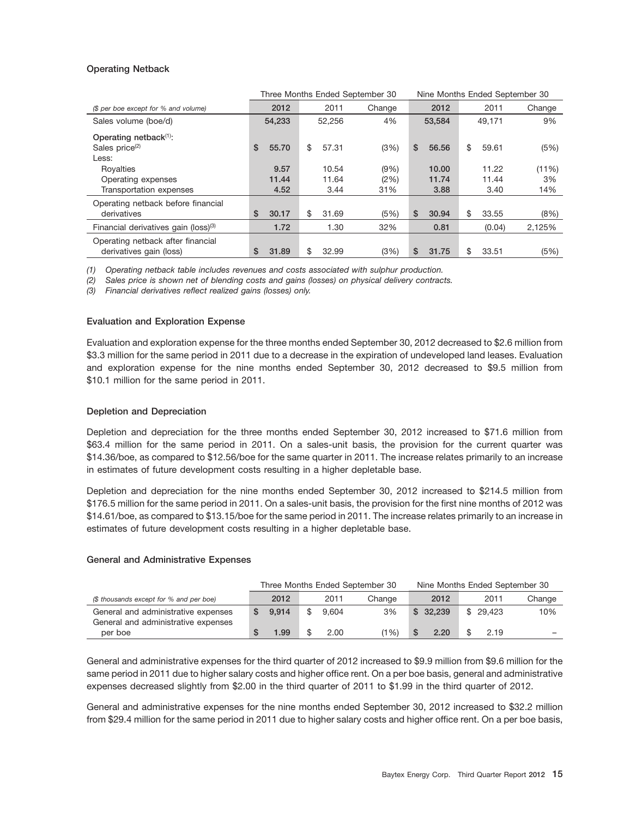#### **Operating Netback**

|                                                  |             |    |        | Three Months Ended September 30 | Nine Months Ended September 30 |    |        |          |  |
|--------------------------------------------------|-------------|----|--------|---------------------------------|--------------------------------|----|--------|----------|--|
| (\$ per boe except for % and volume)             | 2012        |    | 2011   | Change                          | 2012                           |    | 2011   | Change   |  |
| Sales volume (boe/d)                             | 54,233      |    | 52,256 | 4%                              | 53,584                         |    | 49.171 | 9%       |  |
| Operating netback $(1)$ :                        |             |    |        |                                 |                                |    |        |          |  |
| Sales price <sup>(2)</sup>                       | \$<br>55.70 | \$ | 57.31  | (3%)                            | \$<br>56.56                    | \$ | 59.61  | (5%)     |  |
| Less:                                            |             |    |        |                                 |                                |    |        |          |  |
| Royalties                                        | 9.57        |    | 10.54  | (9% )                           | 10.00                          |    | 11.22  | $(11\%)$ |  |
| Operating expenses                               | 11.44       |    | 11.64  | (2%)                            | 11.74                          |    | 11.44  | 3%       |  |
| Transportation expenses                          | 4.52        |    | 3.44   | 31%                             | 3.88                           |    | 3.40   | 14%      |  |
| Operating netback before financial               |             |    |        |                                 |                                |    |        |          |  |
| derivatives                                      | \$<br>30.17 | \$ | 31.69  | (5%)                            | \$<br>30.94                    | \$ | 33.55  | (8%)     |  |
| Financial derivatives gain (loss) <sup>(3)</sup> | 1.72        |    | 1.30   | 32%                             | 0.81                           |    | (0.04) | 2.125%   |  |
| Operating netback after financial                |             |    |        |                                 |                                |    |        |          |  |
| derivatives gain (loss)                          | \$<br>31.89 | \$ | 32.99  | (3%)                            | \$<br>31.75                    | \$ | 33.51  | (5%)     |  |

*(1) Operating netback table includes revenues and costs associated with sulphur production.*

*(2) Sales price is shown net of blending costs and gains (losses) on physical delivery contracts.*

*(3) Financial derivatives reflect realized gains (losses) only.*

#### **Evaluation and Exploration Expense**

Evaluation and exploration expense for the three months ended September 30, 2012 decreased to \$2.6 million from \$3.3 million for the same period in 2011 due to a decrease in the expiration of undeveloped land leases. Evaluation and exploration expense for the nine months ended September 30, 2012 decreased to \$9.5 million from \$10.1 million for the same period in 2011.

#### **Depletion and Depreciation**

Depletion and depreciation for the three months ended September 30, 2012 increased to \$71.6 million from \$63.4 million for the same period in 2011. On a sales-unit basis, the provision for the current quarter was \$14.36*/*boe, as compared to \$12.56/boe for the same quarter in 2011. The increase relates primarily to an increase in estimates of future development costs resulting in a higher depletable base.

Depletion and depreciation for the nine months ended September 30, 2012 increased to \$214.5 million from \$176.5 million for the same period in 2011. On a sales-unit basis, the provision for the first nine months of 2012 was \$14.61/boe, as compared to \$13.15/boe for the same period in 2011. The increase relates primarily to an increase in estimates of future development costs resulting in a higher depletable base.

#### **General and Administrative Expenses**

|                                                                            |   | Three Months Ended September 30 |  |       |        |  | Nine Months Ended September 30 |  |          |        |
|----------------------------------------------------------------------------|---|---------------------------------|--|-------|--------|--|--------------------------------|--|----------|--------|
| (\$ thousands except for % and per boe)                                    |   | 2012                            |  | 2011  | Change |  | 2012                           |  | 2011     | Change |
| General and administrative expenses<br>General and administrative expenses |   | 9.914                           |  | 9.604 | 3%     |  | \$32,239                       |  | \$29.423 | 10%    |
| per boe                                                                    | S | 1.99                            |  | 2.00  | (1%)   |  | 2.20                           |  | 2.19     | -      |

General and administrative expenses for the third quarter of 2012 increased to \$9.9 million from \$9.6 million for the same period in 2011 due to higher salary costs and higher office rent. On a per boe basis, general and administrative expenses decreased slightly from \$2.00 in the third quarter of 2011 to \$1.99 in the third quarter of 2012.

General and administrative expenses for the nine months ended September 30, 2012 increased to \$32.2 million from \$29.4 million for the same period in 2011 due to higher salary costs and higher office rent. On a per boe basis,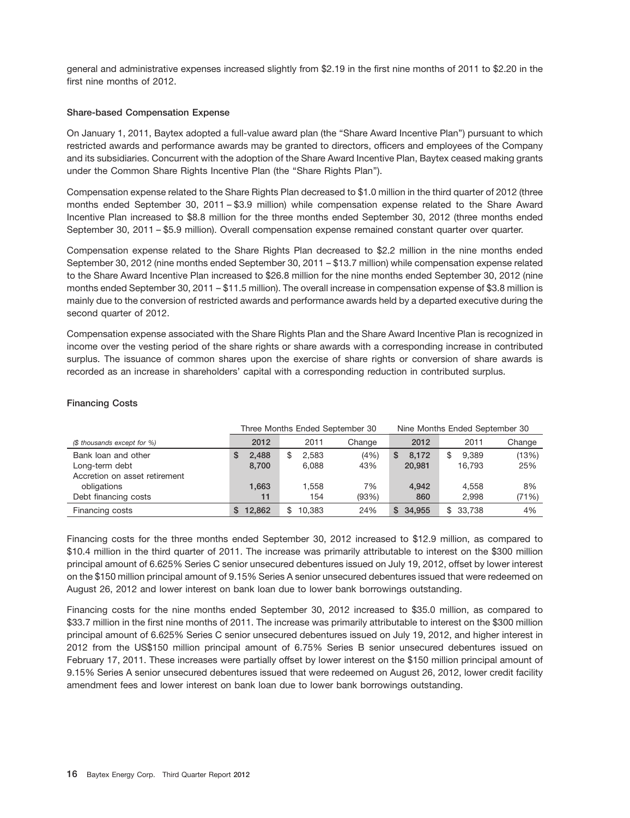general and administrative expenses increased slightly from \$2.19 in the first nine months of 2011 to \$2.20 in the first nine months of 2012.

#### **Share-based Compensation Expense**

On January 1, 2011, Baytex adopted a full-value award plan (the ''Share Award Incentive Plan'') pursuant to which restricted awards and performance awards may be granted to directors, officers and employees of the Company and its subsidiaries. Concurrent with the adoption of the Share Award Incentive Plan, Baytex ceased making grants under the Common Share Rights Incentive Plan (the ''Share Rights Plan'').

Compensation expense related to the Share Rights Plan decreased to \$1.0 million in the third quarter of 2012 (three months ended September 30, 2011 – \$3.9 million) while compensation expense related to the Share Award Incentive Plan increased to \$8.8 million for the three months ended September 30, 2012 (three months ended September 30, 2011 – \$5.9 million). Overall compensation expense remained constant quarter over quarter.

Compensation expense related to the Share Rights Plan decreased to \$2.2 million in the nine months ended September 30, 2012 (nine months ended September 30, 2011 – \$13.7 million) while compensation expense related to the Share Award Incentive Plan increased to \$26.8 million for the nine months ended September 30, 2012 (nine months ended September 30, 2011 – \$11.5 million). The overall increase in compensation expense of \$3.8 million is mainly due to the conversion of restricted awards and performance awards held by a departed executive during the second quarter of 2012.

Compensation expense associated with the Share Rights Plan and the Share Award Incentive Plan is recognized in income over the vesting period of the share rights or share awards with a corresponding increase in contributed surplus. The issuance of common shares upon the exercise of share rights or conversion of share awards is recorded as an increase in shareholders' capital with a corresponding reduction in contributed surplus.

#### **Financing Costs**

|                               |            | Three Months Ended September 30 |        | Nine Months Ended September 30 |             |        |  |
|-------------------------------|------------|---------------------------------|--------|--------------------------------|-------------|--------|--|
| (\$ thousands except for %)   | 2012       | 2011                            | Change | 2012                           | 2011        | Change |  |
| Bank loan and other           | 2.488<br>S | 2.583<br>\$                     | (4% )  | 8,172<br>S                     | 9.389<br>\$ | (13%)  |  |
| Long-term debt                | 8.700      | 6.088                           | 43%    | 20,981                         | 16.793      | 25%    |  |
| Accretion on asset retirement |            |                                 |        |                                |             |        |  |
| obligations                   | 1.663      | 1.558                           | 7%     | 4.942                          | 4.558       | 8%     |  |
| Debt financing costs          | 11         | 154                             | (93%)  | 860                            | 2.998       | (71%)  |  |
| Financing costs               | 12.862     | 10.383                          | 24%    | 34.955<br>S.                   | \$33.738    | 4%     |  |

Financing costs for the three months ended September 30, 2012 increased to \$12.9 million, as compared to \$10.4 million in the third quarter of 2011. The increase was primarily attributable to interest on the \$300 million principal amount of 6.625% Series C senior unsecured debentures issued on July 19, 2012, offset by lower interest on the \$150 million principal amount of 9.15% Series A senior unsecured debentures issued that were redeemed on August 26, 2012 and lower interest on bank loan due to lower bank borrowings outstanding.

Financing costs for the nine months ended September 30, 2012 increased to \$35.0 million, as compared to \$33.7 million in the first nine months of 2011. The increase was primarily attributable to interest on the \$300 million principal amount of 6.625% Series C senior unsecured debentures issued on July 19, 2012, and higher interest in 2012 from the US\$150 million principal amount of 6.75% Series B senior unsecured debentures issued on February 17, 2011. These increases were partially offset by lower interest on the \$150 million principal amount of 9.15% Series A senior unsecured debentures issued that were redeemed on August 26, 2012, lower credit facility amendment fees and lower interest on bank loan due to lower bank borrowings outstanding.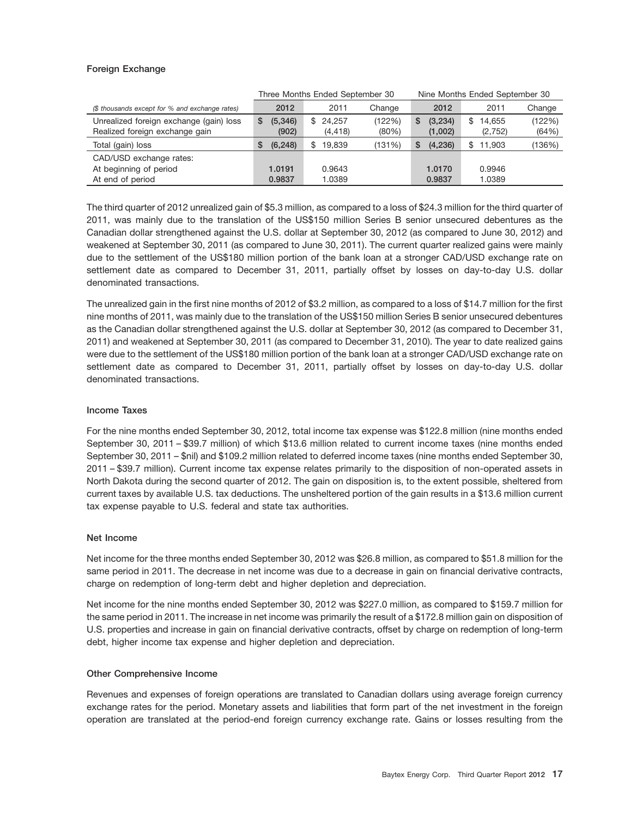#### **Foreign Exchange**

|                                                |               | Three Months Ended September 30 |        | Nine Months Ended September 30 |              |        |  |
|------------------------------------------------|---------------|---------------------------------|--------|--------------------------------|--------------|--------|--|
| (\$ thousands except for % and exchange rates) | 2012          | 2011                            | Change | 2012                           | 2011         | Change |  |
| Unrealized foreign exchange (gain) loss        | (5, 346)<br>S | 24.257<br>S                     | (122%) | (3,234)<br>S                   | 14.655<br>\$ | (122%) |  |
| Realized foreign exchange gain                 | (902)         | (4, 418)                        | (80%)  | (1,002)                        | (2, 752)     | (64%)  |  |
| Total (gain) loss                              | (6, 248)<br>S | 19.839<br>S                     | (131%) | (4,236)<br>S                   | 11,903<br>\$ | (136%) |  |
| CAD/USD exchange rates:                        |               |                                 |        |                                |              |        |  |
| At beginning of period                         | 1.0191        | 0.9643                          |        | 1.0170                         | 0.9946       |        |  |
| At end of period                               | 0.9837        | 1.0389                          |        | 0.9837                         | 1.0389       |        |  |

The third quarter of 2012 unrealized gain of \$5.3 million, as compared to a loss of \$24.3 million for the third quarter of 2011, was mainly due to the translation of the US\$150 million Series B senior unsecured debentures as the Canadian dollar strengthened against the U.S. dollar at September 30, 2012 (as compared to June 30, 2012) and weakened at September 30, 2011 (as compared to June 30, 2011). The current quarter realized gains were mainly due to the settlement of the US\$180 million portion of the bank loan at a stronger CAD/USD exchange rate on settlement date as compared to December 31, 2011, partially offset by losses on day-to-day U.S. dollar denominated transactions.

The unrealized gain in the first nine months of 2012 of \$3.2 million, as compared to a loss of \$14.7 million for the first nine months of 2011, was mainly due to the translation of the US\$150 million Series B senior unsecured debentures as the Canadian dollar strengthened against the U.S. dollar at September 30, 2012 (as compared to December 31, 2011) and weakened at September 30, 2011 (as compared to December 31, 2010). The year to date realized gains were due to the settlement of the US\$180 million portion of the bank loan at a stronger CAD/USD exchange rate on settlement date as compared to December 31, 2011, partially offset by losses on day-to-day U.S. dollar denominated transactions.

#### **Income Taxes**

For the nine months ended September 30, 2012, total income tax expense was \$122.8 million (nine months ended September 30, 2011 – \$39.7 million) of which \$13.6 million related to current income taxes (nine months ended September 30, 2011 – \$nil) and \$109.2 million related to deferred income taxes (nine months ended September 30, 2011 – \$39.7 million). Current income tax expense relates primarily to the disposition of non-operated assets in North Dakota during the second quarter of 2012. The gain on disposition is, to the extent possible, sheltered from current taxes by available U.S. tax deductions. The unsheltered portion of the gain results in a \$13.6 million current tax expense payable to U.S. federal and state tax authorities.

#### **Net Income**

Net income for the three months ended September 30, 2012 was \$26.8 million, as compared to \$51.8 million for the same period in 2011. The decrease in net income was due to a decrease in gain on financial derivative contracts, charge on redemption of long-term debt and higher depletion and depreciation.

Net income for the nine months ended September 30, 2012 was \$227.0 million, as compared to \$159.7 million for the same period in 2011. The increase in net income was primarily the result of a \$172.8 million gain on disposition of U.S. properties and increase in gain on financial derivative contracts, offset by charge on redemption of long-term debt, higher income tax expense and higher depletion and depreciation.

#### **Other Comprehensive Income**

Revenues and expenses of foreign operations are translated to Canadian dollars using average foreign currency exchange rates for the period. Monetary assets and liabilities that form part of the net investment in the foreign operation are translated at the period-end foreign currency exchange rate. Gains or losses resulting from the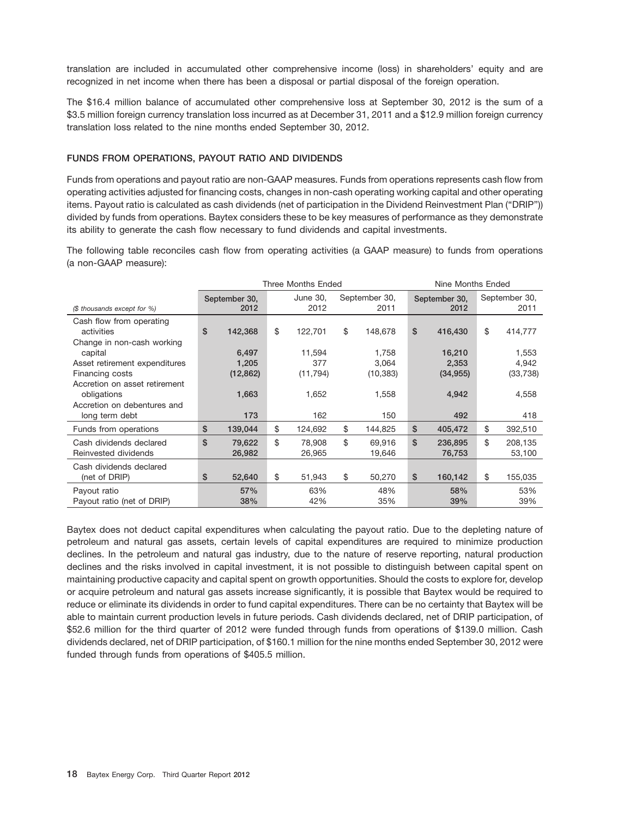translation are included in accumulated other comprehensive income (loss) in shareholders' equity and are recognized in net income when there has been a disposal or partial disposal of the foreign operation.

The \$16.4 million balance of accumulated other comprehensive loss at September 30, 2012 is the sum of a \$3.5 million foreign currency translation loss incurred as at December 31, 2011 and a \$12.9 million foreign currency translation loss related to the nine months ended September 30, 2012.

#### **FUNDS FROM OPERATIONS, PAYOUT RATIO AND DIVIDENDS**

Funds from operations and payout ratio are non-GAAP measures. Funds from operations represents cash flow from operating activities adjusted for financing costs, changes in non-cash operating working capital and other operating items. Payout ratio is calculated as cash dividends (net of participation in the Dividend Reinvestment Plan (''DRIP'')) divided by funds from operations. Baytex considers these to be key measures of performance as they demonstrate its ability to generate the cash flow necessary to fund dividends and capital investments.

The following table reconciles cash flow from operating activities (a GAAP measure) to funds from operations (a non-GAAP measure):

|                                                                                              |                                           | <b>Three Months Ended</b> |                            | Nine Months Ended     |                             |                       |                              |    |                             |
|----------------------------------------------------------------------------------------------|-------------------------------------------|---------------------------|----------------------------|-----------------------|-----------------------------|-----------------------|------------------------------|----|-----------------------------|
| (\$ thousands except for %)                                                                  | June 30,<br>September 30,<br>2012<br>2012 |                           | September 30,<br>2011      | September 30,<br>2012 |                             | September 30,<br>2011 |                              |    |                             |
| Cash flow from operating<br>activities<br>Change in non-cash working                         | \$<br>142,368                             | \$                        | 122,701                    | \$                    | 148,678                     | \$                    | 416,430                      | \$ | 414,777                     |
| capital<br>Asset retirement expenditures<br>Financing costs<br>Accretion on asset retirement | 6,497<br>1,205<br>(12, 862)               |                           | 11,594<br>377<br>(11, 794) |                       | 1,758<br>3.064<br>(10, 383) |                       | 16,210<br>2,353<br>(34, 955) |    | 1,553<br>4,942<br>(33, 738) |
| obligations<br>Accretion on debentures and<br>long term debt                                 | 1,663<br>173                              |                           | 1,652<br>162               |                       | 1,558<br>150                |                       | 4,942<br>492                 |    | 4,558<br>418                |
| Funds from operations                                                                        | \$<br>139,044                             | \$                        | 124,692                    | \$                    | 144,825                     | \$                    | 405,472                      | \$ | 392,510                     |
| Cash dividends declared<br>Reinvested dividends                                              | \$<br>79.622<br>26,982                    | \$                        | 78,908<br>26,965           | \$                    | 69.916<br>19,646            | \$                    | 236,895<br>76,753            | \$ | 208,135<br>53,100           |
| Cash dividends declared<br>(net of DRIP)                                                     | \$<br>52,640                              | \$                        | 51,943                     | \$                    | 50,270                      | \$                    | 160,142                      | \$ | 155,035                     |
| Payout ratio<br>Payout ratio (net of DRIP)                                                   | 57%<br>38%                                |                           | 63%<br>42%                 |                       | 48%<br>35%                  |                       | 58%<br>39%                   |    | 53%<br>39%                  |

Baytex does not deduct capital expenditures when calculating the payout ratio. Due to the depleting nature of petroleum and natural gas assets, certain levels of capital expenditures are required to minimize production declines. In the petroleum and natural gas industry, due to the nature of reserve reporting, natural production declines and the risks involved in capital investment, it is not possible to distinguish between capital spent on maintaining productive capacity and capital spent on growth opportunities. Should the costs to explore for, develop or acquire petroleum and natural gas assets increase significantly, it is possible that Baytex would be required to reduce or eliminate its dividends in order to fund capital expenditures. There can be no certainty that Baytex will be able to maintain current production levels in future periods. Cash dividends declared, net of DRIP participation, of \$52.6 million for the third quarter of 2012 were funded through funds from operations of \$139.0 million. Cash dividends declared, net of DRIP participation, of \$160.1 million for the nine months ended September 30, 2012 were funded through funds from operations of \$405.5 million.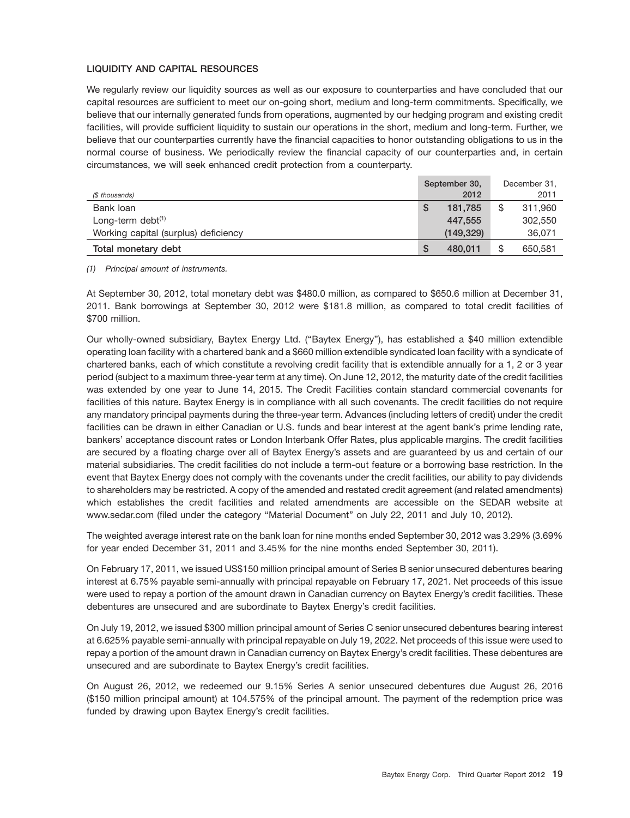#### **LIQUIDITY AND CAPITAL RESOURCES**

We regularly review our liquidity sources as well as our exposure to counterparties and have concluded that our capital resources are sufficient to meet our on-going short, medium and long-term commitments. Specifically, we believe that our internally generated funds from operations, augmented by our hedging program and existing credit facilities, will provide sufficient liquidity to sustain our operations in the short, medium and long-term. Further, we believe that our counterparties currently have the financial capacities to honor outstanding obligations to us in the normal course of business. We periodically review the financial capacity of our counterparties and, in certain circumstances, we will seek enhanced credit protection from a counterparty.

| (\$ thousands)                       |   | September 30,<br>2012 | December 31,<br>2011 |
|--------------------------------------|---|-----------------------|----------------------|
| Bank loan                            | S | 181.785               | 311,960              |
| Long-term debt $(1)$                 |   | 447.555               | 302,550              |
| Working capital (surplus) deficiency |   | (149, 329)            | 36,071               |
| Total monetary debt                  | S | 480.011               | 650,581              |

*(1) Principal amount of instruments.*

At September 30, 2012, total monetary debt was \$480.0 million, as compared to \$650.6 million at December 31, 2011. Bank borrowings at September 30, 2012 were \$181.8 million, as compared to total credit facilities of \$700 million.

Our wholly-owned subsidiary, Baytex Energy Ltd. (''Baytex Energy''), has established a \$40 million extendible operating loan facility with a chartered bank and a \$660 million extendible syndicated loan facility with a syndicate of chartered banks, each of which constitute a revolving credit facility that is extendible annually for a 1, 2 or 3 year period (subject to a maximum three-year term at any time). On June 12, 2012, the maturity date of the credit facilities was extended by one year to June 14, 2015. The Credit Facilities contain standard commercial covenants for facilities of this nature. Baytex Energy is in compliance with all such covenants. The credit facilities do not require any mandatory principal payments during the three-year term. Advances (including letters of credit) under the credit facilities can be drawn in either Canadian or U.S. funds and bear interest at the agent bank's prime lending rate, bankers' acceptance discount rates or London Interbank Offer Rates, plus applicable margins. The credit facilities are secured by a floating charge over all of Baytex Energy's assets and are guaranteed by us and certain of our material subsidiaries. The credit facilities do not include a term-out feature or a borrowing base restriction. In the event that Baytex Energy does not comply with the covenants under the credit facilities, our ability to pay dividends to shareholders may be restricted. A copy of the amended and restated credit agreement (and related amendments) which establishes the credit facilities and related amendments are accessible on the SEDAR website at www.sedar.com (filed under the category "Material Document" on July 22, 2011 and July 10, 2012).

The weighted average interest rate on the bank loan for nine months ended September 30, 2012 was 3.29% (3.69% for year ended December 31, 2011 and 3.45% for the nine months ended September 30, 2011).

On February 17, 2011, we issued US\$150 million principal amount of Series B senior unsecured debentures bearing interest at 6.75% payable semi-annually with principal repayable on February 17, 2021. Net proceeds of this issue were used to repay a portion of the amount drawn in Canadian currency on Baytex Energy's credit facilities. These debentures are unsecured and are subordinate to Baytex Energy's credit facilities.

On July 19, 2012, we issued \$300 million principal amount of Series C senior unsecured debentures bearing interest at 6.625% payable semi-annually with principal repayable on July 19, 2022. Net proceeds of this issue were used to repay a portion of the amount drawn in Canadian currency on Baytex Energy's credit facilities. These debentures are unsecured and are subordinate to Baytex Energy's credit facilities.

On August 26, 2012, we redeemed our 9.15% Series A senior unsecured debentures due August 26, 2016 (\$150 million principal amount) at 104.575% of the principal amount. The payment of the redemption price was funded by drawing upon Baytex Energy's credit facilities.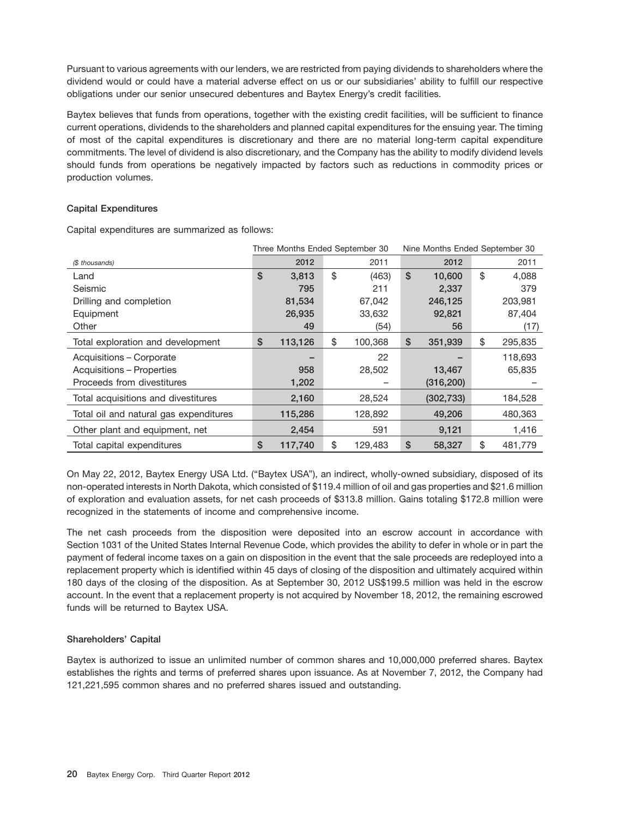Pursuant to various agreements with our lenders, we are restricted from paying dividends to shareholders where the dividend would or could have a material adverse effect on us or our subsidiaries' ability to fulfill our respective obligations under our senior unsecured debentures and Baytex Energy's credit facilities.

Baytex believes that funds from operations, together with the existing credit facilities, will be sufficient to finance current operations, dividends to the shareholders and planned capital expenditures for the ensuing year. The timing of most of the capital expenditures is discretionary and there are no material long-term capital expenditure commitments. The level of dividend is also discretionary, and the Company has the ability to modify dividend levels should funds from operations be negatively impacted by factors such as reductions in commodity prices or production volumes.

#### **Capital Expenditures**

Capital expenditures are summarized as follows:

|                                        | Three Months Ended September 30 |               | Nine Months Ended September 30 |            |    |         |  |
|----------------------------------------|---------------------------------|---------------|--------------------------------|------------|----|---------|--|
| (\$ thousands)                         | 2012                            | 2011          |                                | 2012       |    | 2011    |  |
| Land                                   | \$<br>3,813                     | \$<br>(463)   | \$                             | 10,600     | \$ | 4,088   |  |
| Seismic                                | 795                             | 211           |                                | 2,337      |    | 379     |  |
| Drilling and completion                | 81,534                          | 67,042        |                                | 246,125    |    | 203,981 |  |
| Equipment                              | 26,935                          | 33,632        |                                | 92,821     |    | 87,404  |  |
| Other                                  | 49                              | (54)          |                                | 56         |    | (17)    |  |
| Total exploration and development      | \$<br>113,126                   | \$<br>100,368 | \$                             | 351,939    | \$ | 295,835 |  |
| Acquisitions - Corporate               |                                 | 22            |                                |            |    | 118,693 |  |
| Acquisitions - Properties              | 958                             | 28,502        |                                | 13,467     |    | 65,835  |  |
| Proceeds from divestitures             | 1,202                           |               |                                | (316, 200) |    |         |  |
| Total acquisitions and divestitures    | 2,160                           | 28,524        |                                | (302, 733) |    | 184,528 |  |
| Total oil and natural gas expenditures | 115,286                         | 128,892       |                                | 49,206     |    | 480,363 |  |
| Other plant and equipment, net         | 2,454                           | 591           |                                | 9,121      |    | 1,416   |  |
| Total capital expenditures             | \$<br>117,740                   | \$<br>129,483 | \$                             | 58,327     | \$ | 481,779 |  |

On May 22, 2012, Baytex Energy USA Ltd. (''Baytex USA''), an indirect, wholly-owned subsidiary, disposed of its non-operated interests in North Dakota, which consisted of \$119.4 million of oil and gas properties and \$21.6 million of exploration and evaluation assets, for net cash proceeds of \$313.8 million. Gains totaling \$172.8 million were recognized in the statements of income and comprehensive income.

The net cash proceeds from the disposition were deposited into an escrow account in accordance with Section 1031 of the United States Internal Revenue Code, which provides the ability to defer in whole or in part the payment of federal income taxes on a gain on disposition in the event that the sale proceeds are redeployed into a replacement property which is identified within 45 days of closing of the disposition and ultimately acquired within 180 days of the closing of the disposition. As at September 30, 2012 US\$199.5 million was held in the escrow account. In the event that a replacement property is not acquired by November 18, 2012, the remaining escrowed funds will be returned to Baytex USA.

#### **Shareholders' Capital**

Baytex is authorized to issue an unlimited number of common shares and 10,000,000 preferred shares. Baytex establishes the rights and terms of preferred shares upon issuance. As at November 7, 2012, the Company had 121,221,595 common shares and no preferred shares issued and outstanding.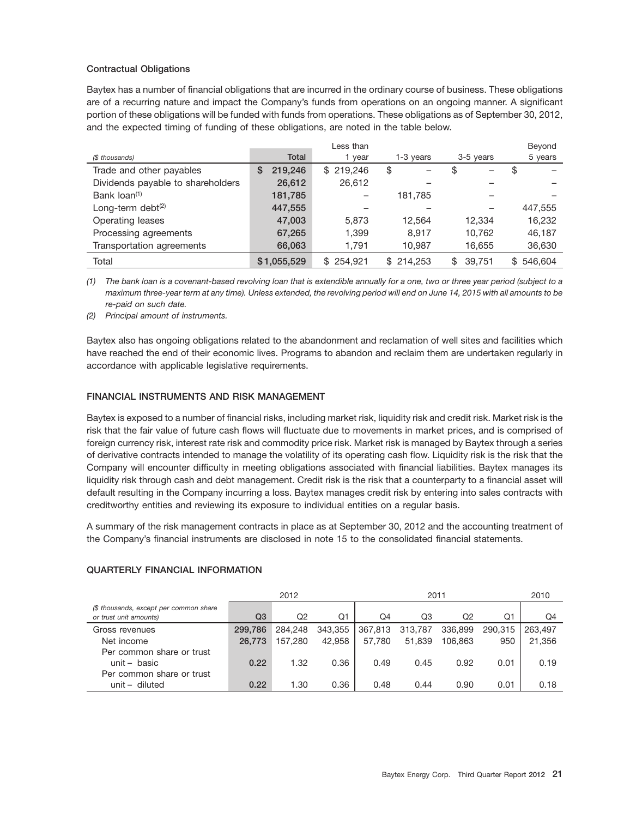#### **Contractual Obligations**

Baytex has a number of financial obligations that are incurred in the ordinary course of business. These obligations are of a recurring nature and impact the Company's funds from operations on an ongoing manner. A significant portion of these obligations will be funded with funds from operations. These obligations as of September 30, 2012, and the expected timing of funding of these obligations, are noted in the table below.

|                                   |              | Less than |           |              | Beyond    |
|-----------------------------------|--------------|-----------|-----------|--------------|-----------|
| (\$ thousands)                    | <b>Total</b> | 1 year    | 1-3 years | 3-5 years    | 5 years   |
| Trade and other payables          | 219,246<br>S | \$219,246 | \$        | \$           | S         |
| Dividends payable to shareholders | 26,612       | 26,612    |           |              | -         |
| Bank loan <sup>(1)</sup>          | 181,785      |           | 181,785   |              |           |
| Long-term debt $(2)$              | 447,555      |           |           |              | 447,555   |
| Operating leases                  | 47,003       | 5.873     | 12.564    | 12.334       | 16,232    |
| Processing agreements             | 67,265       | 1.399     | 8.917     | 10,762       | 46.187    |
| Transportation agreements         | 66,063       | 1,791     | 10,987    | 16,655       | 36,630    |
| Total                             | \$1,055,529  | \$254.921 | \$214.253 | 39.751<br>\$ | \$546,604 |

*(1) The bank loan is a covenant-based revolving loan that is extendible annually for a one, two or three year period (subject to a maximum three-year term at any time). Unless extended, the revolving period will end on June 14, 2015 with all amounts to be re-paid on such date.*

*(2) Principal amount of instruments.*

Baytex also has ongoing obligations related to the abandonment and reclamation of well sites and facilities which have reached the end of their economic lives. Programs to abandon and reclaim them are undertaken regularly in accordance with applicable legislative requirements.

#### **FINANCIAL INSTRUMENTS AND RISK MANAGEMENT**

Baytex is exposed to a number of financial risks, including market risk, liquidity risk and credit risk. Market risk is the risk that the fair value of future cash flows will fluctuate due to movements in market prices, and is comprised of foreign currency risk, interest rate risk and commodity price risk. Market risk is managed by Baytex through a series of derivative contracts intended to manage the volatility of its operating cash flow. Liquidity risk is the risk that the Company will encounter difficulty in meeting obligations associated with financial liabilities. Baytex manages its liquidity risk through cash and debt management. Credit risk is the risk that a counterparty to a financial asset will default resulting in the Company incurring a loss. Baytex manages credit risk by entering into sales contracts with creditworthy entities and reviewing its exposure to individual entities on a regular basis.

A summary of the risk management contracts in place as at September 30, 2012 and the accounting treatment of the Company's financial instruments are disclosed in note 15 to the consolidated financial statements.

#### **QUARTERLY FINANCIAL INFORMATION**

|                                                                  |         | 2012    |         |         |         | 2010    |         |         |
|------------------------------------------------------------------|---------|---------|---------|---------|---------|---------|---------|---------|
| (\$ thousands, except per common share<br>or trust unit amounts) | Q3      | Q2      | Q1      | Q4      | Q3      | Q2      | Ο1      | Q4      |
| Gross revenues                                                   | 299.786 | 284.248 | 343.355 | 367,813 | 313,787 | 336,899 | 290.315 | 263,497 |
| Net income                                                       | 26,773  | 157.280 | 42.958  | 57.780  | 51.839  | 106.863 | 950     | 21,356  |
| Per common share or trust                                        |         |         |         |         |         |         |         |         |
| $unit - basic$                                                   | 0.22    | 1.32    | 0.36    | 0.49    | 0.45    | 0.92    | 0.01    | 0.19    |
| Per common share or trust                                        |         |         |         |         |         |         |         |         |
| $unit - diluted$                                                 | 0.22    | 1.30    | 0.36    | 0.48    | 0.44    | 0.90    | 0.01    | 0.18    |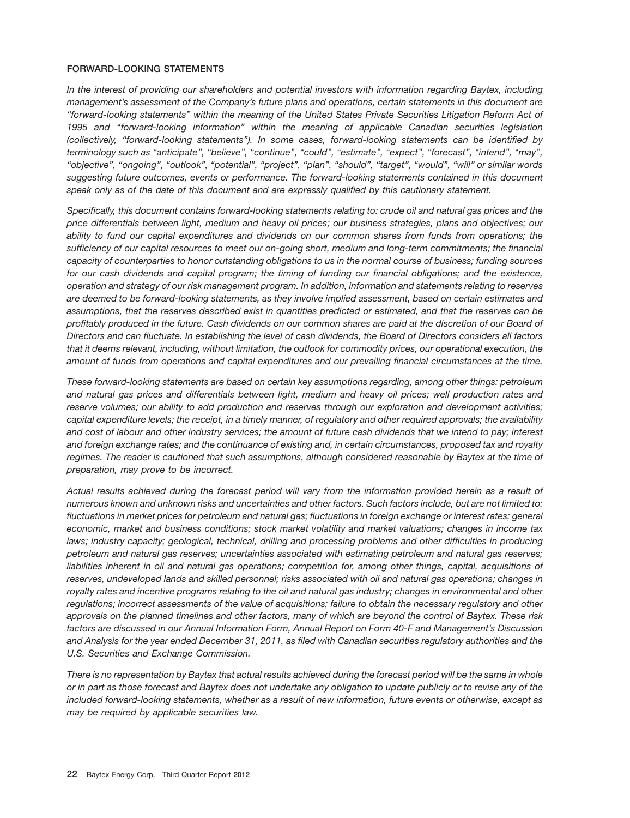#### **FORWARD-LOOKING STATEMENTS**

*In the interest of providing our shareholders and potential investors with information regarding Baytex, including management's assessment of the Company's future plans and operations, certain statements in this document are ''forward-looking statements'' within the meaning of the United States Private Securities Litigation Reform Act of 1995 and ''forward-looking information'' within the meaning of applicable Canadian securities legislation (collectively, ''forward-looking statements''). In some cases, forward-looking statements can be identified by terminology such as ''anticipate'', ''believe'', ''continue'', ''could'', ''estimate'', ''expect'', ''forecast'', ''intend'', ''may'', ''objective'', ''ongoing'', ''outlook'', ''potential'', ''project'', ''plan'', ''should'', ''target'', ''would'', ''will'' or similar words suggesting future outcomes, events or performance. The forward-looking statements contained in this document speak only as of the date of this document and are expressly qualified by this cautionary statement.*

*Specifically, this document contains forward-looking statements relating to: crude oil and natural gas prices and the price differentials between light, medium and heavy oil prices; our business strategies, plans and objectives; our ability to fund our capital expenditures and dividends on our common shares from funds from operations; the sufficiency of our capital resources to meet our on-going short, medium and long-term commitments; the financial capacity of counterparties to honor outstanding obligations to us in the normal course of business; funding sources for our cash dividends and capital program; the timing of funding our financial obligations; and the existence, operation and strategy of our risk management program. In addition, information and statements relating to reserves are deemed to be forward-looking statements, as they involve implied assessment, based on certain estimates and assumptions, that the reserves described exist in quantities predicted or estimated, and that the reserves can be profitably produced in the future. Cash dividends on our common shares are paid at the discretion of our Board of Directors and can fluctuate. In establishing the level of cash dividends, the Board of Directors considers all factors that it deems relevant, including, without limitation, the outlook for commodity prices, our operational execution, the amount of funds from operations and capital expenditures and our prevailing financial circumstances at the time.*

*These forward-looking statements are based on certain key assumptions regarding, among other things: petroleum and natural gas prices and differentials between light, medium and heavy oil prices; well production rates and reserve volumes; our ability to add production and reserves through our exploration and development activities; capital expenditure levels; the receipt, in a timely manner, of regulatory and other required approvals; the availability and cost of labour and other industry services; the amount of future cash dividends that we intend to pay; interest and foreign exchange rates; and the continuance of existing and, in certain circumstances, proposed tax and royalty regimes. The reader is cautioned that such assumptions, although considered reasonable by Baytex at the time of preparation, may prove to be incorrect.*

*Actual results achieved during the forecast period will vary from the information provided herein as a result of numerous known and unknown risks and uncertainties and other factors. Such factors include, but are not limited to: fluctuations in market prices for petroleum and natural gas; fluctuations in foreign exchange or interest rates; general economic, market and business conditions; stock market volatility and market valuations; changes in income tax laws; industry capacity; geological, technical, drilling and processing problems and other difficulties in producing petroleum and natural gas reserves; uncertainties associated with estimating petroleum and natural gas reserves; liabilities inherent in oil and natural gas operations; competition for, among other things, capital, acquisitions of reserves, undeveloped lands and skilled personnel; risks associated with oil and natural gas operations; changes in royalty rates and incentive programs relating to the oil and natural gas industry; changes in environmental and other regulations; incorrect assessments of the value of acquisitions; failure to obtain the necessary regulatory and other approvals on the planned timelines and other factors, many of which are beyond the control of Baytex. These risk factors are discussed in our Annual Information Form, Annual Report on Form 40-F and Management's Discussion and Analysis for the year ended December 31, 2011, as filed with Canadian securities regulatory authorities and the U.S. Securities and Exchange Commission.*

*There is no representation by Baytex that actual results achieved during the forecast period will be the same in whole or in part as those forecast and Baytex does not undertake any obligation to update publicly or to revise any of the included forward-looking statements, whether as a result of new information, future events or otherwise, except as may be required by applicable securities law.*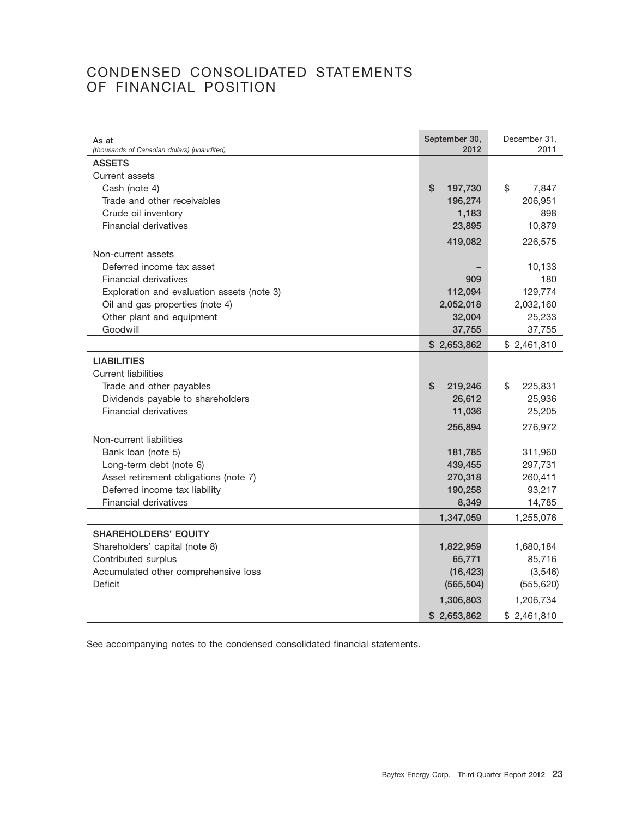### CONDENSED CONSOLIDATED STATEMENTS OF FINANCIAL POSITION

| As at<br>(thousands of Canadian dollars) (unaudited) | September 30,<br>2012 | December 31,<br>2011 |
|------------------------------------------------------|-----------------------|----------------------|
| <b>ASSETS</b>                                        |                       |                      |
| Current assets                                       |                       |                      |
| Cash (note 4)                                        | \$<br>197,730         | \$<br>7,847          |
| Trade and other receivables                          | 196,274               | 206,951              |
| Crude oil inventory                                  | 1,183                 | 898                  |
| <b>Financial derivatives</b>                         | 23,895                | 10,879               |
|                                                      | 419,082               | 226,575              |
| Non-current assets                                   |                       |                      |
| Deferred income tax asset                            |                       | 10,133               |
| <b>Financial derivatives</b>                         | 909                   | 180                  |
| Exploration and evaluation assets (note 3)           | 112,094               | 129,774              |
| Oil and gas properties (note 4)                      | 2,052,018             | 2,032,160            |
| Other plant and equipment                            | 32,004                | 25,233               |
| Goodwill                                             | 37,755                | 37,755               |
|                                                      | \$2,653,862           | \$2,461,810          |
| <b>LIABILITIES</b>                                   |                       |                      |
| <b>Current liabilities</b>                           |                       |                      |
| Trade and other payables                             | \$<br>219,246         | \$<br>225,831        |
| Dividends payable to shareholders                    | 26,612                | 25,936               |
| <b>Financial derivatives</b>                         | 11,036                | 25,205               |
|                                                      | 256,894               | 276,972              |
| Non-current liabilities                              |                       |                      |
| Bank loan (note 5)                                   | 181,785               | 311,960              |
| Long-term debt (note 6)                              | 439,455               | 297,731              |
| Asset retirement obligations (note 7)                | 270,318               | 260,411              |
| Deferred income tax liability                        | 190,258               | 93,217               |
| <b>Financial derivatives</b>                         | 8,349                 | 14,785               |
|                                                      | 1,347,059             | 1,255,076            |
| <b>SHAREHOLDERS' EQUITY</b>                          |                       |                      |
| Shareholders' capital (note 8)                       | 1,822,959             | 1,680,184            |
| Contributed surplus                                  | 65,771                | 85,716               |
| Accumulated other comprehensive loss                 | (16, 423)             | (3, 546)             |
| Deficit                                              | (565, 504)            | (555, 620)           |
|                                                      | 1,306,803             | 1,206,734            |
|                                                      | \$2,653,862           | \$2,461,810          |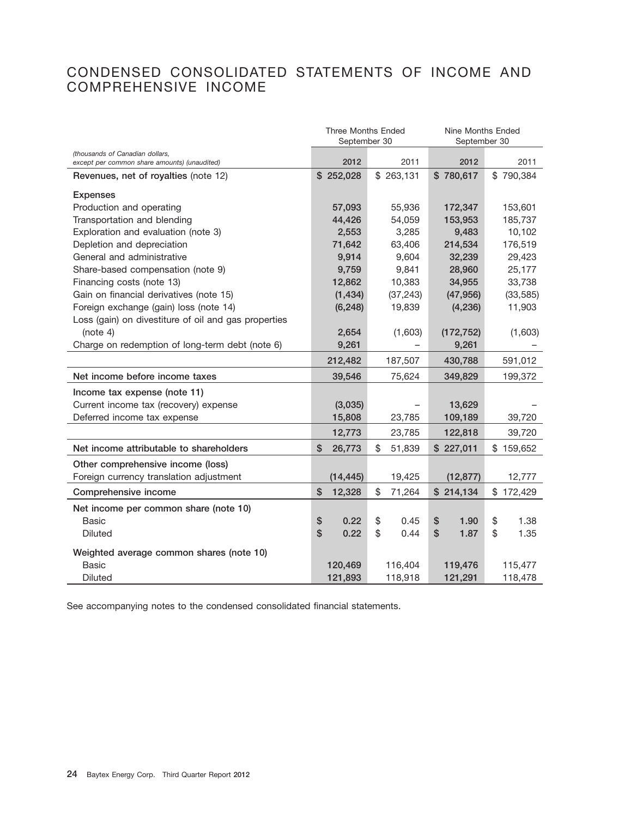### CONDENSED CONSOLIDATED STATEMENTS OF INCOME AND COMPREHENSIVE INCOME

|                                                                                 | <b>Three Months Ended</b><br>September 30 |              | Nine Months Ended<br>September 30 |            |  |
|---------------------------------------------------------------------------------|-------------------------------------------|--------------|-----------------------------------|------------|--|
| (thousands of Canadian dollars,<br>except per common share amounts) (unaudited) | 2012                                      | 2011         | 2012                              | 2011       |  |
| Revenues, net of royalties (note 12)                                            | \$252,028                                 | \$263,131    | \$780,617                         | \$790,384  |  |
| <b>Expenses</b>                                                                 |                                           |              |                                   |            |  |
| Production and operating                                                        | 57,093                                    | 55,936       | 172,347                           | 153,601    |  |
| Transportation and blending                                                     | 44,426                                    | 54,059       | 153,953                           | 185,737    |  |
| Exploration and evaluation (note 3)                                             | 2,553                                     | 3,285        | 9,483                             | 10,102     |  |
| Depletion and depreciation                                                      | 71,642                                    | 63,406       | 214,534                           | 176,519    |  |
| General and administrative                                                      | 9,914                                     | 9,604        | 32,239                            | 29,423     |  |
| Share-based compensation (note 9)                                               | 9,759                                     | 9,841        | 28,960                            | 25,177     |  |
| Financing costs (note 13)                                                       | 12,862                                    | 10,383       | 34,955                            | 33,738     |  |
| Gain on financial derivatives (note 15)                                         | (1, 434)                                  | (37, 243)    | (47, 956)                         | (33, 585)  |  |
| Foreign exchange (gain) loss (note 14)                                          | (6, 248)                                  | 19,839       | (4, 236)                          | 11,903     |  |
| Loss (gain) on divestiture of oil and gas properties                            |                                           |              |                                   |            |  |
| (note 4)                                                                        | 2,654                                     | (1,603)      | (172, 752)                        | (1,603)    |  |
| Charge on redemption of long-term debt (note 6)                                 | 9,261                                     |              | 9,261                             |            |  |
|                                                                                 | 212,482                                   | 187,507      | 430,788                           | 591,012    |  |
| Net income before income taxes                                                  | 39,546                                    | 75,624       | 349,829                           | 199,372    |  |
| Income tax expense (note 11)                                                    |                                           |              |                                   |            |  |
| Current income tax (recovery) expense                                           | (3,035)                                   |              | 13,629                            |            |  |
| Deferred income tax expense                                                     | 15,808                                    | 23,785       | 109,189                           | 39,720     |  |
|                                                                                 | 12,773                                    | 23,785       | 122,818                           | 39,720     |  |
| Net income attributable to shareholders                                         | \$<br>26,773                              | \$<br>51,839 | \$227,011                         | \$159,652  |  |
| Other comprehensive income (loss)                                               |                                           |              |                                   |            |  |
| Foreign currency translation adjustment                                         | (14, 445)                                 | 19,425       | (12, 877)                         | 12,777     |  |
| Comprehensive income                                                            | \$<br>12,328                              | \$<br>71,264 | \$214,134                         | \$172,429  |  |
| Net income per common share (note 10)                                           |                                           |              |                                   |            |  |
| <b>Basic</b>                                                                    | \$<br>0.22                                | \$<br>0.45   | \$<br>1.90                        | \$<br>1.38 |  |
| <b>Diluted</b>                                                                  | $\mathsf{\$}$<br>0.22                     | \$<br>0.44   | \$<br>1.87                        | \$<br>1.35 |  |
| Weighted average common shares (note 10)                                        |                                           |              |                                   |            |  |
| Basic                                                                           | 120,469                                   | 116,404      | 119,476                           | 115,477    |  |
| <b>Diluted</b>                                                                  | 121,893                                   | 118,918      | 121,291                           | 118,478    |  |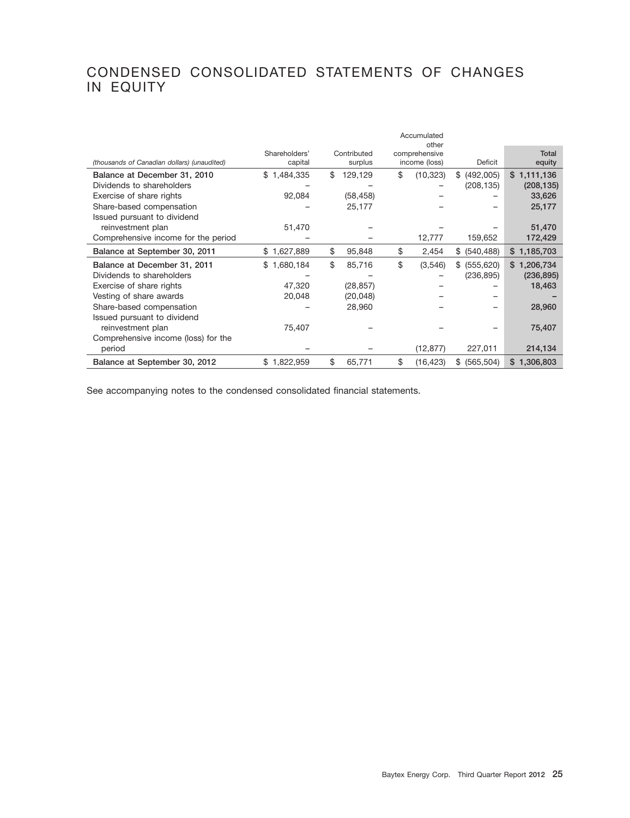## CONDENSED CONSOLIDATED STATEMENTS OF CHANGES IN EQUITY

|                                             | Accumulated<br>other |    |             |    |               |                  |             |
|---------------------------------------------|----------------------|----|-------------|----|---------------|------------------|-------------|
|                                             | Shareholders'        |    | Contributed |    | comprehensive |                  | Total       |
| (thousands of Canadian dollars) (unaudited) | capital              |    | surplus     |    | income (loss) | Deficit          | equity      |
| Balance at December 31, 2010                | \$1,484,335          | \$ | 129,129     | \$ | (10, 323)     | (492,005)<br>\$  | \$1,111,136 |
| Dividends to shareholders                   |                      |    |             |    |               | (208, 135)       | (208, 135)  |
| Exercise of share rights                    | 92,084               |    | (58, 458)   |    |               |                  | 33,626      |
| Share-based compensation                    |                      |    | 25,177      |    |               |                  | 25,177      |
| Issued pursuant to dividend                 |                      |    |             |    |               |                  |             |
| reinvestment plan                           | 51,470               |    |             |    |               |                  | 51,470      |
| Comprehensive income for the period         |                      |    |             |    | 12,777        | 159,652          | 172,429     |
| Balance at September 30, 2011               | \$1,627,889          | \$ | 95,848      | \$ | 2,454         | \$ (540, 488)    | \$1,185,703 |
| Balance at December 31, 2011                | \$1,680,184          | \$ | 85,716      | \$ | (3,546)       | (555, 620)<br>\$ | \$1,206,734 |
| Dividends to shareholders                   |                      |    |             |    |               | (236, 895)       | (236, 895)  |
| Exercise of share rights                    | 47,320               |    | (28, 857)   |    |               |                  | 18,463      |
| Vesting of share awards                     | 20,048               |    | (20, 048)   |    |               |                  |             |
| Share-based compensation                    |                      |    | 28,960      |    |               |                  | 28,960      |
| Issued pursuant to dividend                 |                      |    |             |    |               |                  |             |
| reinvestment plan                           | 75,407               |    |             |    |               |                  | 75,407      |
| Comprehensive income (loss) for the         |                      |    |             |    |               |                  |             |
| period                                      |                      |    |             |    | (12, 877)     | 227,011          | 214,134     |
| Balance at September 30, 2012               | \$1,822,959          | \$ | 65,771      | \$ | (16, 423)     | \$ (565,504)     | \$1,306,803 |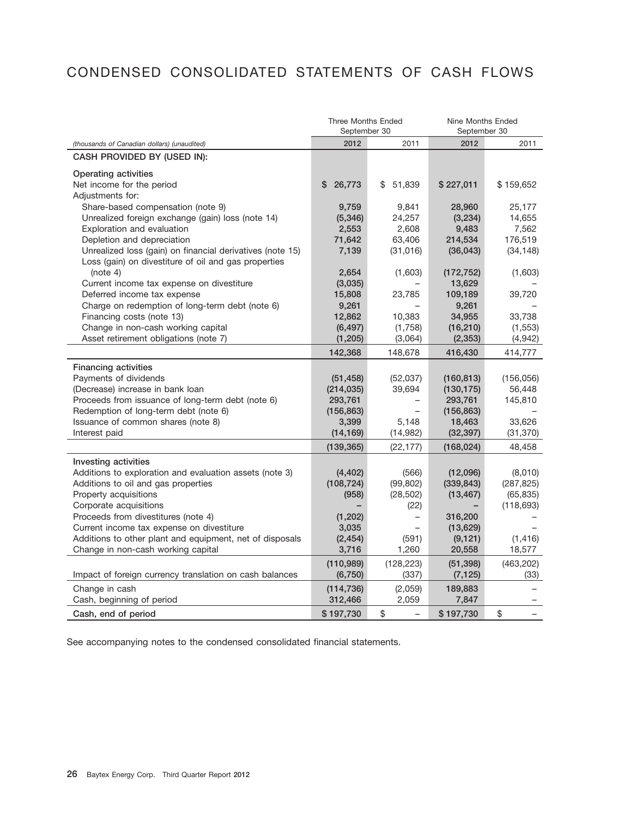## CONDENSED CONSOLIDATED STATEMENTS OF CASH FLOWS

|                                                                  | <b>Three Months Ended</b><br>September 30 |                                | Nine Months Ended<br>September 30 |                         |  |
|------------------------------------------------------------------|-------------------------------------------|--------------------------------|-----------------------------------|-------------------------|--|
| (thousands of Canadian dollars) (unaudited)                      | 2012                                      | 2011                           | 2012                              | 2011                    |  |
| CASH PROVIDED BY (USED IN):                                      |                                           |                                |                                   |                         |  |
| Operating activities                                             |                                           |                                |                                   |                         |  |
| Net income for the period                                        | 26,773<br>S                               | 51,839<br>\$                   | \$227,011                         | \$159,652               |  |
| Adjustments for:                                                 |                                           |                                |                                   |                         |  |
| Share-based compensation (note 9)                                | 9,759                                     | 9,841                          | 28,960                            | 25,177                  |  |
| Unrealized foreign exchange (gain) loss (note 14)                | (5, 346)                                  | 24,257                         | (3, 234)                          | 14,655                  |  |
| Exploration and evaluation                                       | 2,553                                     | 2,608                          | 9,483                             | 7,562                   |  |
| Depletion and depreciation                                       | 71,642                                    | 63,406                         | 214,534                           | 176,519                 |  |
| Unrealized loss (gain) on financial derivatives (note 15)        | 7,139                                     | (31, 016)                      | (36, 043)                         | (34, 148)               |  |
| Loss (gain) on divestiture of oil and gas properties<br>(note 4) | 2,654                                     | (1,603)                        | (172, 752)                        | (1,603)                 |  |
| Current income tax expense on divestiture                        | (3,035)                                   |                                | 13,629                            |                         |  |
| Deferred income tax expense                                      | 15,808                                    | 23,785                         | 109,189                           | 39,720                  |  |
| Charge on redemption of long-term debt (note 6)                  | 9,261                                     |                                | 9,261                             |                         |  |
| Financing costs (note 13)                                        | 12,862                                    | 10,383                         | 34,955                            | 33,738                  |  |
| Change in non-cash working capital                               | (6, 497)                                  | (1,758)                        | (16, 210)                         | (1, 553)                |  |
| Asset retirement obligations (note 7)                            | (1, 205)                                  | (3,064)                        | (2, 353)                          | (4,942)                 |  |
|                                                                  | 142,368                                   | 148,678                        | 416,430                           | 414,777                 |  |
| <b>Financing activities</b>                                      |                                           |                                |                                   |                         |  |
| Payments of dividends                                            | (51, 458)                                 | (52,037)                       | (160, 813)                        | (156, 056)              |  |
| (Decrease) increase in bank loan                                 | (214, 035)                                | 39,694                         | (130, 175)                        | 56,448                  |  |
| Proceeds from issuance of long-term debt (note 6)                | 293,761                                   | $\overline{\phantom{0}}$       | 293,761                           | 145,810                 |  |
| Redemption of long-term debt (note 6)                            | (156, 863)                                |                                | (156, 863)                        |                         |  |
| Issuance of common shares (note 8)                               | 3,399                                     | 5,148                          | 18,463                            | 33,626                  |  |
| Interest paid                                                    | (14, 169)                                 | (14, 982)                      | (32, 397)                         | (31, 370)               |  |
|                                                                  | (139, 365)                                | (22, 177)                      | (168,024)                         | 48,458                  |  |
| <b>Investing activities</b>                                      |                                           |                                |                                   |                         |  |
| Additions to exploration and evaluation assets (note 3)          | (4, 402)                                  | (566)                          | (12,096)                          | (8,010)                 |  |
| Additions to oil and gas properties                              | (108, 724)                                | (99, 802)                      | (339, 843)                        | (287, 825)              |  |
| Property acquisitions<br>Corporate acquisitions                  | (958)                                     | (28, 502)<br>(22)              | (13, 467)                         | (65, 835)<br>(118, 693) |  |
| Proceeds from divestitures (note 4)                              | (1, 202)                                  | -                              | 316,200                           |                         |  |
| Current income tax expense on divestiture                        | 3,035                                     | $\overline{\phantom{0}}$       | (13, 629)                         |                         |  |
| Additions to other plant and equipment, net of disposals         | (2, 454)                                  | (591)                          | (9, 121)                          | (1, 416)                |  |
| Change in non-cash working capital                               | 3,716                                     | 1,260                          | 20,558                            | 18,577                  |  |
|                                                                  | (110, 989)                                | (128, 223)                     | (51, 398)                         | (463, 202)              |  |
| Impact of foreign currency translation on cash balances          | (6, 750)                                  | (337)                          | (7, 125)                          | (33)                    |  |
| Change in cash                                                   | (114, 736)                                | (2,059)                        | 189,883                           |                         |  |
| Cash, beginning of period                                        | 312,466                                   | 2,059                          | 7,847                             |                         |  |
| Cash, end of period                                              | \$197,730                                 | \$<br>$\overline{\phantom{0}}$ | \$197,730                         | \$                      |  |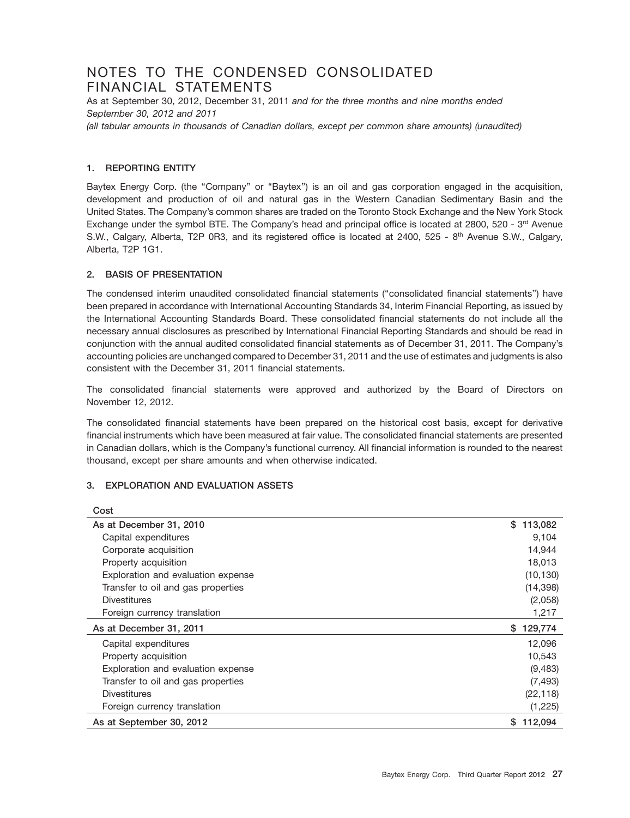### NOTES TO THE CONDENSED CONSOLIDATED FINANCIAL STATEMENTS

As at September 30, 2012, December 31, 2011 *and for the three months and nine months ended September 30, 2012 and 2011*

*(all tabular amounts in thousands of Canadian dollars, except per common share amounts) (unaudited)*

### **1. REPORTING ENTITY**

Baytex Energy Corp. (the "Company" or "Baytex") is an oil and gas corporation engaged in the acquisition, development and production of oil and natural gas in the Western Canadian Sedimentary Basin and the United States. The Company's common shares are traded on the Toronto Stock Exchange and the New York Stock Exchange under the symbol BTE. The Company's head and principal office is located at 2800, 520 - 3<sup>rd</sup> Avenue S.W., Calgary, Alberta, T2P 0R3, and its registered office is located at 2400, 525 - 8<sup>th</sup> Avenue S.W., Calgary, Alberta, T2P 1G1.

#### **2. BASIS OF PRESENTATION**

The condensed interim unaudited consolidated financial statements (''consolidated financial statements'') have been prepared in accordance with International Accounting Standards 34, Interim Financial Reporting, as issued by the International Accounting Standards Board. These consolidated financial statements do not include all the necessary annual disclosures as prescribed by International Financial Reporting Standards and should be read in conjunction with the annual audited consolidated financial statements as of December 31, 2011. The Company's accounting policies are unchanged compared to December 31, 2011 and the use of estimates and judgments is also consistent with the December 31, 2011 financial statements.

The consolidated financial statements were approved and authorized by the Board of Directors on November 12, 2012.

The consolidated financial statements have been prepared on the historical cost basis, except for derivative financial instruments which have been measured at fair value. The consolidated financial statements are presented in Canadian dollars, which is the Company's functional currency. All financial information is rounded to the nearest thousand, except per share amounts and when otherwise indicated.

#### **3. EXPLORATION AND EVALUATION ASSETS**

| Cost                               |               |
|------------------------------------|---------------|
| As at December 31, 2010            | \$113,082     |
| Capital expenditures               | 9,104         |
| Corporate acquisition              | 14,944        |
| Property acquisition               | 18,013        |
| Exploration and evaluation expense | (10, 130)     |
| Transfer to oil and gas properties | (14, 398)     |
| <b>Divestitures</b>                | (2,058)       |
| Foreign currency translation       | 1,217         |
| As at December 31, 2011            | 129,774<br>S. |
| Capital expenditures               | 12,096        |
| Property acquisition               | 10,543        |
| Exploration and evaluation expense | (9,483)       |
| Transfer to oil and gas properties | (7, 493)      |
| <b>Divestitures</b>                | (22, 118)     |
| Foreign currency translation       | (1,225)       |
| As at September 30, 2012           | \$112.094     |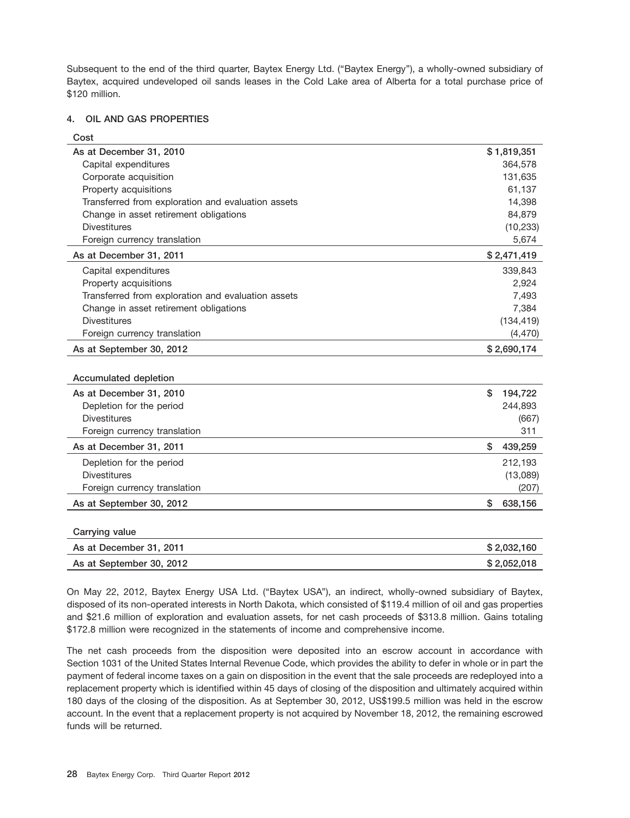Subsequent to the end of the third quarter, Baytex Energy Ltd. (''Baytex Energy''), a wholly-owned subsidiary of Baytex, acquired undeveloped oil sands leases in the Cold Lake area of Alberta for a total purchase price of \$120 million.

#### **4. OIL AND GAS PROPERTIES**

| Cost                                               |               |
|----------------------------------------------------|---------------|
| As at December 31, 2010                            | \$1,819,351   |
| Capital expenditures                               | 364,578       |
| Corporate acquisition                              | 131,635       |
| Property acquisitions                              | 61,137        |
| Transferred from exploration and evaluation assets | 14,398        |
| Change in asset retirement obligations             | 84,879        |
| <b>Divestitures</b>                                | (10, 233)     |
| Foreign currency translation                       | 5,674         |
| As at December 31, 2011                            | \$2,471,419   |
| Capital expenditures                               | 339,843       |
| Property acquisitions                              | 2,924         |
| Transferred from exploration and evaluation assets | 7,493         |
| Change in asset retirement obligations             | 7,384         |
| <b>Divestitures</b>                                | (134, 419)    |
| Foreign currency translation                       | (4, 470)      |
| As at September 30, 2012                           | \$2,690,174   |
|                                                    |               |
| Accumulated depletion                              |               |
| As at December 31, 2010                            | \$<br>194,722 |
| Depletion for the period                           | 244,893       |
| <b>Divestitures</b>                                | (667)         |
| Foreign currency translation                       | 311           |
| As at December 31, 2011                            | \$<br>439,259 |
| Depletion for the period                           | 212,193       |
| <b>Divestitures</b>                                | (13,089)      |
| Foreign currency translation                       | (207)         |
| As at September 30, 2012                           | 638,156<br>\$ |
|                                                    |               |
| Carrying value                                     |               |
| As at December 31, 2011                            | \$2,032,160   |
| As at September 30, 2012                           | \$2,052,018   |

On May 22, 2012, Baytex Energy USA Ltd. (''Baytex USA''), an indirect, wholly-owned subsidiary of Baytex, disposed of its non-operated interests in North Dakota, which consisted of \$119.4 million of oil and gas properties and \$21.6 million of exploration and evaluation assets, for net cash proceeds of \$313.8 million. Gains totaling \$172.8 million were recognized in the statements of income and comprehensive income.

The net cash proceeds from the disposition were deposited into an escrow account in accordance with Section 1031 of the United States Internal Revenue Code, which provides the ability to defer in whole or in part the payment of federal income taxes on a gain on disposition in the event that the sale proceeds are redeployed into a replacement property which is identified within 45 days of closing of the disposition and ultimately acquired within 180 days of the closing of the disposition. As at September 30, 2012, US\$199.5 million was held in the escrow account. In the event that a replacement property is not acquired by November 18, 2012, the remaining escrowed funds will be returned.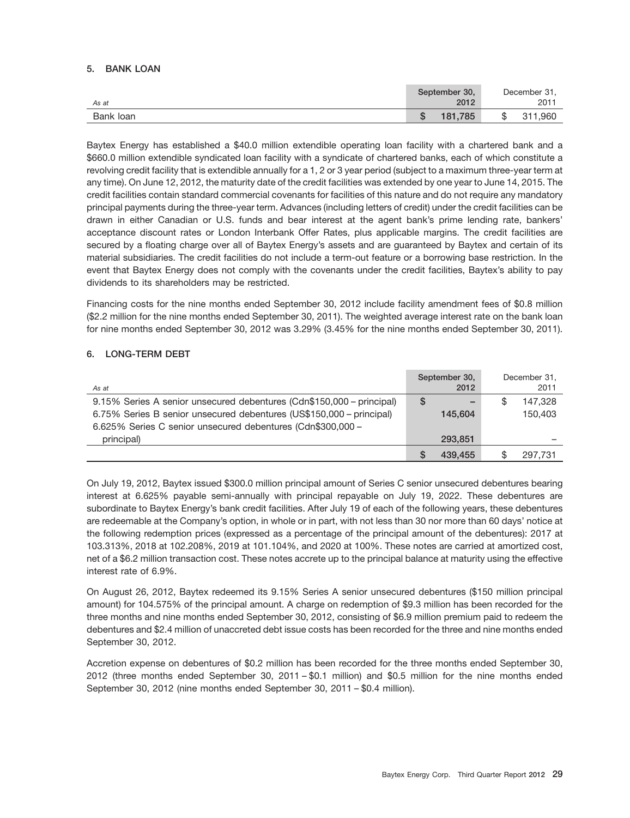#### **5. BANK LOAN**

| As at     | September 30,<br>2012 | December 31,<br>2011 |
|-----------|-----------------------|----------------------|
| Bank loan | 181.785               | 311,960<br>◡         |

Baytex Energy has established a \$40.0 million extendible operating loan facility with a chartered bank and a \$660.0 million extendible syndicated loan facility with a syndicate of chartered banks, each of which constitute a revolving credit facility that is extendible annually for a 1, 2 or 3 year period (subject to a maximum three-year term at any time). On June 12, 2012, the maturity date of the credit facilities was extended by one year to June 14, 2015. The credit facilities contain standard commercial covenants for facilities of this nature and do not require any mandatory principal payments during the three-year term. Advances (including letters of credit) under the credit facilities can be drawn in either Canadian or U.S. funds and bear interest at the agent bank's prime lending rate, bankers' acceptance discount rates or London Interbank Offer Rates, plus applicable margins. The credit facilities are secured by a floating charge over all of Baytex Energy's assets and are guaranteed by Baytex and certain of its material subsidiaries. The credit facilities do not include a term-out feature or a borrowing base restriction. In the event that Baytex Energy does not comply with the covenants under the credit facilities, Baytex's ability to pay dividends to its shareholders may be restricted.

Financing costs for the nine months ended September 30, 2012 include facility amendment fees of \$0.8 million (\$2.2 million for the nine months ended September 30, 2011). The weighted average interest rate on the bank loan for nine months ended September 30, 2012 was 3.29% (3.45% for the nine months ended September 30, 2011).

#### **6. LONG-TERM DEBT**

| As at                                                                 |   | September 30,<br>2012 |   | December 31,<br>2011 |
|-----------------------------------------------------------------------|---|-----------------------|---|----------------------|
| 9.15% Series A senior unsecured debentures (Cdn\$150,000 – principal) | S | -                     | S | 147.328              |
| 6.75% Series B senior unsecured debentures (US\$150,000 - principal)  |   | 145,604               |   | 150,403              |
| 6.625% Series C senior unsecured debentures (Cdn\$300,000 -           |   |                       |   |                      |
| principal)                                                            |   | 293,851               |   |                      |
|                                                                       |   | 439,455               |   | 297.731              |

On July 19, 2012, Baytex issued \$300.0 million principal amount of Series C senior unsecured debentures bearing interest at 6.625% payable semi-annually with principal repayable on July 19, 2022. These debentures are subordinate to Baytex Energy's bank credit facilities. After July 19 of each of the following years, these debentures are redeemable at the Company's option, in whole or in part, with not less than 30 nor more than 60 days' notice at the following redemption prices (expressed as a percentage of the principal amount of the debentures): 2017 at 103.313%, 2018 at 102.208%, 2019 at 101.104%, and 2020 at 100%. These notes are carried at amortized cost, net of a \$6.2 million transaction cost. These notes accrete up to the principal balance at maturity using the effective interest rate of 6.9%.

On August 26, 2012, Baytex redeemed its 9.15% Series A senior unsecured debentures (\$150 million principal amount) for 104.575% of the principal amount. A charge on redemption of \$9.3 million has been recorded for the three months and nine months ended September 30, 2012, consisting of \$6.9 million premium paid to redeem the debentures and \$2.4 million of unaccreted debt issue costs has been recorded for the three and nine months ended September 30, 2012.

Accretion expense on debentures of \$0.2 million has been recorded for the three months ended September 30, 2012 (three months ended September 30, 2011 – \$0.1 million) and \$0.5 million for the nine months ended September 30, 2012 (nine months ended September 30, 2011 – \$0.4 million).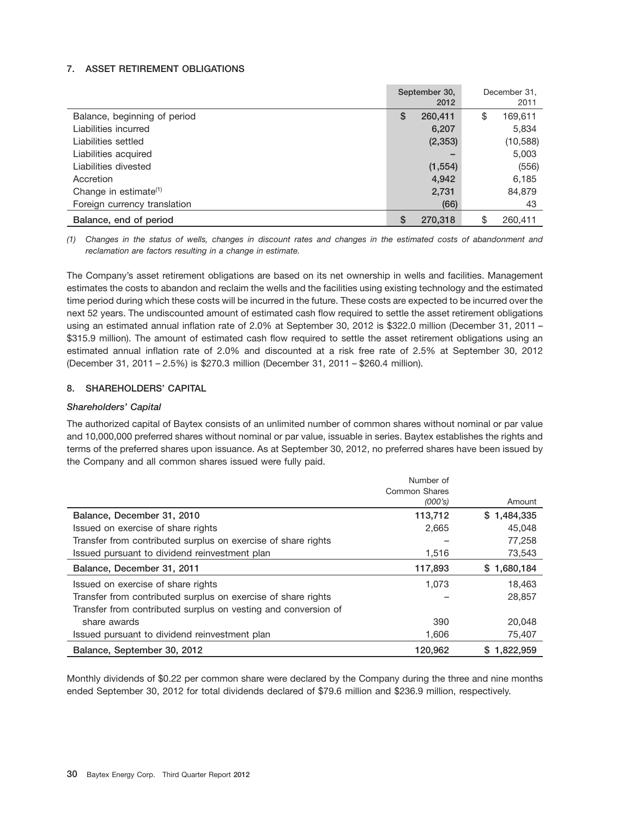#### **7. ASSET RETIREMENT OBLIGATIONS**

|                                   |    | September 30,<br>2012 | December 31.<br>2011 |
|-----------------------------------|----|-----------------------|----------------------|
| Balance, beginning of period      | \$ | 260,411               | \$<br>169,611        |
| Liabilities incurred              |    | 6,207                 | 5,834                |
| Liabilities settled               |    | (2,353)               | (10, 588)            |
| Liabilities acquired              |    |                       | 5,003                |
| Liabilities divested              |    | (1, 554)              | (556)                |
| Accretion                         |    | 4,942                 | 6,185                |
| Change in estimate <sup>(1)</sup> |    | 2,731                 | 84,879               |
| Foreign currency translation      |    | (66)                  | 43                   |
| Balance, end of period            | S  | 270,318               | \$<br>260,411        |

*(1) Changes in the status of wells, changes in discount rates and changes in the estimated costs of abandonment and reclamation are factors resulting in a change in estimate.*

The Company's asset retirement obligations are based on its net ownership in wells and facilities. Management estimates the costs to abandon and reclaim the wells and the facilities using existing technology and the estimated time period during which these costs will be incurred in the future. These costs are expected to be incurred over the next 52 years. The undiscounted amount of estimated cash flow required to settle the asset retirement obligations using an estimated annual inflation rate of 2.0% at September 30, 2012 is \$322.0 million (December 31, 2011 – \$315.9 million). The amount of estimated cash flow required to settle the asset retirement obligations using an estimated annual inflation rate of 2.0% and discounted at a risk free rate of 2.5% at September 30, 2012 (December 31, 2011 – 2.5%) is \$270.3 million (December 31, 2011 – \$260.4 million).

#### **8. SHAREHOLDERS' CAPITAL**

#### *Shareholders' Capital*

The authorized capital of Baytex consists of an unlimited number of common shares without nominal or par value and 10,000,000 preferred shares without nominal or par value, issuable in series. Baytex establishes the rights and terms of the preferred shares upon issuance. As at September 30, 2012, no preferred shares have been issued by the Company and all common shares issued were fully paid.

|                                                                | Number of<br><b>Common Shares</b> |                |
|----------------------------------------------------------------|-----------------------------------|----------------|
|                                                                | (000's)                           | Amount         |
| Balance, December 31, 2010                                     | 113,712                           | \$1,484,335    |
| Issued on exercise of share rights                             | 2,665                             | 45.048         |
| Transfer from contributed surplus on exercise of share rights  |                                   | 77,258         |
| Issued pursuant to dividend reinvestment plan                  | 1,516                             | 73,543         |
| Balance, December 31, 2011                                     | 117,893                           | \$1,680,184    |
| Issued on exercise of share rights                             | 1.073                             | 18.463         |
| Transfer from contributed surplus on exercise of share rights  |                                   | 28,857         |
| Transfer from contributed surplus on vesting and conversion of |                                   |                |
| share awards                                                   | 390                               | 20,048         |
| Issued pursuant to dividend reinvestment plan                  | 1.606                             | 75,407         |
| Balance, September 30, 2012                                    | 120.962                           | 1.822.959<br>S |

Monthly dividends of \$0.22 per common share were declared by the Company during the three and nine months ended September 30, 2012 for total dividends declared of \$79.6 million and \$236.9 million, respectively.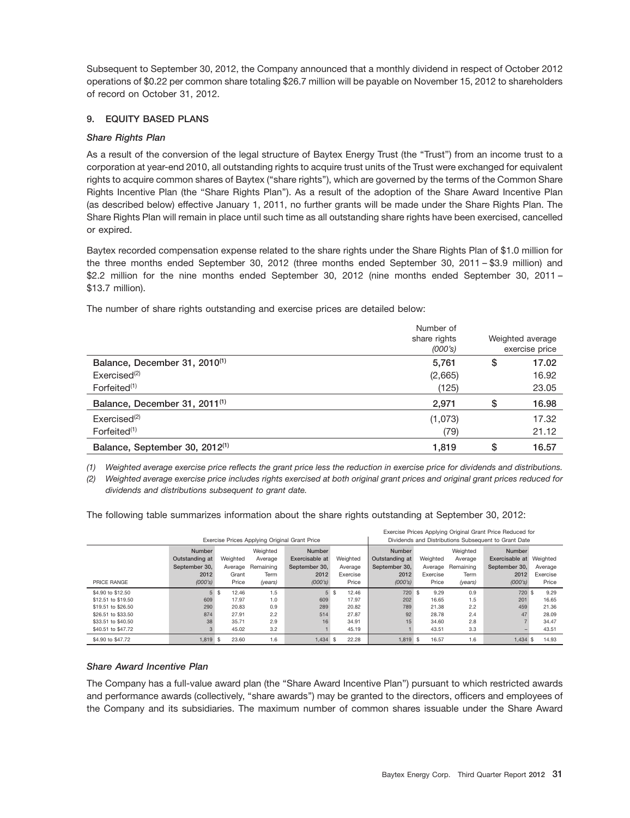Subsequent to September 30, 2012, the Company announced that a monthly dividend in respect of October 2012 operations of \$0.22 per common share totaling \$26.7 million will be payable on November 15, 2012 to shareholders of record on October 31, 2012.

#### **9. EQUITY BASED PLANS**

#### *Share Rights Plan*

As a result of the conversion of the legal structure of Baytex Energy Trust (the ''Trust'') from an income trust to a corporation at year-end 2010, all outstanding rights to acquire trust units of the Trust were exchanged for equivalent rights to acquire common shares of Baytex (''share rights''), which are governed by the terms of the Common Share Rights Incentive Plan (the ''Share Rights Plan''). As a result of the adoption of the Share Award Incentive Plan (as described below) effective January 1, 2011, no further grants will be made under the Share Rights Plan. The Share Rights Plan will remain in place until such time as all outstanding share rights have been exercised, cancelled or expired.

Baytex recorded compensation expense related to the share rights under the Share Rights Plan of \$1.0 million for the three months ended September 30, 2012 (three months ended September 30, 2011 – \$3.9 million) and \$2.2 million for the nine months ended September 30, 2012 (nine months ended September 30, 2011 – \$13.7 million).

The number of share rights outstanding and exercise prices are detailed below:

|                                            | Number of    |                  |
|--------------------------------------------|--------------|------------------|
|                                            | share rights | Weighted average |
|                                            | (000's)      | exercise price   |
| Balance, December 31, 2010 <sup>(1)</sup>  | 5,761        | \$<br>17.02      |
| Exercise d <sup>(2)</sup>                  | (2,665)      | 16.92            |
| Forfeited <sup>(1)</sup>                   | (125)        | 23.05            |
| Balance, December 31, 2011 <sup>(1)</sup>  | 2,971        | \$<br>16.98      |
| Exercise d <sup>(2)</sup>                  | (1,073)      | 17.32            |
| Forfeited <sup>(1)</sup>                   | (79)         | 21.12            |
| Balance, September 30, 2012 <sup>(1)</sup> | 1.819        | \$<br>16.57      |

*(1) Weighted average exercise price reflects the grant price less the reduction in exercise price for dividends and distributions.*

*(2) Weighted average exercise price includes rights exercised at both original grant prices and original grant prices reduced for dividends and distributions subsequent to grant date.*

The following table summarizes information about the share rights outstanding at September 30, 2012:

|                                               | Exercise Prices Applying Original Grant Price Reduced for |              |           |                |             |                |              |           |                                                      |          |
|-----------------------------------------------|-----------------------------------------------------------|--------------|-----------|----------------|-------------|----------------|--------------|-----------|------------------------------------------------------|----------|
| Exercise Prices Applying Original Grant Price |                                                           |              |           |                |             |                |              |           | Dividends and Distributions Subsequent to Grant Date |          |
|                                               | <b>Number</b>                                             |              | Weighted  | <b>Number</b>  |             | <b>Number</b>  |              | Weighted  | <b>Number</b>                                        |          |
|                                               | Outstanding at                                            | Weighted     | Average   | Exercisable at | Weighted    | Outstanding at | Weighted     | Average   | Exercisable at                                       | Weighted |
|                                               | September 30,                                             | Average      | Remaining | September 30.  | Average     | September 30.  | Average      | Remaining | September 30.                                        | Average  |
|                                               | 2012                                                      | Grant        | Term      | 2012           | Exercise    | 2012           | Exercise     | Term      | 2012                                                 | Exercise |
| PRICE RANGE                                   | (000's)                                                   | Price        | (years)   | (000's)        | Price       | (000's)        | Price        | (years)   | (000's)                                              | Price    |
| \$4,90 to \$12,50                             | 5                                                         | 12.46<br>\$. | 1.5       | 5              | \$<br>12.46 | 720            | 9.29<br>\$   | 0.9       | 720 \$                                               | 9.29     |
| \$12.51 to \$19.50                            | 609                                                       | 17.97        | 1.0       | 609            | 17.97       | 202            | 16.65        | 1.5       | 201                                                  | 16.65    |
| \$19.51 to \$26.50                            | 290                                                       | 20.83        | 0.9       | 289            | 20.82       | 789            | 21.38        | 2.2       | 459                                                  | 21.36    |
| \$26.51 to \$33.50                            | 874                                                       | 27.91        | 2.2       | 514            | 27.87       | 92             | 28.78        | 2.4       | 47                                                   | 28.09    |
| \$33.51 to \$40.50                            | 38                                                        | 35.71        | 2.9       | 16             | 34.91       | 15             | 34.60        | 2.8       |                                                      | 34.47    |
| \$40.51 to \$47.72                            | 3                                                         | 45.02        | 3.2       |                | 45.19       |                | 43.51        | 3.3       |                                                      | 43.51    |
| \$4,90 to \$47.72                             | $1.819$ \$                                                | 23.60        | 1.6       | $1.434$ \$     | 22.28       | 1.819          | 16.57<br>\$. | 1.6       | $1.434$ \$                                           | 14.93    |

#### *Share Award Incentive Plan*

The Company has a full-value award plan (the ''Share Award Incentive Plan'') pursuant to which restricted awards and performance awards (collectively, ''share awards'') may be granted to the directors, officers and employees of the Company and its subsidiaries. The maximum number of common shares issuable under the Share Award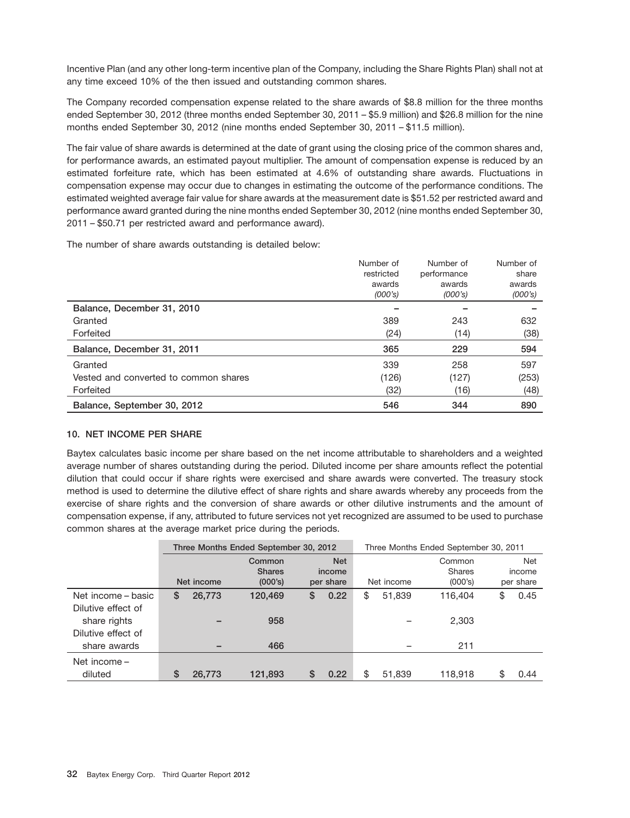Incentive Plan (and any other long-term incentive plan of the Company, including the Share Rights Plan) shall not at any time exceed 10% of the then issued and outstanding common shares.

The Company recorded compensation expense related to the share awards of \$8.8 million for the three months ended September 30, 2012 (three months ended September 30, 2011 – \$5.9 million) and \$26.8 million for the nine months ended September 30, 2012 (nine months ended September 30, 2011 – \$11.5 million).

The fair value of share awards is determined at the date of grant using the closing price of the common shares and, for performance awards, an estimated payout multiplier. The amount of compensation expense is reduced by an estimated forfeiture rate, which has been estimated at 4.6% of outstanding share awards. Fluctuations in compensation expense may occur due to changes in estimating the outcome of the performance conditions. The estimated weighted average fair value for share awards at the measurement date is \$51.52 per restricted award and performance award granted during the nine months ended September 30, 2012 (nine months ended September 30, 2011 – \$50.71 per restricted award and performance award).

The number of share awards outstanding is detailed below:

|                                       | Number of<br>restricted<br>awards<br>(000's) | Number of<br>performance<br>awards<br>(000's) | Number of<br>share<br>awards<br>(000's) |
|---------------------------------------|----------------------------------------------|-----------------------------------------------|-----------------------------------------|
| Balance, December 31, 2010            |                                              |                                               |                                         |
| Granted                               | 389                                          | 243                                           | 632                                     |
| Forfeited                             | (24)                                         | (14)                                          | (38)                                    |
| Balance, December 31, 2011            | 365                                          | 229                                           | 594                                     |
| Granted                               | 339                                          | 258                                           | 597                                     |
| Vested and converted to common shares | (126)                                        | (127)                                         | (253)                                   |
| Forfeited                             | (32)                                         | (16)                                          | (48)                                    |
| Balance, September 30, 2012           | 546                                          | 344                                           | 890                                     |

#### **10. NET INCOME PER SHARE**

Baytex calculates basic income per share based on the net income attributable to shareholders and a weighted average number of shares outstanding during the period. Diluted income per share amounts reflect the potential dilution that could occur if share rights were exercised and share awards were converted. The treasury stock method is used to determine the dilutive effect of share rights and share awards whereby any proceeds from the exercise of share rights and the conversion of share awards or other dilutive instruments and the amount of compensation expense, if any, attributed to future services not yet recognized are assumed to be used to purchase common shares at the average market price during the periods.

|                    | Three Months Ended September 30, 2012 |        |                                    |    |                                   |    |            | Three Months Ended September 30, 2011 |                                   |
|--------------------|---------------------------------------|--------|------------------------------------|----|-----------------------------------|----|------------|---------------------------------------|-----------------------------------|
|                    | Net income                            |        | Common<br><b>Shares</b><br>(000's) |    | <b>Net</b><br>income<br>per share |    | Net income | Common<br>Shares<br>(000's)           | <b>Net</b><br>income<br>per share |
| Net income - basic | \$                                    | 26,773 | 120,469                            | \$ | 0.22                              | \$ | 51,839     | 116,404                               | \$<br>0.45                        |
| Dilutive effect of |                                       |        |                                    |    |                                   |    |            |                                       |                                   |
| share rights       |                                       |        | 958                                |    |                                   |    |            | 2,303                                 |                                   |
| Dilutive effect of |                                       |        |                                    |    |                                   |    |            |                                       |                                   |
| share awards       |                                       |        | 466                                |    |                                   |    |            | 211                                   |                                   |
| Net income -       |                                       |        |                                    |    |                                   |    |            |                                       |                                   |
| diluted            | \$                                    | 26,773 | 121.893                            | \$ | 0.22                              | \$ | 51.839     | 118.918                               | \$<br>0.44                        |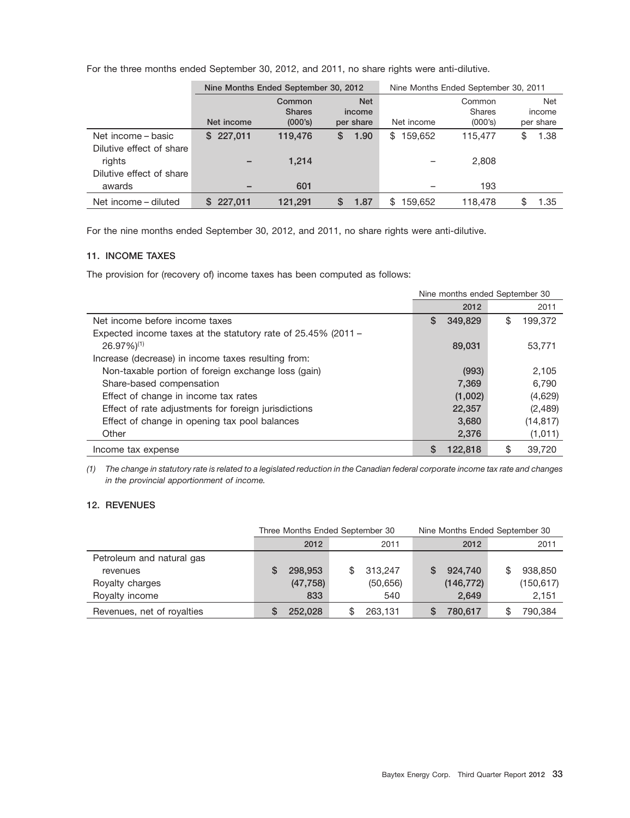For the three months ended September 30, 2012, and 2011, no share rights were anti-dilutive.

|                                                |            | Nine Months Ended September 30, 2012 |                                   |                          | Nine Months Ended September 30, 2011 |                                   |
|------------------------------------------------|------------|--------------------------------------|-----------------------------------|--------------------------|--------------------------------------|-----------------------------------|
|                                                | Net income | Common<br><b>Shares</b><br>(000's)   | <b>Net</b><br>income<br>per share | Net income               | Common<br><b>Shares</b><br>(000's)   | <b>Net</b><br>income<br>per share |
| Net income – basic<br>Dilutive effect of share | \$227.011  | 119,476                              | S<br>1.90                         | 159.652<br>\$            | 115.477                              | 1.38<br>\$                        |
| rights<br>Dilutive effect of share<br>awards   |            | 1,214<br>601                         |                                   | $\overline{\phantom{0}}$ | 2,808<br>193                         |                                   |
| Net income – diluted                           | \$227,011  | 121.291                              | 1.87<br>S                         | 159,652<br>\$.           | 118,478                              | 1.35                              |

For the nine months ended September 30, 2012, and 2011, no share rights were anti-dilutive.

### **11. INCOME TAXES**

The provision for (recovery of) income taxes has been computed as follows:

|                                                                  | Nine months ended September 30 |         |    |           |  |
|------------------------------------------------------------------|--------------------------------|---------|----|-----------|--|
|                                                                  |                                | 2012    |    | 2011      |  |
| Net income before income taxes                                   | S                              | 349,829 | \$ | 199,372   |  |
| Expected income taxes at the statutory rate of $25.45\%$ (2011 – |                                |         |    |           |  |
| $26.97\%/1)$                                                     |                                | 89,031  |    | 53,771    |  |
| Increase (decrease) in income taxes resulting from:              |                                |         |    |           |  |
| Non-taxable portion of foreign exchange loss (gain)              |                                | (993)   |    | 2.105     |  |
| Share-based compensation                                         |                                | 7.369   |    | 6.790     |  |
| Effect of change in income tax rates                             |                                | (1,002) |    | (4,629)   |  |
| Effect of rate adjustments for foreign jurisdictions             |                                | 22,357  |    | (2,489)   |  |
| Effect of change in opening tax pool balances                    |                                | 3,680   |    | (14, 817) |  |
| Other                                                            |                                | 2,376   |    | (1,011)   |  |
| Income tax expense                                               | S                              | 122.818 | \$ | 39.720    |  |

*(1) The change in statutory rate is related to a legislated reduction in the Canadian federal corporate income tax rate and changes in the provincial apportionment of income.*

#### **12. REVENUES**

|                            | Three Months Ended September 30 |           | Nine Months Ended September 30 |               |  |
|----------------------------|---------------------------------|-----------|--------------------------------|---------------|--|
|                            | 2012                            | 2011      | 2012                           | 2011          |  |
| Petroleum and natural gas  |                                 |           |                                |               |  |
| revenues                   | 298,953                         | 313,247   | 924,740<br>S                   | 938,850<br>\$ |  |
| Royalty charges            | (47, 758)                       | (50, 656) | (146, 772)                     | (150, 617)    |  |
| Royalty income             | 833                             | 540       | 2,649                          | 2,151         |  |
| Revenues, net of royalties | 252.028                         | 263.131   | 780,617                        | 790.384       |  |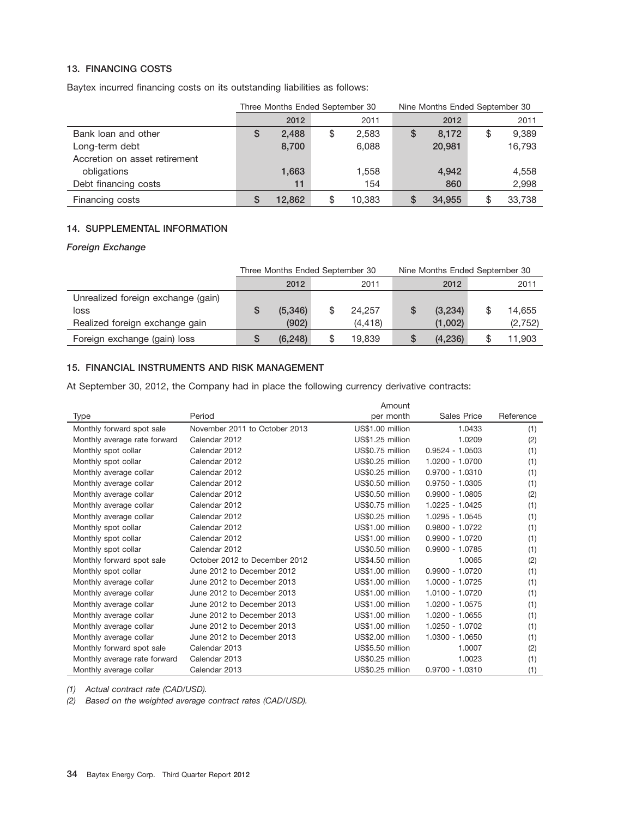### **13. FINANCING COSTS**

Baytex incurred financing costs on its outstanding liabilities as follows:

|                               | Three Months Ended September 30 |        |    | Nine Months Ended September 30 |    |        |    |        |
|-------------------------------|---------------------------------|--------|----|--------------------------------|----|--------|----|--------|
|                               |                                 | 2012   |    | 2011                           |    | 2012   |    | 2011   |
| Bank loan and other           | S                               | 2,488  | \$ | 2,583                          | \$ | 8,172  | \$ | 9,389  |
| Long-term debt                |                                 | 8,700  |    | 6,088                          |    | 20,981 |    | 16,793 |
| Accretion on asset retirement |                                 |        |    |                                |    |        |    |        |
| obligations                   |                                 | 1,663  |    | 1,558                          |    | 4.942  |    | 4,558  |
| Debt financing costs          |                                 | 11     |    | 154                            |    | 860    |    | 2,998  |
| Financing costs               |                                 | 12.862 | \$ | 10.383                         | S  | 34,955 | \$ | 33,738 |

### **14. SUPPLEMENTAL INFORMATION**

*Foreign Exchange*

|                                    | Three Months Ended September 30 |          |  | Nine Months Ended September 30 |    |         |    |         |
|------------------------------------|---------------------------------|----------|--|--------------------------------|----|---------|----|---------|
|                                    |                                 | 2012     |  | 2011                           |    | 2012    |    | 2011    |
| Unrealized foreign exchange (gain) |                                 |          |  |                                |    |         |    |         |
| loss                               |                                 | (5,346)  |  | 24.257                         | S  | (3,234) |    | 14,655  |
| Realized foreign exchange gain     |                                 | (902)    |  | (4, 418)                       |    | (1,002) |    | (2,752) |
| Foreign exchange (gain) loss       | S                               | (6, 248) |  | 19,839                         | S. | (4,236) | \$ | 11,903  |

### **15. FINANCIAL INSTRUMENTS AND RISK MANAGEMENT**

At September 30, 2012, the Company had in place the following currency derivative contracts:

|                              |                               | Amount           |                   |           |
|------------------------------|-------------------------------|------------------|-------------------|-----------|
| Type                         | Period                        | per month        | Sales Price       | Reference |
| Monthly forward spot sale    | November 2011 to October 2013 | US\$1.00 million | 1.0433            | (1)       |
| Monthly average rate forward | Calendar 2012                 | US\$1.25 million | 1.0209            | (2)       |
| Monthly spot collar          | Calendar 2012                 | US\$0.75 million | $0.9524 - 1.0503$ | (1)       |
| Monthly spot collar          | Calendar 2012                 | US\$0.25 million | 1.0200 - 1.0700   | (1)       |
| Monthly average collar       | Calendar 2012                 | US\$0.25 million | $0.9700 - 1.0310$ | (1)       |
| Monthly average collar       | Calendar 2012                 | US\$0.50 million | $0.9750 - 1.0305$ | (1)       |
| Monthly average collar       | Calendar 2012                 | US\$0.50 million | $0.9900 - 1.0805$ | (2)       |
| Monthly average collar       | Calendar 2012                 | US\$0.75 million | $1.0225 - 1.0425$ | (1)       |
| Monthly average collar       | Calendar 2012                 | US\$0.25 million | 1.0295 - 1.0545   | (1)       |
| Monthly spot collar          | Calendar 2012                 | US\$1.00 million | $0.9800 - 1.0722$ | (1)       |
| Monthly spot collar          | Calendar 2012                 | US\$1.00 million | $0.9900 - 1.0720$ | (1)       |
| Monthly spot collar          | Calendar 2012                 | US\$0.50 million | $0.9900 - 1.0785$ | (1)       |
| Monthly forward spot sale    | October 2012 to December 2012 | US\$4.50 million | 1.0065            | (2)       |
| Monthly spot collar          | June 2012 to December 2012    | US\$1.00 million | $0.9900 - 1.0720$ | (1)       |
| Monthly average collar       | June 2012 to December 2013    | US\$1.00 million | 1.0000 - 1.0725   | (1)       |
| Monthly average collar       | June 2012 to December 2013    | US\$1.00 million | 1.0100 - 1.0720   | (1)       |
| Monthly average collar       | June 2012 to December 2013    | US\$1.00 million | 1.0200 - 1.0575   | (1)       |
| Monthly average collar       | June 2012 to December 2013    | US\$1.00 million | 1.0200 - 1.0655   | (1)       |
| Monthly average collar       | June 2012 to December 2013    | US\$1.00 million | 1.0250 - 1.0702   | (1)       |
| Monthly average collar       | June 2012 to December 2013    | US\$2.00 million | 1.0300 - 1.0650   | (1)       |
| Monthly forward spot sale    | Calendar 2013                 | US\$5.50 million | 1.0007            | (2)       |
| Monthly average rate forward | Calendar 2013                 | US\$0.25 million | 1.0023            | (1)       |
| Monthly average collar       | Calendar 2013                 | US\$0.25 million | $0.9700 - 1.0310$ | (1)       |

*(1) Actual contract rate (CAD/USD).*

*(2) Based on the weighted average contract rates (CAD/USD).*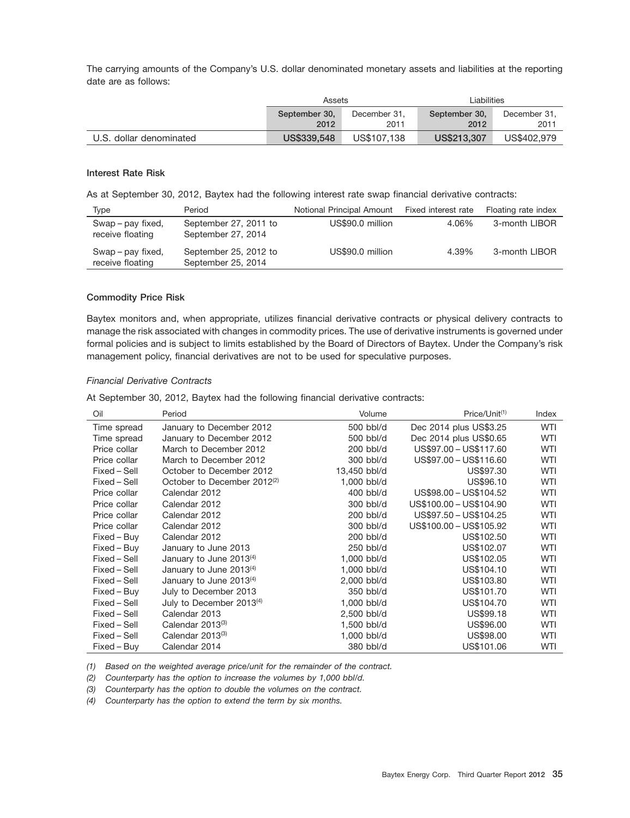The carrying amounts of the Company's U.S. dollar denominated monetary assets and liabilities at the reporting date are as follows:

|                         | Assets                |                      | ∟iabilities           |                      |  |
|-------------------------|-----------------------|----------------------|-----------------------|----------------------|--|
|                         | September 30.<br>2012 | December 31.<br>2011 | September 30.<br>2012 | December 31.<br>2011 |  |
| U.S. dollar denominated | US\$339,548           | US\$107.138          | US\$213,307           | US\$402,979          |  |

#### **Interest Rate Risk**

As at September 30, 2012, Baytex had the following interest rate swap financial derivative contracts:

| Type                                  | Period                                      | Notional Principal Amount | Fixed interest rate | Floating rate index |
|---------------------------------------|---------------------------------------------|---------------------------|---------------------|---------------------|
| Swap – pay fixed,<br>receive floating | September 27, 2011 to<br>September 27, 2014 | US\$90.0 million          | 4.06%               | 3-month LIBOR       |
| Swap – pay fixed,<br>receive floating | September 25, 2012 to<br>September 25, 2014 | US\$90.0 million          | 4.39%               | 3-month LIBOR       |

#### **Commodity Price Risk**

Baytex monitors and, when appropriate, utilizes financial derivative contracts or physical delivery contracts to manage the risk associated with changes in commodity prices. The use of derivative instruments is governed under formal policies and is subject to limits established by the Board of Directors of Baytex. Under the Company's risk management policy, financial derivatives are not to be used for speculative purposes.

#### *Financial Derivative Contracts*

At September 30, 2012, Baytex had the following financial derivative contracts:

| Oil          | Period                                  | Volume       | Price/Unit <sup>(1)</sup> | Index      |
|--------------|-----------------------------------------|--------------|---------------------------|------------|
| Time spread  | January to December 2012                | 500 bbl/d    | Dec 2014 plus US\$3.25    | WTI        |
| Time spread  | January to December 2012                | 500 bbl/d    | Dec 2014 plus US\$0.65    | WTI        |
| Price collar | March to December 2012                  | 200 bbl/d    | US\$97.00 - US\$117.60    | WTI        |
| Price collar | March to December 2012                  | 300 bbl/d    | US\$97.00 - US\$116.60    | WTI        |
| Fixed - Sell | October to December 2012                | 13,450 bbl/d | US\$97.30                 | WTI        |
| Fixed - Sell | October to December 2012 <sup>(2)</sup> | 1,000 bbl/d  | US\$96.10                 | WTI        |
| Price collar | Calendar 2012                           | 400 bbl/d    | US\$98.00 - US\$104.52    | WTI        |
| Price collar | Calendar 2012                           | 300 bbl/d    | US\$100.00 - US\$104.90   | <b>WTI</b> |
| Price collar | Calendar 2012                           | 200 bbl/d    | US\$97.50 - US\$104.25    | WTI        |
| Price collar | Calendar 2012                           | 300 bbl/d    | US\$100.00 - US\$105.92   | WTI        |
| Fixed - Buy  | Calendar 2012                           | 200 bbl/d    | US\$102.50                | <b>WTI</b> |
| Fixed - Buy  | January to June 2013                    | 250 bbl/d    | US\$102.07                | WTI        |
| Fixed - Sell | January to June $2013^{(4)}$            | 1,000 bbl/d  | US\$102.05                | WTI        |
| Fixed - Sell | January to June $2013^{(4)}$            | 1,000 bbl/d  | US\$104.10                | <b>WTI</b> |
| Fixed - Sell | January to June $2013^{(4)}$            | 2,000 bbl/d  | US\$103.80                | WTI        |
| Fixed - Buy  | July to December 2013                   | 350 bbl/d    | US\$101.70                | WTI        |
| Fixed - Sell | July to December 2013 <sup>(4)</sup>    | 1,000 bbl/d  | US\$104.70                | <b>WTI</b> |
| Fixed - Sell | Calendar 2013                           | 2,500 bbl/d  | US\$99.18                 | WTI        |
| Fixed – Sell | Calendar 2013 <sup>(3)</sup>            | 1,500 bbl/d  | US\$96.00                 | WTI        |
| Fixed - Sell | Calendar 2013 <sup>(3)</sup>            | 1,000 bbl/d  | US\$98.00                 | <b>WTI</b> |
| Fixed – Buy  | Calendar 2014                           | 380 bbl/d    | US\$101.06                | WTI        |

*(1) Based on the weighted average price/unit for the remainder of the contract.*

*(2) Counterparty has the option to increase the volumes by 1,000 bbl/d.*

*(3) Counterparty has the option to double the volumes on the contract.*

*(4) Counterparty has the option to extend the term by six months.*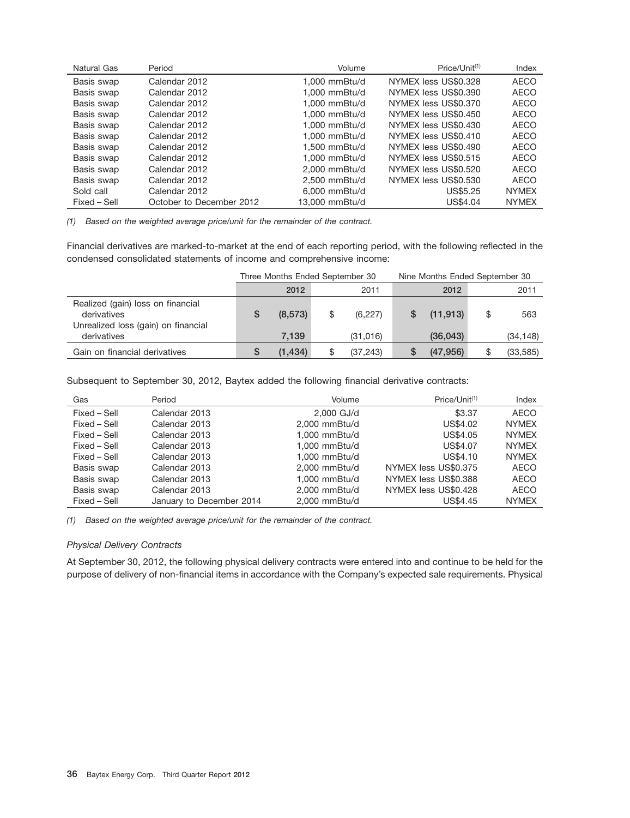| Natural Gas  | Period                   | Volume          | Price/Unit <sup>(1)</sup> | Index        |
|--------------|--------------------------|-----------------|---------------------------|--------------|
| Basis swap   | Calendar 2012            | 1.000 mmBtu/d   | NYMEX less US\$0.328      | <b>AECO</b>  |
| Basis swap   | Calendar 2012            | 1.000 mmBtu/d   | NYMEX less US\$0.390      | <b>AECO</b>  |
| Basis swap   | Calendar 2012            | 1.000 mmBtu/d   | NYMEX less US\$0.370      | <b>AECO</b>  |
| Basis swap   | Calendar 2012            | 1.000 mmBtu/d   | NYMEX less US\$0.450      | <b>AECO</b>  |
| Basis swap   | Calendar 2012            | 1.000 mmBtu/d   | NYMEX less US\$0.430      | <b>AECO</b>  |
| Basis swap   | Calendar 2012            | 1.000 mmBtu/d   | NYMEX less US\$0.410      | <b>AECO</b>  |
| Basis swap   | Calendar 2012            | 1,500 mmBtu/d   | NYMEX less US\$0.490      | <b>AECO</b>  |
| Basis swap   | Calendar 2012            | $1.000$ mmBtu/d | NYMEX less US\$0.515      | <b>AECO</b>  |
| Basis swap   | Calendar 2012            | 2.000 mmBtu/d   | NYMEX less US\$0.520      | <b>AECO</b>  |
| Basis swap   | Calendar 2012            | 2.500 mmBtu/d   | NYMEX less US\$0.530      | <b>AECO</b>  |
| Sold call    | Calendar 2012            | 6.000 mmBtu/d   | US\$5.25                  | <b>NYMEX</b> |
| Fixed – Sell | October to December 2012 | 13,000 mmBtu/d  | US\$4.04                  | <b>NYMEX</b> |

*(1) Based on the weighted average price/unit for the remainder of the contract.*

Financial derivatives are marked-to-market at the end of each reporting period, with the following reflected in the condensed consolidated statements of income and comprehensive income:

|                                                                                         | Three Months Ended September 30 |          |    | Nine Months Ended September 30 |   |           |    |           |
|-----------------------------------------------------------------------------------------|---------------------------------|----------|----|--------------------------------|---|-----------|----|-----------|
|                                                                                         |                                 | 2012     |    | 2011                           |   | 2012      |    | 2011      |
| Realized (gain) loss on financial<br>derivatives<br>Unrealized loss (gain) on financial | S                               | (8, 573) | \$ | (6, 227)                       |   | (11, 913) | \$ | 563       |
| derivatives                                                                             |                                 | 7.139    |    | (31,016)                       |   | (36,043)  |    | (34, 148) |
| Gain on financial derivatives                                                           | S                               | (1.434)  |    | (37.243)                       | S | (47, 956) | \$ | (33, 585) |

Subsequent to September 30, 2012, Baytex added the following financial derivative contracts:

| Gas          | Period                   | Volume        | Price/Unit <sup>(1)</sup> | Index        |
|--------------|--------------------------|---------------|---------------------------|--------------|
| Fixed – Sell | Calendar 2013            | 2,000 GJ/d    | \$3.37                    | AECO         |
| Fixed – Sell | Calendar 2013            | 2.000 mmBtu/d | US\$4.02                  | <b>NYMEX</b> |
| Fixed – Sell | Calendar 2013            | 1.000 mmBtu/d | US\$4.05                  | <b>NYMEX</b> |
| Fixed – Sell | Calendar 2013            | 1.000 mmBtu/d | US\$4.07                  | <b>NYMEX</b> |
| Fixed – Sell | Calendar 2013            | 1.000 mmBtu/d | US\$4.10                  | <b>NYMEX</b> |
| Basis swap   | Calendar 2013            | 2.000 mmBtu/d | NYMEX less US\$0.375      | <b>AECO</b>  |
| Basis swap   | Calendar 2013            | 1.000 mmBtu/d | NYMEX less US\$0.388      | <b>AECO</b>  |
| Basis swap   | Calendar 2013            | 2.000 mmBtu/d | NYMEX less US\$0.428      | <b>AECO</b>  |
| Fixed - Sell | January to December 2014 | 2.000 mmBtu/d | US\$4.45                  | <b>NYMEX</b> |

*(1) Based on the weighted average price/unit for the remainder of the contract.*

#### *Physical Delivery Contracts*

At September 30, 2012, the following physical delivery contracts were entered into and continue to be held for the purpose of delivery of non-financial items in accordance with the Company's expected sale requirements. Physical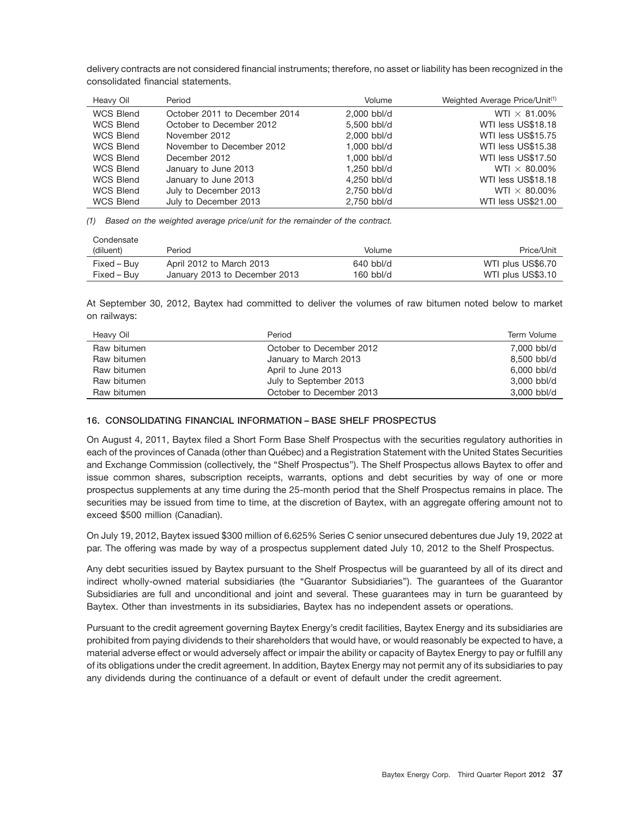delivery contracts are not considered financial instruments; therefore, no asset or liability has been recognized in the consolidated financial statements.

| Heavy Oil        | Period                        | Volume      | Weighted Average Price/Unit <sup>(1)</sup> |
|------------------|-------------------------------|-------------|--------------------------------------------|
| <b>WCS Blend</b> | October 2011 to December 2014 | 2.000 bbl/d | WTI $\times$ 81.00%                        |
| <b>WCS Blend</b> | October to December 2012      | 5.500 bbl/d | WTI less US\$18.18                         |
| <b>WCS Blend</b> | November 2012                 | 2.000 bbl/d | WTI less US\$15.75                         |
| <b>WCS Blend</b> | November to December 2012     | 1.000 bbl/d | WTI less US\$15.38                         |
| <b>WCS Blend</b> | December 2012                 | 1.000 bbl/d | WTI less US\$17.50                         |
| <b>WCS Blend</b> | January to June 2013          | 1.250 bbl/d | WTI $\times$ 80.00%                        |
| <b>WCS Blend</b> | January to June 2013          | 4.250 bbl/d | WTI less US\$18.18                         |
| <b>WCS Blend</b> | July to December 2013         | 2.750 bbl/d | WTI $\times$ 80.00%                        |
| <b>WCS Blend</b> | July to December 2013         | 2.750 bbl/d | WTI less US\$21.00                         |

*(1) Based on the weighted average price/unit for the remainder of the contract.*

| Condensate  |                               |             |                   |
|-------------|-------------------------------|-------------|-------------------|
| (diluent)   | Period                        | Volume      | Price/Unit        |
| Fixed – Buy | April 2012 to March 2013      | $640$ bbl/d | WTI plus US\$6.70 |
| Fixed – Buv | January 2013 to December 2013 | $160$ bbl/d | WTI plus US\$3.10 |

At September 30, 2012, Baytex had committed to deliver the volumes of raw bitumen noted below to market on railways:

| Heavy Oil   | Period                   | Term Volume |
|-------------|--------------------------|-------------|
| Raw bitumen | October to December 2012 | 7,000 bbl/d |
| Raw bitumen | January to March 2013    | 8,500 bbl/d |
| Raw bitumen | April to June 2013       | 6,000 bbl/d |
| Raw bitumen | July to September 2013   | 3,000 bbl/d |
| Raw bitumen | October to December 2013 | 3,000 bbl/d |

#### **16. CONSOLIDATING FINANCIAL INFORMATION – BASE SHELF PROSPECTUS**

On August 4, 2011, Baytex filed a Short Form Base Shelf Prospectus with the securities regulatory authorities in each of the provinces of Canada (other than Québec) and a Registration Statement with the United States Securities and Exchange Commission (collectively, the ''Shelf Prospectus''). The Shelf Prospectus allows Baytex to offer and issue common shares, subscription receipts, warrants, options and debt securities by way of one or more prospectus supplements at any time during the 25-month period that the Shelf Prospectus remains in place. The securities may be issued from time to time, at the discretion of Baytex, with an aggregate offering amount not to exceed \$500 million (Canadian).

On July 19, 2012, Baytex issued \$300 million of 6.625% Series C senior unsecured debentures due July 19, 2022 at par. The offering was made by way of a prospectus supplement dated July 10, 2012 to the Shelf Prospectus.

Any debt securities issued by Baytex pursuant to the Shelf Prospectus will be guaranteed by all of its direct and indirect wholly-owned material subsidiaries (the "Guarantor Subsidiaries"). The guarantees of the Guarantor Subsidiaries are full and unconditional and joint and several. These guarantees may in turn be guaranteed by Baytex. Other than investments in its subsidiaries, Baytex has no independent assets or operations.

Pursuant to the credit agreement governing Baytex Energy's credit facilities, Baytex Energy and its subsidiaries are prohibited from paying dividends to their shareholders that would have, or would reasonably be expected to have, a material adverse effect or would adversely affect or impair the ability or capacity of Baytex Energy to pay or fulfill any of its obligations under the credit agreement. In addition, Baytex Energy may not permit any of its subsidiaries to pay any dividends during the continuance of a default or event of default under the credit agreement.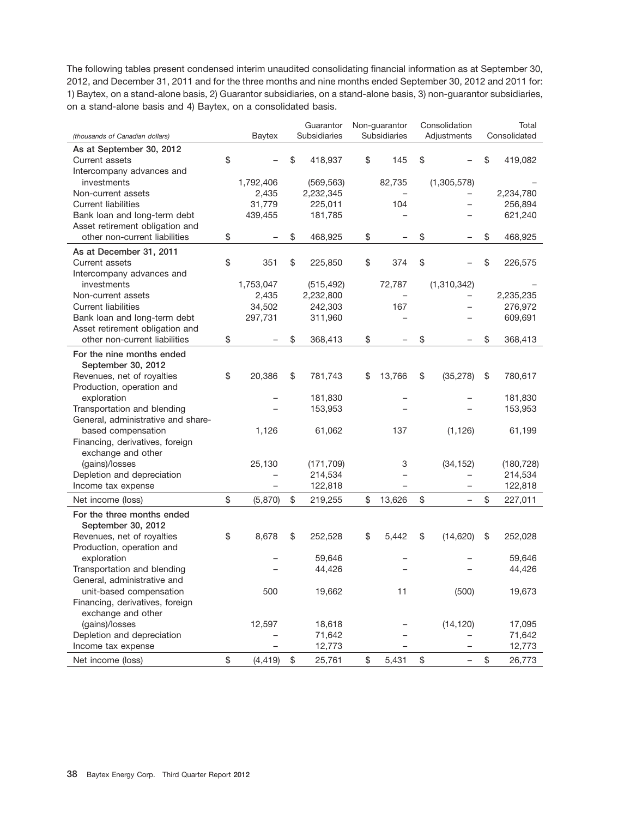The following tables present condensed interim unaudited consolidating financial information as at September 30, 2012, and December 31, 2011 and for the three months and nine months ended September 30, 2012 and 2011 for: 1) Baytex, on a stand-alone basis, 2) Guarantor subsidiaries, on a stand-alone basis, 3) non-guarantor subsidiaries, on a stand-alone basis and 4) Baytex, on a consolidated basis.

| (thousands of Canadian dollars)    | <b>Baytex</b>  | Guarantor<br>Subsidiaries | Non-guarantor<br>Subsidiaries | Consolidation<br>Adjustments   | Total<br>Consolidated |
|------------------------------------|----------------|---------------------------|-------------------------------|--------------------------------|-----------------------|
| As at September 30, 2012           |                |                           |                               |                                |                       |
| Current assets                     | \$             | \$<br>418,937             | \$<br>145                     | \$                             | \$<br>419,082         |
| Intercompany advances and          |                |                           |                               |                                |                       |
| investments                        | 1,792,406      | (569, 563)                | 82,735                        | (1,305,578)                    |                       |
| Non-current assets                 | 2,435          | 2,232,345                 |                               |                                | 2,234,780             |
| <b>Current liabilities</b>         | 31,779         | 225,011                   | 104                           |                                | 256,894               |
| Bank loan and long-term debt       | 439,455        | 181,785                   |                               |                                | 621,240               |
| Asset retirement obligation and    |                |                           |                               |                                |                       |
| other non-current liabilities      | \$             | \$<br>468,925             | \$                            | \$                             | \$<br>468,925         |
| As at December 31, 2011            |                |                           |                               |                                |                       |
| Current assets                     | \$<br>351      | \$<br>225,850             | \$<br>374                     | \$                             | \$<br>226,575         |
| Intercompany advances and          |                |                           |                               |                                |                       |
| investments                        | 1,753,047      | (515, 492)                | 72,787                        | (1,310,342)                    |                       |
| Non-current assets                 | 2,435          | 2,232,800                 |                               |                                | 2,235,235             |
| <b>Current liabilities</b>         | 34,502         | 242,303                   | 167                           |                                | 276,972               |
| Bank loan and long-term debt       | 297,731        | 311,960                   |                               |                                | 609,691               |
| Asset retirement obligation and    |                |                           |                               |                                |                       |
| other non-current liabilities      | \$             | \$<br>368,413             | \$                            | \$                             | \$<br>368,413         |
| For the nine months ended          |                |                           |                               |                                |                       |
| September 30, 2012                 |                |                           |                               |                                |                       |
| Revenues, net of royalties         | \$<br>20,386   | \$<br>781,743             | \$<br>13,766                  | \$<br>(35, 278)                | \$<br>780,617         |
| Production, operation and          |                |                           |                               |                                |                       |
| exploration                        |                | 181,830                   |                               |                                | 181,830               |
| Transportation and blending        |                | 153,953                   |                               |                                | 153,953               |
| General, administrative and share- |                |                           |                               |                                |                       |
| based compensation                 | 1,126          | 61,062                    | 137                           | (1, 126)                       | 61,199                |
| Financing, derivatives, foreign    |                |                           |                               |                                |                       |
| exchange and other                 |                |                           |                               |                                |                       |
| (gains)/losses                     | 25,130         | (171, 709)                | 3                             | (34, 152)                      | (180, 728)            |
| Depletion and depreciation         |                | 214,534                   |                               |                                | 214,534               |
| Income tax expense                 |                | 122,818                   | $\qquad \qquad -$             | $\overline{\phantom{m}}$       | 122,818               |
| Net income (loss)                  | \$<br>(5,870)  | \$<br>219,255             | \$<br>13,626                  | \$<br>$\overline{\phantom{0}}$ | \$<br>227,011         |
| For the three months ended         |                |                           |                               |                                |                       |
| September 30, 2012                 |                |                           |                               |                                |                       |
| Revenues, net of royalties         | \$<br>8,678    | \$<br>252,528             | \$<br>5,442                   | \$<br>(14, 620)                | \$<br>252,028         |
| Production, operation and          |                |                           |                               |                                |                       |
| exploration                        |                | 59,646                    |                               |                                | 59,646                |
| Transportation and blending        |                | 44,426                    |                               |                                | 44,426                |
| General, administrative and        |                |                           |                               |                                |                       |
| unit-based compensation            | 500            | 19,662                    | 11                            | (500)                          | 19,673                |
| Financing, derivatives, foreign    |                |                           |                               |                                |                       |
| exchange and other                 |                |                           |                               |                                |                       |
| (gains)/losses                     | 12,597         | 18,618                    |                               | (14, 120)                      | 17,095                |
| Depletion and depreciation         |                | 71,642                    |                               |                                | 71,642                |
| Income tax expense                 |                | 12,773                    |                               |                                | 12,773                |
| Net income (loss)                  | \$<br>(4, 419) | \$<br>25,761              | \$<br>5,431                   | \$<br>-                        | \$<br>26,773          |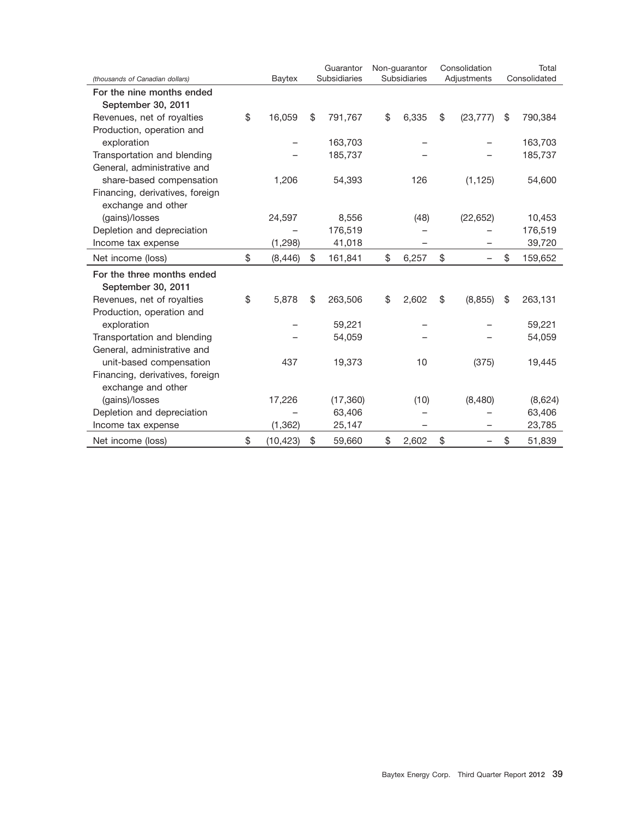|                                 |                 | Guarantor     | Non-guarantor            | Consolidation   | Total         |
|---------------------------------|-----------------|---------------|--------------------------|-----------------|---------------|
| (thousands of Canadian dollars) | Baytex          | Subsidiaries  | Subsidiaries             | Adjustments     | Consolidated  |
| For the nine months ended       |                 |               |                          |                 |               |
| September 30, 2011              |                 |               |                          |                 |               |
| Revenues, net of royalties      | \$<br>16,059    | \$<br>791,767 | \$<br>6,335              | \$<br>(23, 777) | \$<br>790,384 |
| Production, operation and       |                 |               |                          |                 |               |
| exploration                     |                 | 163,703       |                          |                 | 163,703       |
| Transportation and blending     |                 | 185,737       |                          |                 | 185,737       |
| General, administrative and     |                 |               |                          |                 |               |
| share-based compensation        | 1,206           | 54,393        | 126                      | (1, 125)        | 54,600        |
| Financing, derivatives, foreign |                 |               |                          |                 |               |
| exchange and other              |                 |               |                          |                 |               |
| (gains)/losses                  | 24,597          | 8,556         | (48)                     | (22, 652)       | 10,453        |
| Depletion and depreciation      |                 | 176,519       |                          |                 | 176,519       |
| Income tax expense              | (1, 298)        | 41,018        |                          |                 | 39,720        |
| Net income (loss)               | \$<br>(8, 446)  | \$<br>161,841 | \$<br>6,257              | \$              | \$<br>159,652 |
| For the three months ended      |                 |               |                          |                 |               |
| September 30, 2011              |                 |               |                          |                 |               |
| Revenues, net of royalties      | \$<br>5,878     | \$<br>263,506 | \$<br>2,602              | \$<br>(8, 855)  | \$<br>263,131 |
| Production, operation and       |                 |               |                          |                 |               |
| exploration                     |                 | 59,221        |                          |                 | 59,221        |
| Transportation and blending     |                 | 54,059        |                          |                 | 54,059        |
| General, administrative and     |                 |               |                          |                 |               |
| unit-based compensation         | 437             | 19,373        | 10                       | (375)           | 19,445        |
| Financing, derivatives, foreign |                 |               |                          |                 |               |
| exchange and other              |                 |               |                          |                 |               |
| (gains)/losses                  | 17,226          | (17, 360)     | (10)                     | (8,480)         | (8,624)       |
| Depletion and depreciation      |                 | 63,406        |                          |                 | 63,406        |
| Income tax expense              | (1, 362)        | 25,147        | $\overline{\phantom{0}}$ |                 | 23,785        |
| Net income (loss)               | \$<br>(10, 423) | \$<br>59,660  | \$<br>2,602              | \$              | \$<br>51,839  |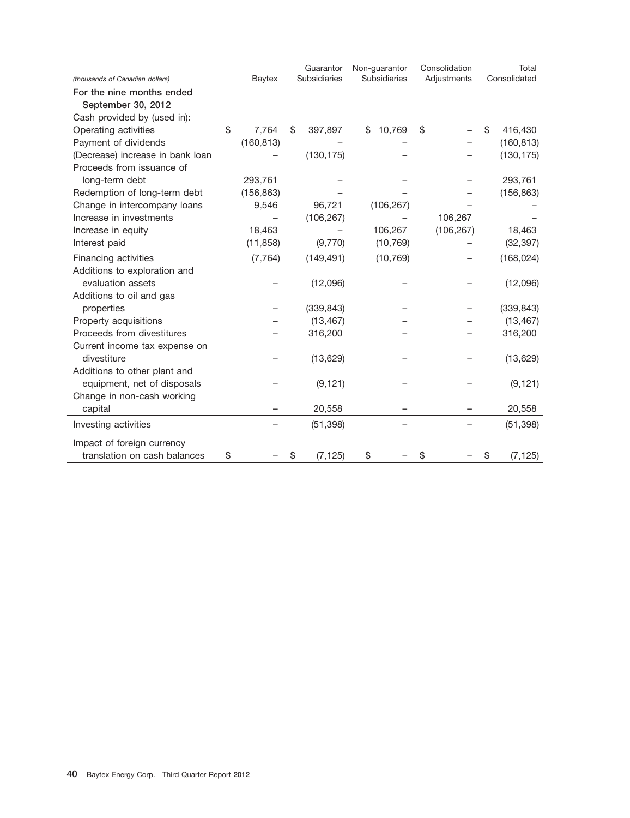|                                  |             | Guarantor      | Non-guarantor       | Consolidation | Total          |
|----------------------------------|-------------|----------------|---------------------|---------------|----------------|
| (thousands of Canadian dollars)  | Baytex      | Subsidiaries   | <b>Subsidiaries</b> | Adjustments   | Consolidated   |
| For the nine months ended        |             |                |                     |               |                |
| September 30, 2012               |             |                |                     |               |                |
| Cash provided by (used in):      |             |                |                     |               |                |
| Operating activities             | \$<br>7,764 | \$<br>397,897  | 10,769<br>\$        | \$            | \$<br>416,430  |
| Payment of dividends             | (160, 813)  |                |                     |               | (160, 813)     |
| (Decrease) increase in bank loan |             | (130, 175)     |                     |               | (130, 175)     |
| Proceeds from issuance of        |             |                |                     |               |                |
| long-term debt                   | 293,761     |                |                     |               | 293,761        |
| Redemption of long-term debt     | (156, 863)  |                |                     |               | (156, 863)     |
| Change in intercompany loans     | 9,546       | 96,721         | (106, 267)          |               |                |
| Increase in investments          |             | (106, 267)     |                     | 106,267       |                |
| Increase in equity               | 18,463      |                | 106,267             | (106, 267)    | 18,463         |
| Interest paid                    | (11, 858)   | (9,770)        | (10, 769)           |               | (32, 397)      |
| Financing activities             | (7, 764)    | (149, 491)     | (10, 769)           |               | (168, 024)     |
| Additions to exploration and     |             |                |                     |               |                |
| evaluation assets                |             | (12,096)       |                     |               | (12,096)       |
| Additions to oil and gas         |             |                |                     |               |                |
| properties                       |             | (339, 843)     |                     |               | (339, 843)     |
| Property acquisitions            |             | (13, 467)      |                     |               | (13, 467)      |
| Proceeds from divestitures       |             | 316,200        |                     |               | 316,200        |
| Current income tax expense on    |             |                |                     |               |                |
| divestiture                      |             | (13, 629)      |                     |               | (13, 629)      |
| Additions to other plant and     |             |                |                     |               |                |
| equipment, net of disposals      |             | (9, 121)       |                     |               | (9, 121)       |
| Change in non-cash working       |             |                |                     |               |                |
| capital                          |             | 20,558         |                     |               | 20,558         |
| Investing activities             |             | (51, 398)      |                     |               | (51, 398)      |
| Impact of foreign currency       |             |                |                     |               |                |
| translation on cash balances     | \$          | \$<br>(7, 125) | \$                  | \$            | \$<br>(7, 125) |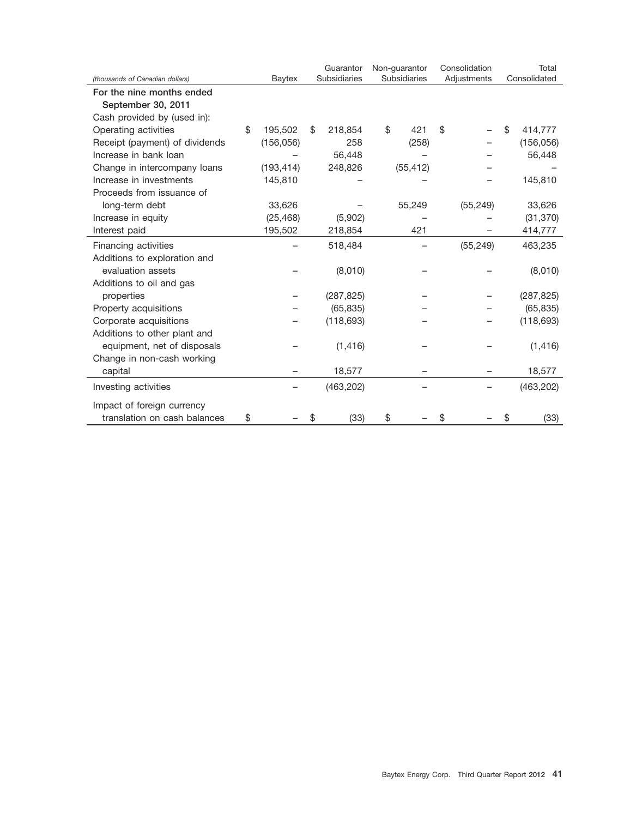|                                 |               | Guarantor    |            | Non-guarantor |              | Consolidation |             | Total     |              |            |
|---------------------------------|---------------|--------------|------------|---------------|--------------|---------------|-------------|-----------|--------------|------------|
| (thousands of Canadian dollars) | Baytex        | Subsidiaries |            |               | Subsidiaries |               | Adjustments |           | Consolidated |            |
| For the nine months ended       |               |              |            |               |              |               |             |           |              |            |
| September 30, 2011              |               |              |            |               |              |               |             |           |              |            |
| Cash provided by (used in):     |               |              |            |               |              |               |             |           |              |            |
| Operating activities            | \$<br>195,502 | \$.          | 218,854    |               | \$           | 421           | \$          |           | S            | 414,777    |
| Receipt (payment) of dividends  | (156, 056)    |              | 258        |               |              | (258)         |             |           |              | (156, 056) |
| Increase in bank loan           |               |              | 56,448     |               |              |               |             |           |              | 56,448     |
| Change in intercompany loans    | (193, 414)    |              | 248,826    |               |              | (55, 412)     |             |           |              |            |
| Increase in investments         | 145,810       |              |            |               |              |               |             |           |              | 145,810    |
| Proceeds from issuance of       |               |              |            |               |              |               |             |           |              |            |
| long-term debt                  | 33,626        |              |            |               |              | 55,249        |             | (55, 249) |              | 33,626     |
| Increase in equity              | (25, 468)     |              | (5,902)    |               |              |               |             |           |              | (31, 370)  |
| Interest paid                   | 195,502       |              | 218,854    |               |              | 421           |             |           |              | 414,777    |
| Financing activities            |               |              | 518,484    |               |              |               |             | (55, 249) |              | 463,235    |
| Additions to exploration and    |               |              |            |               |              |               |             |           |              |            |
| evaluation assets               |               |              | (8,010)    |               |              |               |             |           |              | (8,010)    |
| Additions to oil and gas        |               |              |            |               |              |               |             |           |              |            |
| properties                      |               |              | (287, 825) |               |              |               |             |           |              | (287, 825) |
| Property acquisitions           |               |              | (65, 835)  |               |              |               |             |           |              | (65, 835)  |
| Corporate acquisitions          |               |              | (118, 693) |               |              |               |             |           |              | (118, 693) |
| Additions to other plant and    |               |              |            |               |              |               |             |           |              |            |
| equipment, net of disposals     |               |              | (1, 416)   |               |              |               |             |           |              | (1, 416)   |
| Change in non-cash working      |               |              |            |               |              |               |             |           |              |            |
| capital                         |               |              | 18,577     |               |              |               |             |           |              | 18,577     |
| Investing activities            |               |              | (463, 202) |               |              |               |             |           |              | (463, 202) |
| Impact of foreign currency      |               |              |            |               |              |               |             |           |              |            |
| translation on cash balances    | \$            | \$           | (33)       |               | \$           |               | \$          |           | \$           | (33)       |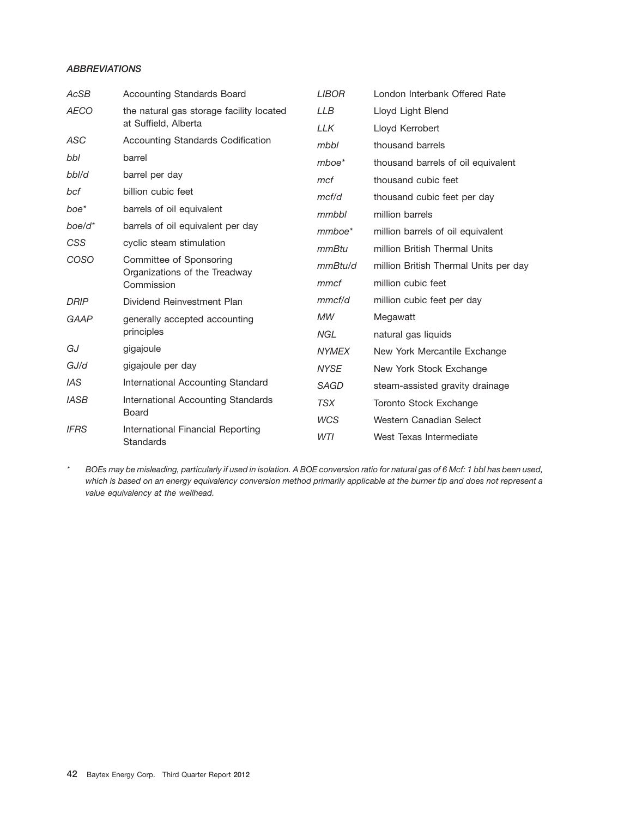### *ABBREVIATIONS*

| AcSB             | Accounting Standards Board                     | <b>LIBOR</b> | London Interbank Offered Rate         |
|------------------|------------------------------------------------|--------------|---------------------------------------|
| <b>AECO</b>      | the natural gas storage facility located       | LLB          | Lloyd Light Blend                     |
|                  | at Suffield, Alberta                           | <b>LLK</b>   | Lloyd Kerrobert                       |
| ASC              | <b>Accounting Standards Codification</b>       | mbbl         | thousand barrels                      |
| bbl              | barrel                                         | $mboe*$      | thousand barrels of oil equivalent    |
| bbl/d            | barrel per day                                 | mcf          | thousand cubic feet                   |
| bcf              | billion cubic feet                             | mcf/d        | thousand cubic feet per day           |
| boe <sup>*</sup> | barrels of oil equivalent                      | mmbbl        | million barrels                       |
| boe/d*           | barrels of oil equivalent per day              | $mmboe^*$    | million barrels of oil equivalent     |
| CSS              | cyclic steam stimulation                       | mmBtu        | million British Thermal Units         |
| <b>COSO</b>      | Committee of Sponsoring                        | mmBtu/d      | million British Thermal Units per day |
|                  | Organizations of the Treadway<br>Commission    | mmcf         | million cubic feet                    |
| <b>DRIP</b>      | Dividend Reinvestment Plan                     | mmcf/d       | million cubic feet per day            |
| GAAP             | generally accepted accounting                  | MW           | Megawatt                              |
|                  | principles                                     | NGL          | natural gas liquids                   |
| GJ               | gigajoule                                      | <b>NYMEX</b> | New York Mercantile Exchange          |
| GJ/d             | gigajoule per day                              | <b>NYSE</b>  | New York Stock Exchange               |
| <b>IAS</b>       | International Accounting Standard              | <b>SAGD</b>  | steam-assisted gravity drainage       |
| <b>IASB</b>      | International Accounting Standards             | <b>TSX</b>   | <b>Toronto Stock Exchange</b>         |
|                  | Board                                          | <b>WCS</b>   | Western Canadian Select               |
| <b>IFRS</b>      | International Financial Reporting<br>Standards | WTI          | West Texas Intermediate               |

*\* BOEs may be misleading, particularly if used in isolation. A BOE conversion ratio for natural gas of 6 Mcf: 1 bbl has been used, which is based on an energy equivalency conversion method primarily applicable at the burner tip and does not represent a value equivalency at the wellhead.*